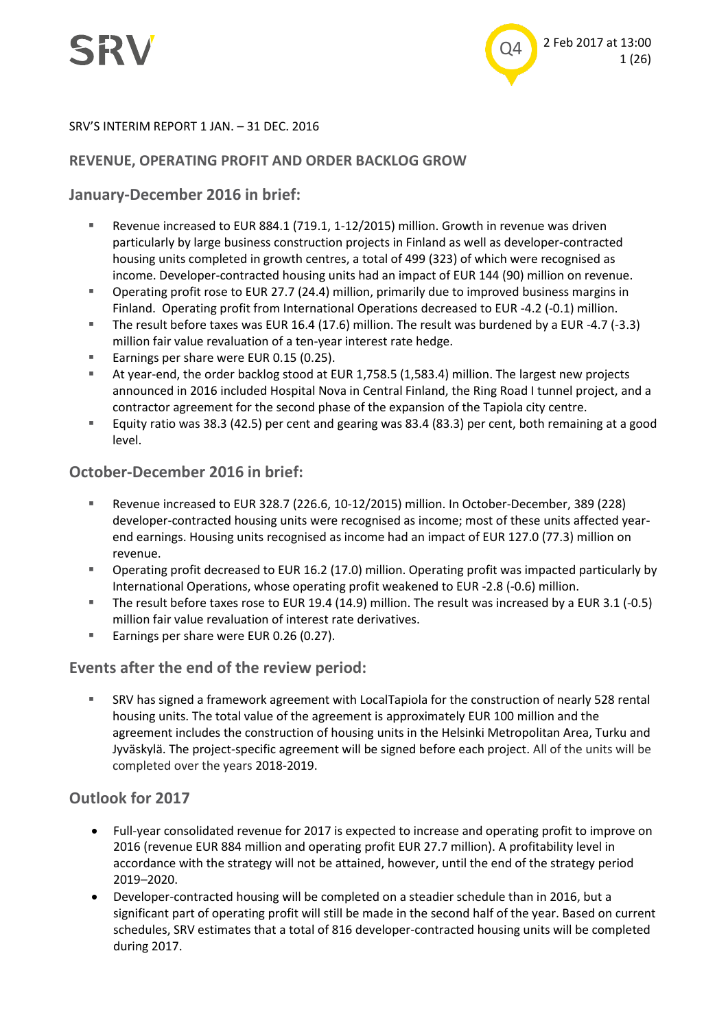

#### SRV'S INTERIM REPORT 1 JAN. – 31 DEC. 2016

#### **REVENUE, OPERATING PROFIT AND ORDER BACKLOG GROW**

#### **January-December 2016 in brief:**

- Revenue increased to EUR 884.1 (719.1, 1-12/2015) million. Growth in revenue was driven particularly by large business construction projects in Finland as well as developer-contracted housing units completed in growth centres, a total of 499 (323) of which were recognised as income. Developer-contracted housing units had an impact of EUR 144 (90) million on revenue.
- Operating profit rose to EUR 27.7 (24.4) million, primarily due to improved business margins in Finland. Operating profit from International Operations decreased to EUR -4.2 (-0.1) million.
- The result before taxes was EUR 16.4 (17.6) million. The result was burdened by a EUR -4.7 (-3.3) million fair value revaluation of a ten-year interest rate hedge.
- Earnings per share were EUR 0.15 (0.25).
- At year-end, the order backlog stood at EUR 1,758.5 (1,583.4) million. The largest new projects announced in 2016 included Hospital Nova in Central Finland, the Ring Road I tunnel project, and a contractor agreement for the second phase of the expansion of the Tapiola city centre.
- Equity ratio was 38.3 (42.5) per cent and gearing was 83.4 (83.3) per cent, both remaining at a good level.

#### **October-December 2016 in brief:**

- Revenue increased to EUR 328.7 (226.6, 10-12/2015) million. In October-December, 389 (228) developer-contracted housing units were recognised as income; most of these units affected yearend earnings. Housing units recognised as income had an impact of EUR 127.0 (77.3) million on revenue.
- Operating profit decreased to EUR 16.2 (17.0) million. Operating profit was impacted particularly by International Operations, whose operating profit weakened to EUR -2.8 (-0.6) million.
- The result before taxes rose to EUR 19.4 (14.9) million. The result was increased by a EUR 3.1 (-0.5) million fair value revaluation of interest rate derivatives.
- Earnings per share were EUR 0.26 (0.27).

#### **Events after the end of the review period:**

 SRV has signed a framework agreement with LocalTapiola for the construction of nearly 528 rental housing units. The total value of the agreement is approximately EUR 100 million and the agreement includes the construction of housing units in the Helsinki Metropolitan Area, Turku and Jyväskylä. The project-specific agreement will be signed before each project. All of the units will be completed over the years 2018-2019.

#### **Outlook for 2017**

- Full-year consolidated revenue for 2017 is expected to increase and operating profit to improve on 2016 (revenue EUR 884 million and operating profit EUR 27.7 million). A profitability level in accordance with the strategy will not be attained, however, until the end of the strategy period 2019–2020.
- Developer-contracted housing will be completed on a steadier schedule than in 2016, but a significant part of operating profit will still be made in the second half of the year. Based on current schedules, SRV estimates that a total of 816 developer-contracted housing units will be completed during 2017.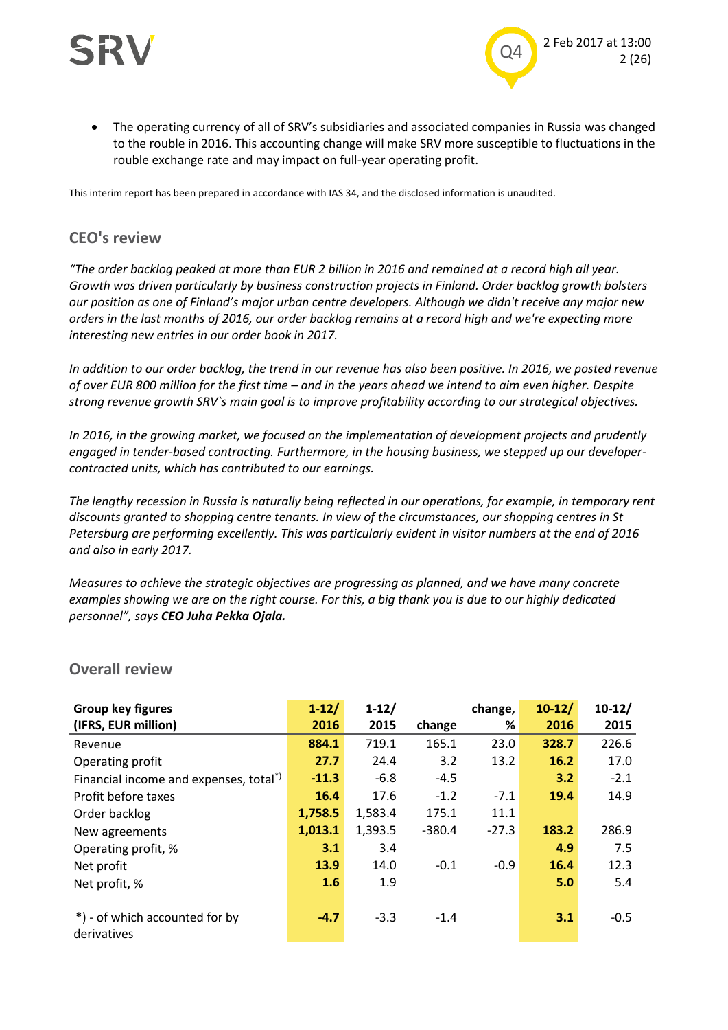



 The operating currency of all of SRV's subsidiaries and associated companies in Russia was changed to the rouble in 2016. This accounting change will make SRV more susceptible to fluctuations in the rouble exchange rate and may impact on full-year operating profit.

This interim report has been prepared in accordance with IAS 34, and the disclosed information is unaudited.

#### **CEO's review**

*"The order backlog peaked at more than EUR 2 billion in 2016 and remained at a record high all year. Growth was driven particularly by business construction projects in Finland. Order backlog growth bolsters our position as one of Finland's major urban centre developers. Although we didn't receive any major new orders in the last months of 2016, our order backlog remains at a record high and we're expecting more interesting new entries in our order book in 2017.* 

*In addition to our order backlog, the trend in our revenue has also been positive. In 2016, we posted revenue of over EUR 800 million for the first time – and in the years ahead we intend to aim even higher. Despite strong revenue growth SRV`s main goal is to improve profitability according to our strategical objectives.*

*In 2016, in the growing market, we focused on the implementation of development projects and prudently engaged in tender-based contracting. Furthermore, in the housing business, we stepped up our developercontracted units, which has contributed to our earnings.* 

*The lengthy recession in Russia is naturally being reflected in our operations, for example, in temporary rent discounts granted to shopping centre tenants. In view of the circumstances, our shopping centres in St Petersburg are performing excellently. This was particularly evident in visitor numbers at the end of 2016 and also in early 2017.*

*Measures to achieve the strategic objectives are progressing as planned, and we have many concrete examples showing we are on the right course. For this, a big thank you is due to our highly dedicated personnel", says CEO Juha Pekka Ojala.*

| Group key figures                                  | $1 - 12/$ | $1 - 12/$ |          | change, | $10-12/$ | $10-12/$ |
|----------------------------------------------------|-----------|-----------|----------|---------|----------|----------|
| (IFRS, EUR million)                                | 2016      | 2015      | change   | %       | 2016     | 2015     |
| Revenue                                            | 884.1     | 719.1     | 165.1    | 23.0    | 328.7    | 226.6    |
| Operating profit                                   | 27.7      | 24.4      | 3.2      | 13.2    | 16.2     | 17.0     |
| Financial income and expenses, total <sup>*)</sup> | $-11.3$   | $-6.8$    | $-4.5$   |         | 3.2      | $-2.1$   |
| Profit before taxes                                | 16.4      | 17.6      | $-1.2$   | $-7.1$  | 19.4     | 14.9     |
| Order backlog                                      | 1,758.5   | 1,583.4   | 175.1    | 11.1    |          |          |
| New agreements                                     | 1,013.1   | 1,393.5   | $-380.4$ | $-27.3$ | 183.2    | 286.9    |
| Operating profit, %                                | 3.1       | 3.4       |          |         | 4.9      | 7.5      |
| Net profit                                         | 13.9      | 14.0      | $-0.1$   | $-0.9$  | 16.4     | 12.3     |
| Net profit, %                                      | 1.6       | 1.9       |          |         | 5.0      | 5.4      |
|                                                    |           |           |          |         |          |          |
| *) - of which accounted for by                     | $-4.7$    | $-3.3$    | $-1.4$   |         | 3.1      | $-0.5$   |
| derivatives                                        |           |           |          |         |          |          |

#### **Overall review**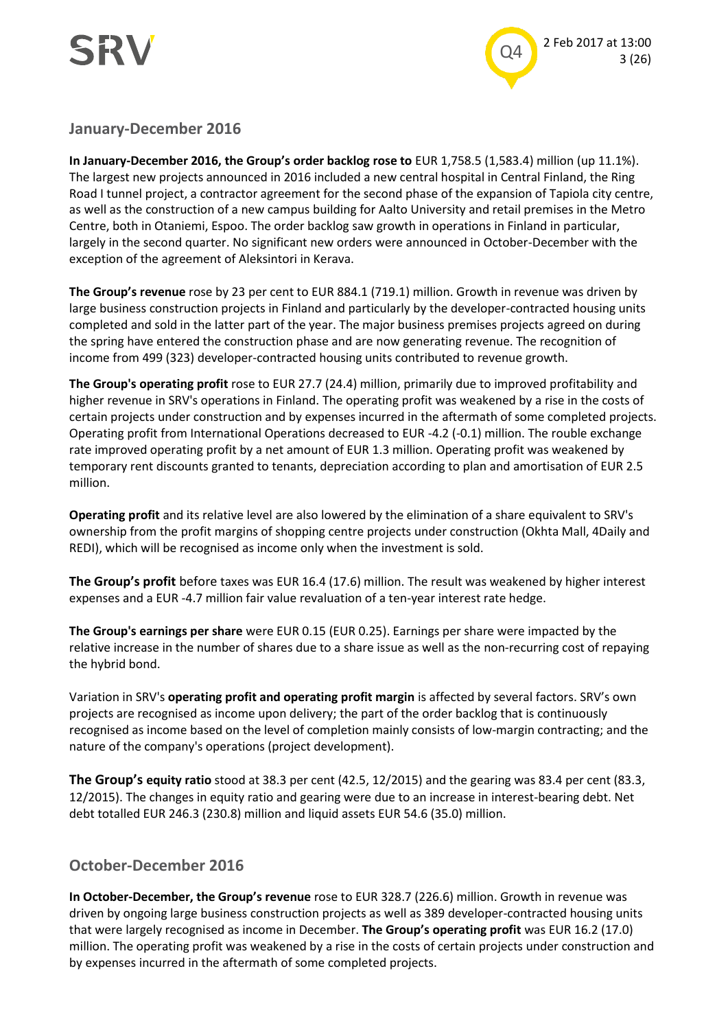



**January-December 2016**

**In January-December 2016, the Group's order backlog rose to** EUR 1,758.5 (1,583.4) million (up 11.1%). The largest new projects announced in 2016 included a new central hospital in Central Finland, the Ring Road I tunnel project, a contractor agreement for the second phase of the expansion of Tapiola city centre, as well as the construction of a new campus building for Aalto University and retail premises in the Metro Centre, both in Otaniemi, Espoo. The order backlog saw growth in operations in Finland in particular, largely in the second quarter. No significant new orders were announced in October-December with the exception of the agreement of Aleksintori in Kerava.

**The Group's revenue** rose by 23 per cent to EUR 884.1 (719.1) million. Growth in revenue was driven by large business construction projects in Finland and particularly by the developer-contracted housing units completed and sold in the latter part of the year. The major business premises projects agreed on during the spring have entered the construction phase and are now generating revenue. The recognition of income from 499 (323) developer-contracted housing units contributed to revenue growth.

**The Group's operating profit** rose to EUR 27.7 (24.4) million, primarily due to improved profitability and higher revenue in SRV's operations in Finland. The operating profit was weakened by a rise in the costs of certain projects under construction and by expenses incurred in the aftermath of some completed projects. Operating profit from International Operations decreased to EUR -4.2 (-0.1) million. The rouble exchange rate improved operating profit by a net amount of EUR 1.3 million. Operating profit was weakened by temporary rent discounts granted to tenants, depreciation according to plan and amortisation of EUR 2.5 million.

**Operating profit** and its relative level are also lowered by the elimination of a share equivalent to SRV's ownership from the profit margins of shopping centre projects under construction (Okhta Mall, 4Daily and REDI), which will be recognised as income only when the investment is sold.

**The Group's profit** before taxes was EUR 16.4 (17.6) million. The result was weakened by higher interest expenses and a EUR -4.7 million fair value revaluation of a ten-year interest rate hedge.

**The Group's earnings per share** were EUR 0.15 (EUR 0.25). Earnings per share were impacted by the relative increase in the number of shares due to a share issue as well as the non-recurring cost of repaying the hybrid bond.

Variation in SRV's **operating profit and operating profit margin** is affected by several factors. SRV's own projects are recognised as income upon delivery; the part of the order backlog that is continuously recognised as income based on the level of completion mainly consists of low-margin contracting; and the nature of the company's operations (project development).

**The Group's equity ratio** stood at 38.3 per cent (42.5, 12/2015) and the gearing was 83.4 per cent (83.3, 12/2015). The changes in equity ratio and gearing were due to an increase in interest-bearing debt. Net debt totalled EUR 246.3 (230.8) million and liquid assets EUR 54.6 (35.0) million.

#### **October-December 2016**

**In October-December, the Group's revenue** rose to EUR 328.7 (226.6) million. Growth in revenue was driven by ongoing large business construction projects as well as 389 developer-contracted housing units that were largely recognised as income in December. **The Group's operating profit** was EUR 16.2 (17.0) million. The operating profit was weakened by a rise in the costs of certain projects under construction and by expenses incurred in the aftermath of some completed projects.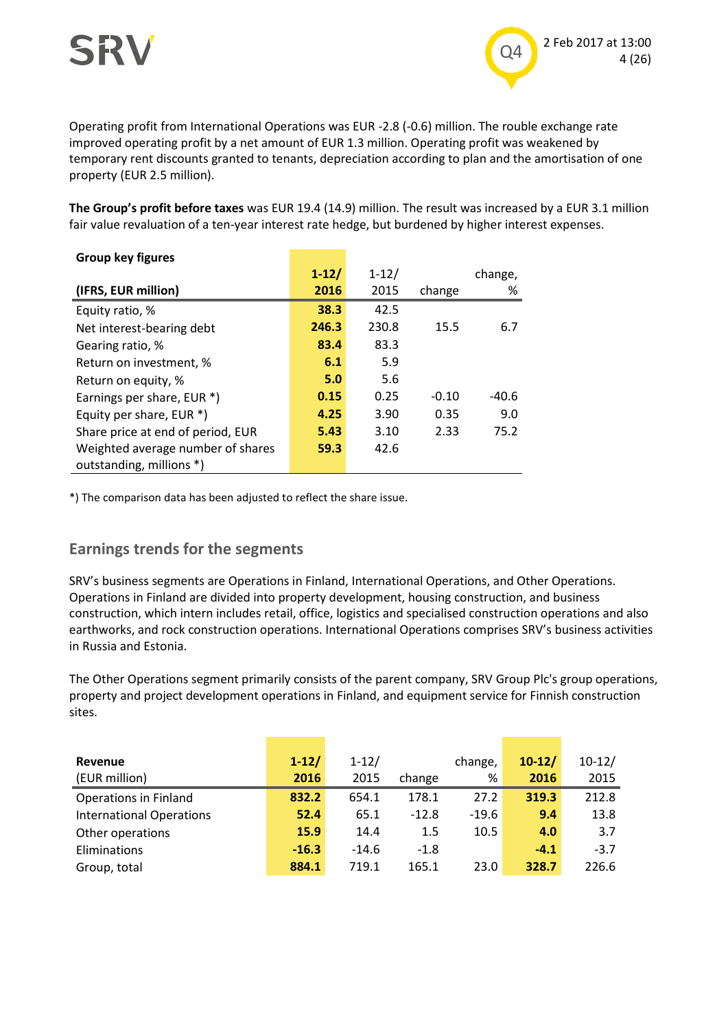

Operating profit from International Operations was EUR -2.8 (-0.6) million. The rouble exchange rate improved operating profit by a net amount of EUR 1.3 million. Operating profit was weakened by temporary rent discounts granted to tenants, depreciation according to plan and the amortisation of one property (EUR 2.5 million).

**The Group's profit before taxes** was EUR 19.4 (14.9) million. The result was increased by a EUR 3.1 million fair value revaluation of a ten-year interest rate hedge, but burdened by higher interest expenses.

| <b>Group key figures</b>          |           |           |         |         |
|-----------------------------------|-----------|-----------|---------|---------|
|                                   | $1 - 12/$ | $1 - 12/$ |         | change, |
| (IFRS, EUR million)               | 2016      | 2015      | change  | %       |
| Equity ratio, %                   | 38.3      | 42.5      |         |         |
| Net interest-bearing debt         | 246.3     | 230.8     | 15.5    | 6.7     |
| Gearing ratio, %                  | 83.4      | 83.3      |         |         |
| Return on investment, %           | 6.1       | 5.9       |         |         |
| Return on equity, %               | 5.0       | 5.6       |         |         |
| Earnings per share, EUR *)        | 0.15      | 0.25      | $-0.10$ | $-40.6$ |
| Equity per share, EUR *)          | 4.25      | 3.90      | 0.35    | 9.0     |
| Share price at end of period, EUR | 5.43      | 3.10      | 2.33    | 75.2    |
| Weighted average number of shares | 59.3      | 42.6      |         |         |
| outstanding, millions *)          |           |           |         |         |

\*) The comparison data has been adjusted to reflect the share issue.

#### **Earnings trends for the segments**

SRV's business segments are Operations in Finland, International Operations, and Other Operations. Operations in Finland are divided into property development, housing construction, and business construction, which intern includes retail, office, logistics and specialised construction operations and also earthworks, and rock construction operations. International Operations comprises SRV's business activities in Russia and Estonia.

The Other Operations segment primarily consists of the parent company, SRV Group Plc's group operations, property and project development operations in Finland, and equipment service for Finnish construction sites.

| Revenue<br>(EUR million)        | $1-12/$<br>2016 | $1 - 12/$<br>2015 | change  | change,<br>% | $10-12/$<br>2016 | $10-12/$<br>2015 |
|---------------------------------|-----------------|-------------------|---------|--------------|------------------|------------------|
| <b>Operations in Finland</b>    | 832.2           | 654.1             | 178.1   | 27.2         | 319.3            | 212.8            |
| <b>International Operations</b> | 52.4            | 65.1              | $-12.8$ | $-19.6$      | 9.4              | 13.8             |
| Other operations                | 15.9            | 14.4              | 1.5     | 10.5         | 4.0              | 3.7              |
| Eliminations                    | $-16.3$         | $-14.6$           | $-1.8$  |              | $-4.1$           | $-3.7$           |
| Group, total                    | 884.1           | 719.1             | 165.1   | 23.0         | 328.7            | 226.6            |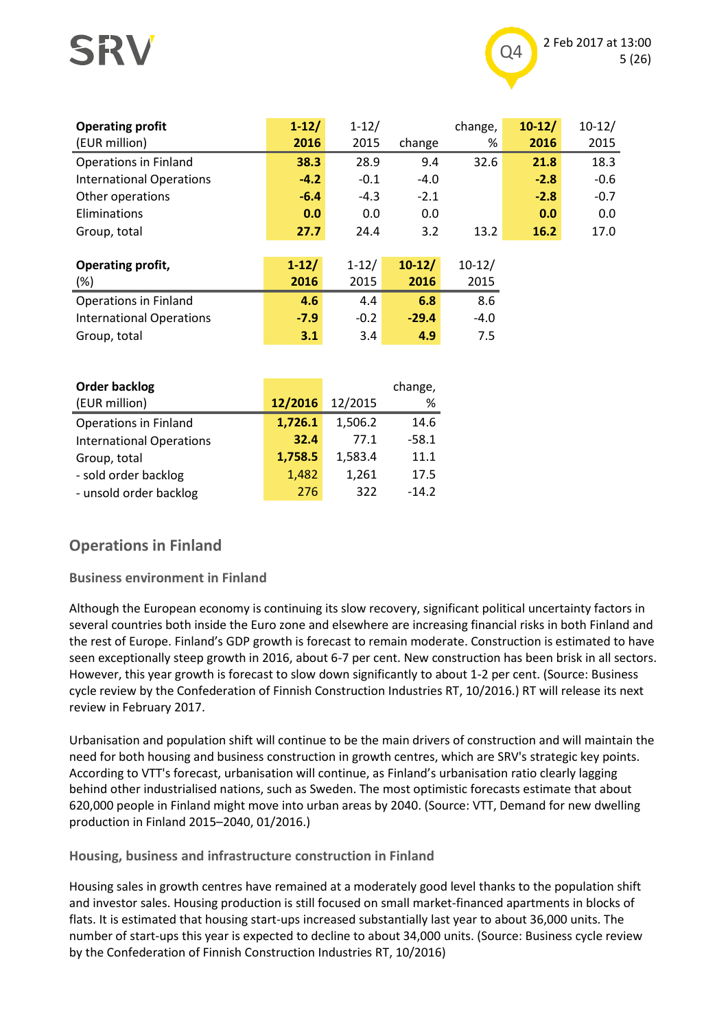## SRV



| <b>Operating profit</b><br>(EUR million) | $1 - 12/$<br>2016 | $1 - 12/$<br>2015 | change   | change,<br>% | $10-12/$<br>2016 | $10-12/$<br>2015 |
|------------------------------------------|-------------------|-------------------|----------|--------------|------------------|------------------|
| <b>Operations in Finland</b>             | 38.3              | 28.9              | 9.4      | 32.6         | 21.8             | 18.3             |
| <b>International Operations</b>          | $-4.2$            | $-0.1$            | $-4.0$   |              | $-2.8$           | $-0.6$           |
| Other operations                         | $-6.4$            | $-4.3$            | $-2.1$   |              | $-2.8$           | $-0.7$           |
| Eliminations                             | 0.0               | 0.0               | 0.0      |              | 0.0              | 0.0              |
| Group, total                             | 27.7              | 24.4              | 3.2      | 13.2         | 16.2             | 17.0             |
|                                          |                   |                   |          |              |                  |                  |
| Operating profit,                        | $1 - 12/$         | $1 - 12/$         | $10-12/$ | $10-12/$     |                  |                  |
| (%)                                      | 2016              | 2015              | 2016     | 2015         |                  |                  |
| <b>Operations in Finland</b>             | 4.6               | 4.4               | 6.8      | 8.6          |                  |                  |
| <b>International Operations</b>          | $-7.9$            | $-0.2$            | $-29.4$  | $-4.0$       |                  |                  |
| Group, total                             | 3.1               | 3.4               | 4.9      | 7.5          |                  |                  |

| Order backlog<br>(EUR million)  | 12/2016 | 12/2015 | change,<br>% |
|---------------------------------|---------|---------|--------------|
| <b>Operations in Finland</b>    | 1,726.1 | 1,506.2 | 14.6         |
| <b>International Operations</b> | 32.4    | 77.1    | $-58.1$      |
| Group, total                    | 1,758.5 | 1,583.4 | 11.1         |
| - sold order backlog            | 1,482   | 1,261   | 17.5         |
| - unsold order backlog          | 276     | 322     | $-14.2$      |

### **Operations in Finland**

#### **Business environment in Finland**

Although the European economy is continuing its slow recovery, significant political uncertainty factors in several countries both inside the Euro zone and elsewhere are increasing financial risks in both Finland and the rest of Europe. Finland's GDP growth is forecast to remain moderate. Construction is estimated to have seen exceptionally steep growth in 2016, about 6-7 per cent. New construction has been brisk in all sectors. However, this year growth is forecast to slow down significantly to about 1-2 per cent. (Source: Business cycle review by the Confederation of Finnish Construction Industries RT, 10/2016.) RT will release its next review in February 2017.

Urbanisation and population shift will continue to be the main drivers of construction and will maintain the need for both housing and business construction in growth centres, which are SRV's strategic key points. According to VTT's forecast, urbanisation will continue, as Finland's urbanisation ratio clearly lagging behind other industrialised nations, such as Sweden. The most optimistic forecasts estimate that about 620,000 people in Finland might move into urban areas by 2040. (Source: VTT, Demand for new dwelling production in Finland 2015–2040, 01/2016.)

**Housing, business and infrastructure construction in Finland**

Housing sales in growth centres have remained at a moderately good level thanks to the population shift and investor sales. Housing production is still focused on small market-financed apartments in blocks of flats. It is estimated that housing start-ups increased substantially last year to about 36,000 units. The number of start-ups this year is expected to decline to about 34,000 units. (Source: Business cycle review by the Confederation of Finnish Construction Industries RT, 10/2016)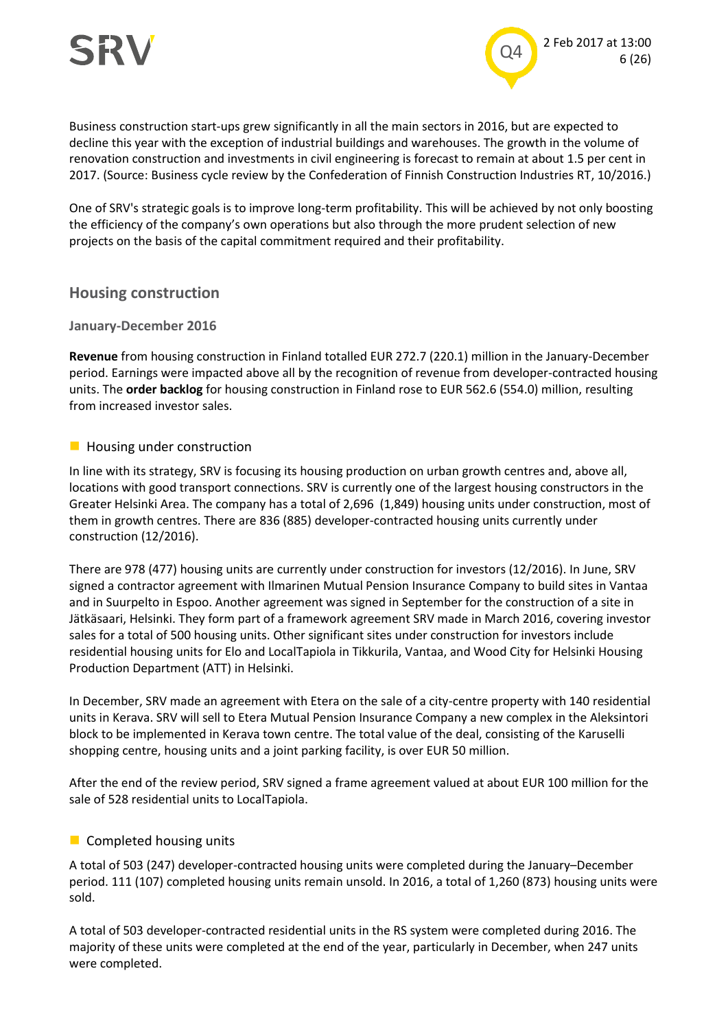

Business construction start-ups grew significantly in all the main sectors in 2016, but are expected to decline this year with the exception of industrial buildings and warehouses. The growth in the volume of renovation construction and investments in civil engineering is forecast to remain at about 1.5 per cent in 2017. (Source: Business cycle review by the Confederation of Finnish Construction Industries RT, 10/2016.)

One of SRV's strategic goals is to improve long-term profitability. This will be achieved by not only boosting the efficiency of the company's own operations but also through the more prudent selection of new projects on the basis of the capital commitment required and their profitability.

#### **Housing construction**

#### **January-December 2016**

**Revenue** from housing construction in Finland totalled EUR 272.7 (220.1) million in the January-December period. Earnings were impacted above all by the recognition of revenue from developer-contracted housing units. The **order backlog** for housing construction in Finland rose to EUR 562.6 (554.0) million, resulting from increased investor sales.

#### **Housing under construction**

In line with its strategy, SRV is focusing its housing production on urban growth centres and, above all, locations with good transport connections. SRV is currently one of the largest housing constructors in the Greater Helsinki Area. The company has a total of 2,696 (1,849) housing units under construction, most of them in growth centres. There are 836 (885) developer-contracted housing units currently under construction (12/2016).

There are 978 (477) housing units are currently under construction for investors (12/2016). In June, SRV signed a contractor agreement with Ilmarinen Mutual Pension Insurance Company to build sites in Vantaa and in Suurpelto in Espoo. Another agreement was signed in September for the construction of a site in Jätkäsaari, Helsinki. They form part of a framework agreement SRV made in March 2016, covering investor sales for a total of 500 housing units. Other significant sites under construction for investors include residential housing units for Elo and LocalTapiola in Tikkurila, Vantaa, and Wood City for Helsinki Housing Production Department (ATT) in Helsinki.

In December, SRV made an agreement with Etera on the sale of a city-centre property with 140 residential units in Kerava. SRV will sell to Etera Mutual Pension Insurance Company a new complex in the Aleksintori block to be implemented in Kerava town centre. The total value of the deal, consisting of the Karuselli shopping centre, housing units and a joint parking facility, is over EUR 50 million.

After the end of the review period, SRV signed a frame agreement valued at about EUR 100 million for the sale of 528 residential units to LocalTapiola.

#### **Completed housing units**

A total of 503 (247) developer-contracted housing units were completed during the January–December period. 111 (107) completed housing units remain unsold. In 2016, a total of 1,260 (873) housing units were sold.

A total of 503 developer-contracted residential units in the RS system were completed during 2016. The majority of these units were completed at the end of the year, particularly in December, when 247 units were completed.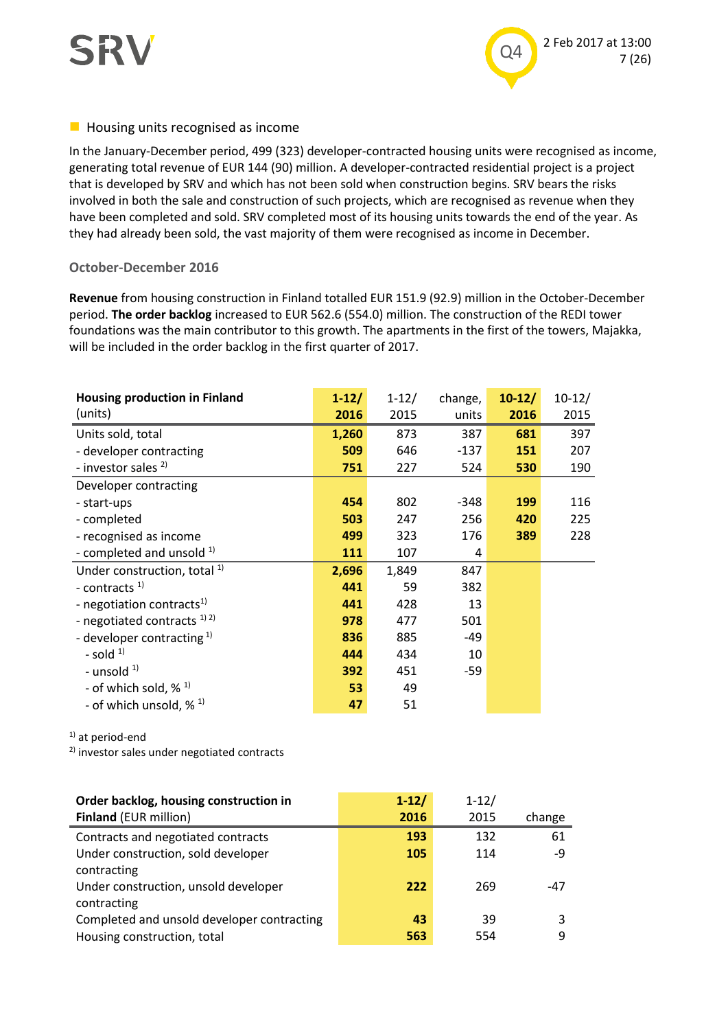



#### $\blacksquare$  Housing units recognised as income

In the January-December period, 499 (323) developer-contracted housing units were recognised as income, generating total revenue of EUR 144 (90) million. A developer-contracted residential project is a project that is developed by SRV and which has not been sold when construction begins. SRV bears the risks involved in both the sale and construction of such projects, which are recognised as revenue when they have been completed and sold. SRV completed most of its housing units towards the end of the year. As they had already been sold, the vast majority of them were recognised as income in December.

#### **October-December 2016**

**Revenue** from housing construction in Finland totalled EUR 151.9 (92.9) million in the October-December period. **The order backlog** increased to EUR 562.6 (554.0) million. The construction of the REDI tower foundations was the main contributor to this growth. The apartments in the first of the towers, Majakka, will be included in the order backlog in the first quarter of 2017.

| <b>Housing production in Finland</b>           | $1 - 12/$ | $1 - 12/$ | change, | $10-12/$   | $10-12/$ |
|------------------------------------------------|-----------|-----------|---------|------------|----------|
| (units)                                        | 2016      | 2015      | units   | 2016       | 2015     |
| Units sold, total                              | 1,260     | 873       | 387     | 681        | 397      |
| - developer contracting                        | 509       | 646       | $-137$  | 151        | 207      |
| - investor sales <sup>2)</sup>                 | 751       | 227       | 524     | 530        | 190      |
| Developer contracting                          |           |           |         |            |          |
| - start-ups                                    | 454       | 802       | -348    | <b>199</b> | 116      |
| - completed                                    | 503       | 247       | 256     | 420        | 225      |
| - recognised as income                         | 499       | 323       | 176     | 389        | 228      |
| - completed and unsold $1$ )                   | 111       | 107       | 4       |            |          |
| Under construction, total <sup>1)</sup>        | 2,696     | 1,849     | 847     |            |          |
| - contracts <sup>1)</sup>                      | 441       | 59        | 382     |            |          |
| - negotiation contracts <sup>1)</sup>          | 441       | 428       | 13      |            |          |
| - negotiated contracts $^{1/2}$                | 978       | 477       | 501     |            |          |
| - developer contracting $1$ )                  | 836       | 885       | -49     |            |          |
| - sold $1$                                     | 444       | 434       | 10      |            |          |
| - unsold <sup>1)</sup>                         | 392       | 451       | $-59$   |            |          |
| - of which sold, $\frac{1}{2}$ 1)              | 53        | 49        |         |            |          |
| - of which unsold, $\frac{1}{2}$ $\frac{1}{2}$ | 47        | 51        |         |            |          |

<sup>1)</sup> at period-end

<sup>2)</sup> investor sales under negotiated contracts

| Order backlog, housing construction in     | $1 - 12/$ | $1 - 12/$ |        |
|--------------------------------------------|-----------|-----------|--------|
| <b>Finland (EUR million)</b>               | 2016      | 2015      | change |
| Contracts and negotiated contracts         | 193       | 132       | 61     |
| Under construction, sold developer         | 105       | 114       | -9     |
| contracting                                |           |           |        |
| Under construction, unsold developer       | 222       | 269       | -47    |
| contracting                                |           |           |        |
| Completed and unsold developer contracting | 43        | 39        | 3      |
| Housing construction, total                | 563       | 554       | q      |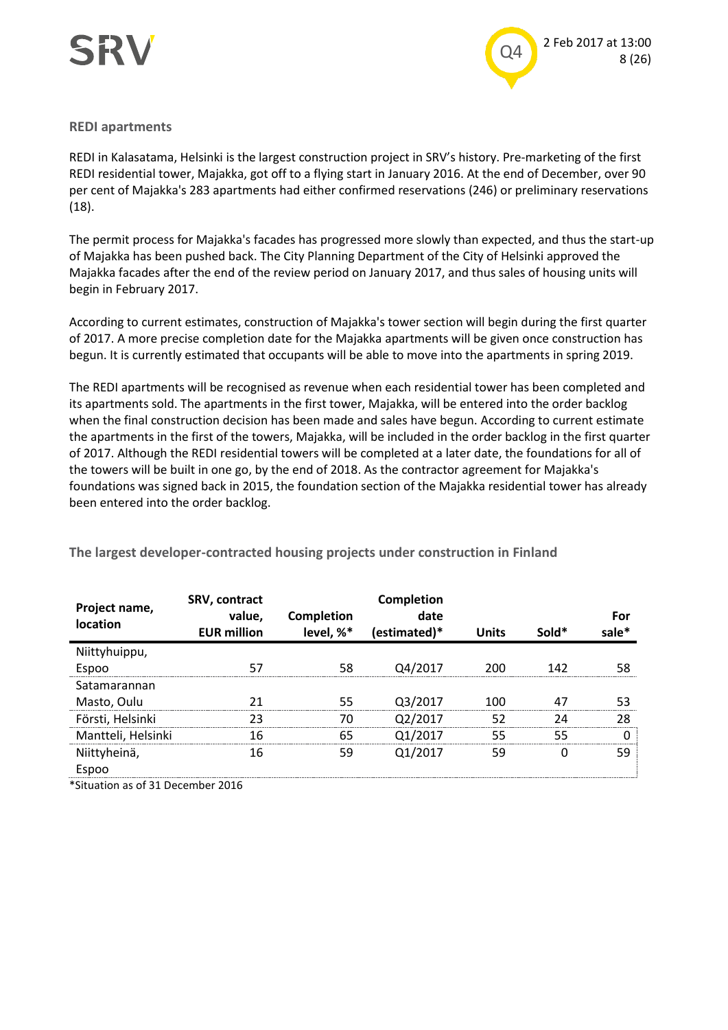

#### **REDI apartments**

REDI in Kalasatama, Helsinki is the largest construction project in SRV's history. Pre-marketing of the first REDI residential tower, Majakka, got off to a flying start in January 2016. At the end of December, over 90 per cent of Majakka's 283 apartments had either confirmed reservations (246) or preliminary reservations (18).

The permit process for Majakka's facades has progressed more slowly than expected, and thus the start-up of Majakka has been pushed back. The City Planning Department of the City of Helsinki approved the Majakka facades after the end of the review period on January 2017, and thus sales of housing units will begin in February 2017.

According to current estimates, construction of Majakka's tower section will begin during the first quarter of 2017. A more precise completion date for the Majakka apartments will be given once construction has begun. It is currently estimated that occupants will be able to move into the apartments in spring 2019.

The REDI apartments will be recognised as revenue when each residential tower has been completed and its apartments sold. The apartments in the first tower, Majakka, will be entered into the order backlog when the final construction decision has been made and sales have begun. According to current estimate the apartments in the first of the towers, Majakka, will be included in the order backlog in the first quarter of 2017. Although the REDI residential towers will be completed at a later date, the foundations for all of the towers will be built in one go, by the end of 2018. As the contractor agreement for Majakka's foundations was signed back in 2015, the foundation section of the Majakka residential tower has already been entered into the order backlog.

| Project name,<br>location | SRV, contract<br>value,<br><b>EUR million</b> | Completion<br>level, %* | <b>Completion</b><br>date<br>(estimated)* | Units | Sold* | For |
|---------------------------|-----------------------------------------------|-------------------------|-------------------------------------------|-------|-------|-----|
| Niittyhuippu,             |                                               |                         |                                           |       |       |     |
| Espoo                     |                                               |                         | Q4/2017                                   | 200   | 142   |     |
| Satamarannan              |                                               |                         |                                           |       |       |     |
| Masto, Oulu               |                                               | 55                      | Q3/2017                                   | 100   |       |     |
| Försti, Helsinki          | つっ                                            |                         | /2017                                     | 52    |       | 28  |
| Mantteli, Helsinki        | 16                                            | 65                      | /2017                                     | 55    | 55    |     |
|                           | 16                                            | 59                      | 01/2017                                   | 59    |       | 59  |
| Niittyheinä,<br>Espoo     |                                               |                         |                                           |       |       |     |

**The largest developer-contracted housing projects under construction in Finland**

\*Situation as of 31 December 2016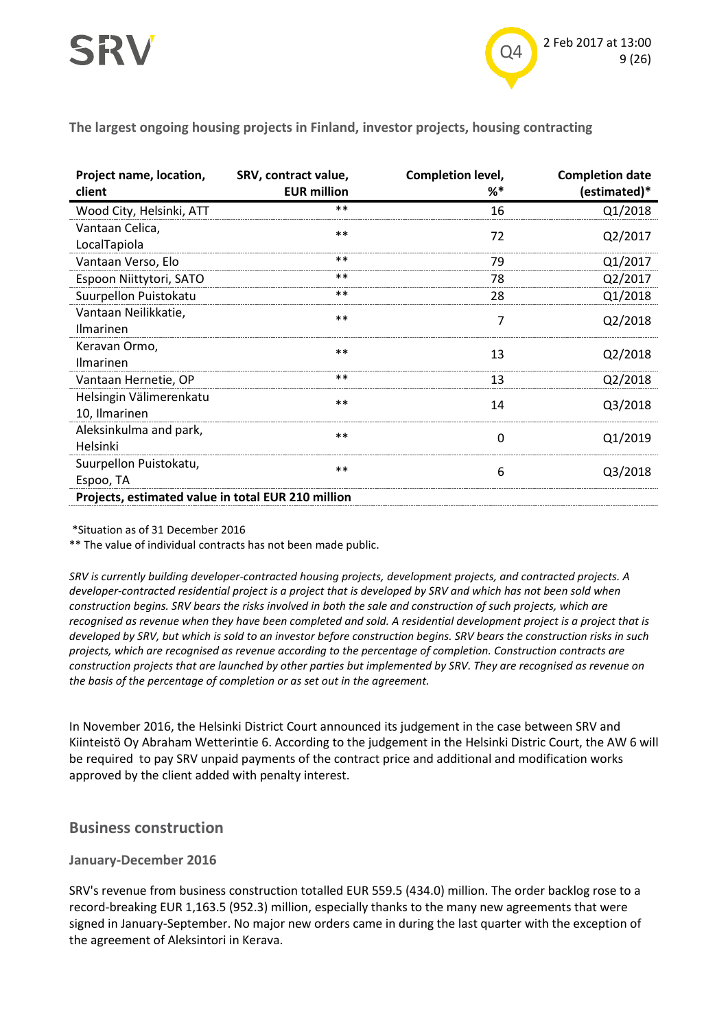

**The largest ongoing housing projects in Finland, investor projects, housing contracting**

| Project name, location,<br>client                  | SRV, contract value,<br><b>EUR million</b> | Completion level,<br>%* | <b>Completion date</b><br>(estimated)* |
|----------------------------------------------------|--------------------------------------------|-------------------------|----------------------------------------|
| Wood City, Helsinki, ATT                           | $**$                                       | 16                      | Q1/2018                                |
| Vantaan Celica,                                    | $**$                                       | 72                      | Q2/2017                                |
| LocalTapiola<br>Vantaan Verso, Elo                 | $**$                                       | 79                      | Q1/2017                                |
| Espoon Niittytori, SATO                            | $**$                                       | 78                      | Q2/2017                                |
| Suurpellon Puistokatu                              | $**$                                       | 28                      | Q1/2018                                |
| Vantaan Neilikkatie,<br>Ilmarinen                  | $**$                                       | 7                       | Q2/2018                                |
| Keravan Ormo,<br>Ilmarinen                         | $**$                                       | 13                      | Q2/2018                                |
| Vantaan Hernetie, OP                               | $**$                                       | 13                      | Q2/2018                                |
| Helsingin Välimerenkatu<br>10, Ilmarinen           | $***$                                      | 14                      | Q3/2018                                |
| Aleksinkulma and park,<br>Helsinki                 | $**$                                       | 0                       | Q1/2019                                |
| Suurpellon Puistokatu,<br>Espoo, TA                | $**$                                       | 6                       | Q3/2018                                |
| Projects, estimated value in total EUR 210 million |                                            |                         |                                        |

\*Situation as of 31 December 2016

\*\* The value of individual contracts has not been made public.

*SRV is currently building developer-contracted housing projects, development projects, and contracted projects. A developer-contracted residential project is a project that is developed by SRV and which has not been sold when construction begins. SRV bears the risks involved in both the sale and construction of such projects, which are recognised as revenue when they have been completed and sold. A residential development project is a project that is developed by SRV, but which is sold to an investor before construction begins. SRV bears the construction risks in such projects, which are recognised as revenue according to the percentage of completion. Construction contracts are construction projects that are launched by other parties but implemented by SRV. They are recognised as revenue on the basis of the percentage of completion or as set out in the agreement.*

In November 2016, the Helsinki District Court announced its judgement in the case between SRV and Kiinteistö Oy Abraham Wetterintie 6. According to the judgement in the Helsinki Distric Court, the AW 6 will be required to pay SRV unpaid payments of the contract price and additional and modification works approved by the client added with penalty interest.

#### **Business construction**

#### **January-December 2016**

SRV's revenue from business construction totalled EUR 559.5 (434.0) million. The order backlog rose to a record-breaking EUR 1,163.5 (952.3) million, especially thanks to the many new agreements that were signed in January-September. No major new orders came in during the last quarter with the exception of the agreement of Aleksintori in Kerava.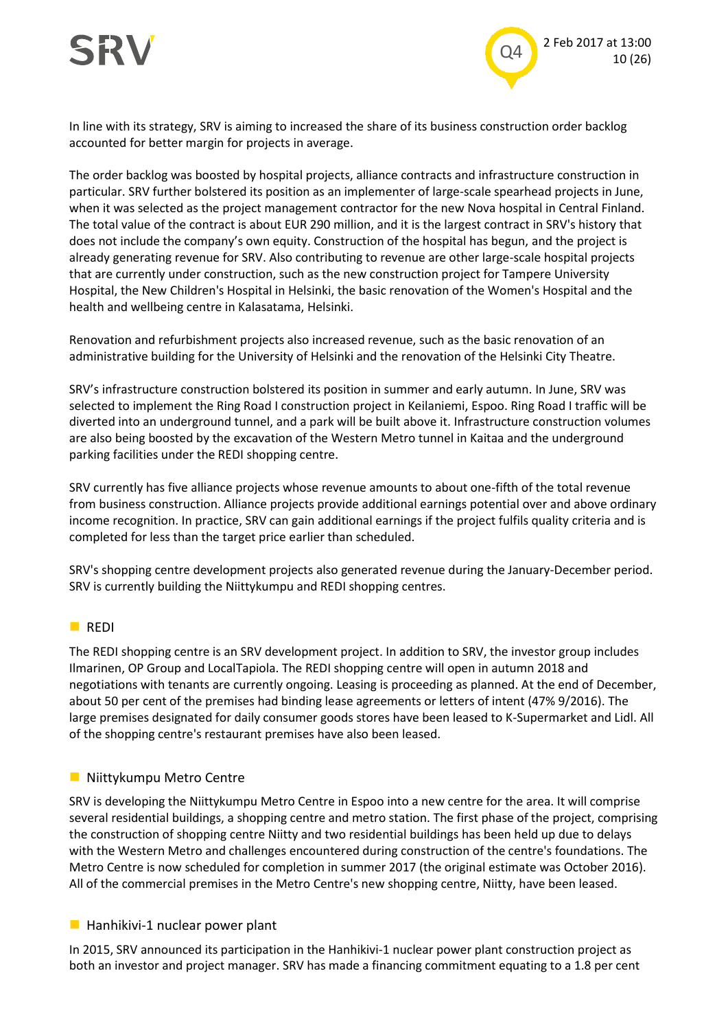

In line with its strategy, SRV is aiming to increased the share of its business construction order backlog accounted for better margin for projects in average.

The order backlog was boosted by hospital projects, alliance contracts and infrastructure construction in particular. SRV further bolstered its position as an implementer of large-scale spearhead projects in June, when it was selected as the project management contractor for the new Nova hospital in Central Finland. The total value of the contract is about EUR 290 million, and it is the largest contract in SRV's history that does not include the company's own equity. Construction of the hospital has begun, and the project is already generating revenue for SRV. Also contributing to revenue are other large-scale hospital projects that are currently under construction, such as the new construction project for Tampere University Hospital, the New Children's Hospital in Helsinki, the basic renovation of the Women's Hospital and the health and wellbeing centre in Kalasatama, Helsinki.

Renovation and refurbishment projects also increased revenue, such as the basic renovation of an administrative building for the University of Helsinki and the renovation of the Helsinki City Theatre.

SRV's infrastructure construction bolstered its position in summer and early autumn. In June, SRV was selected to implement the Ring Road I construction project in Keilaniemi, Espoo. Ring Road I traffic will be diverted into an underground tunnel, and a park will be built above it. Infrastructure construction volumes are also being boosted by the excavation of the Western Metro tunnel in Kaitaa and the underground parking facilities under the REDI shopping centre.

SRV currently has five alliance projects whose revenue amounts to about one-fifth of the total revenue from business construction. Alliance projects provide additional earnings potential over and above ordinary income recognition. In practice, SRV can gain additional earnings if the project fulfils quality criteria and is completed for less than the target price earlier than scheduled.

SRV's shopping centre development projects also generated revenue during the January-December period. SRV is currently building the Niittykumpu and REDI shopping centres.

#### **REDI**

The REDI shopping centre is an SRV development project. In addition to SRV, the investor group includes Ilmarinen, OP Group and LocalTapiola. The REDI shopping centre will open in autumn 2018 and negotiations with tenants are currently ongoing. Leasing is proceeding as planned. At the end of December, about 50 per cent of the premises had binding lease agreements or letters of intent (47% 9/2016). The large premises designated for daily consumer goods stores have been leased to K-Supermarket and Lidl. All of the shopping centre's restaurant premises have also been leased.

#### **Niittykumpu Metro Centre**

SRV is developing the Niittykumpu Metro Centre in Espoo into a new centre for the area. It will comprise several residential buildings, a shopping centre and metro station. The first phase of the project, comprising the construction of shopping centre Niitty and two residential buildings has been held up due to delays with the Western Metro and challenges encountered during construction of the centre's foundations. The Metro Centre is now scheduled for completion in summer 2017 (the original estimate was October 2016). All of the commercial premises in the Metro Centre's new shopping centre, Niitty, have been leased.

#### $\blacksquare$  Hanhikivi-1 nuclear power plant

In 2015, SRV announced its participation in the Hanhikivi-1 nuclear power plant construction project as both an investor and project manager. SRV has made a financing commitment equating to a 1.8 per cent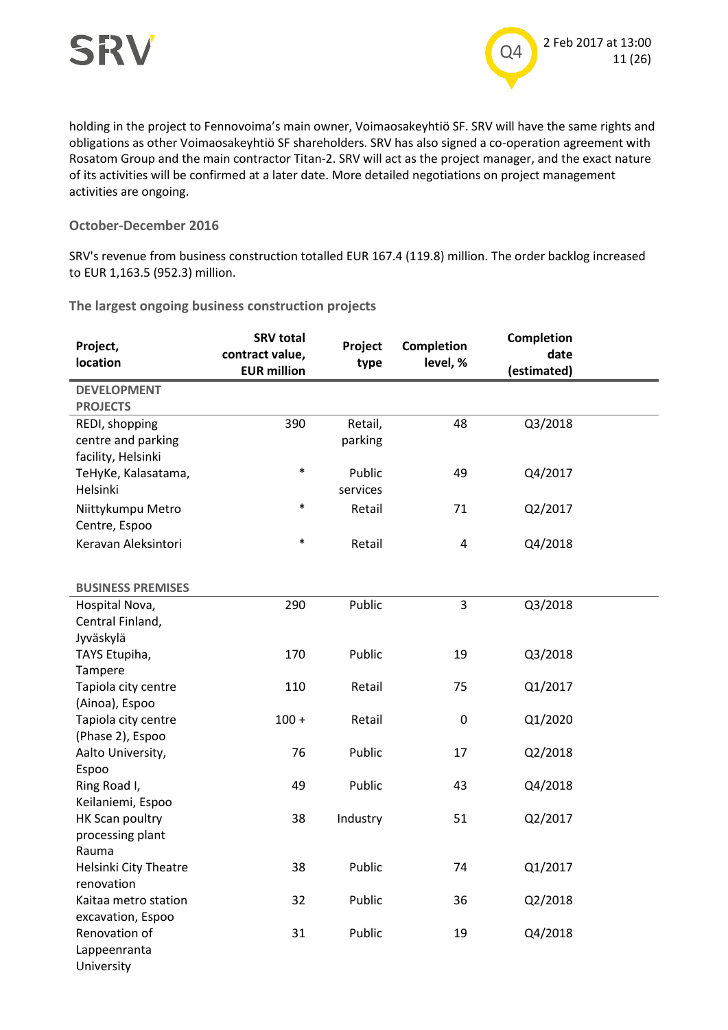

holding in the project to Fennovoima's main owner, Voimaosakeyhtiö SF. SRV will have the same rights and obligations as other Voimaosakeyhtiö SF shareholders. SRV has also signed a co-operation agreement with Rosatom Group and the main contractor Titan-2. SRV will act as the project manager, and the exact nature of its activities will be confirmed at a later date. More detailed negotiations on project management activities are ongoing.

#### **October-December 2016**

SRV's revenue from business construction totalled EUR 167.4 (119.8) million. The order backlog increased to EUR 1,163.5 (952.3) million.

**The largest ongoing business construction projects**

| Project,<br>location     | <b>SRV total</b><br>contract value, | Project<br>type | <b>Completion</b><br>level, % | Completion<br>date |  |
|--------------------------|-------------------------------------|-----------------|-------------------------------|--------------------|--|
|                          | <b>EUR million</b>                  |                 |                               | (estimated)        |  |
| <b>DEVELOPMENT</b>       |                                     |                 |                               |                    |  |
| <b>PROJECTS</b>          |                                     |                 |                               |                    |  |
| REDI, shopping           | 390                                 | Retail,         | 48                            | Q3/2018            |  |
| centre and parking       |                                     | parking         |                               |                    |  |
| facility, Helsinki       |                                     |                 |                               |                    |  |
| TeHyKe, Kalasatama,      | $\ast$                              | Public          | 49                            | Q4/2017            |  |
| Helsinki                 |                                     | services        |                               |                    |  |
| Niittykumpu Metro        | $\ast$                              | Retail          | 71                            | Q2/2017            |  |
| Centre, Espoo            |                                     |                 |                               |                    |  |
| Keravan Aleksintori      | $\ast$                              | Retail          | 4                             | Q4/2018            |  |
|                          |                                     |                 |                               |                    |  |
| <b>BUSINESS PREMISES</b> |                                     |                 |                               |                    |  |
| Hospital Nova,           | 290                                 | Public          | 3                             | Q3/2018            |  |
| Central Finland,         |                                     |                 |                               |                    |  |
| Jyväskylä                |                                     |                 |                               |                    |  |
| TAYS Etupiha,            | 170                                 | Public          | 19                            | Q3/2018            |  |
| Tampere                  |                                     |                 |                               |                    |  |
| Tapiola city centre      | 110                                 | Retail          | 75                            | Q1/2017            |  |
| (Ainoa), Espoo           |                                     |                 |                               |                    |  |
| Tapiola city centre      | $100 +$                             | Retail          | $\boldsymbol{0}$              | Q1/2020            |  |
| (Phase 2), Espoo         |                                     |                 |                               |                    |  |
| Aalto University,        | 76                                  | Public          | 17                            | Q2/2018            |  |
| Espoo                    |                                     |                 |                               |                    |  |
| Ring Road I,             | 49                                  | Public          | 43                            | Q4/2018            |  |
| Keilaniemi, Espoo        |                                     |                 |                               |                    |  |
| HK Scan poultry          | 38                                  | Industry        | 51                            | Q2/2017            |  |
| processing plant         |                                     |                 |                               |                    |  |
| Rauma                    |                                     |                 |                               |                    |  |
| Helsinki City Theatre    | 38                                  | Public          | 74                            | Q1/2017            |  |
| renovation               |                                     |                 |                               |                    |  |
| Kaitaa metro station     | 32                                  | Public          | 36                            | Q2/2018            |  |
| excavation, Espoo        |                                     |                 |                               |                    |  |
| Renovation of            | 31                                  | Public          | 19                            | Q4/2018            |  |
| Lappeenranta             |                                     |                 |                               |                    |  |
| University               |                                     |                 |                               |                    |  |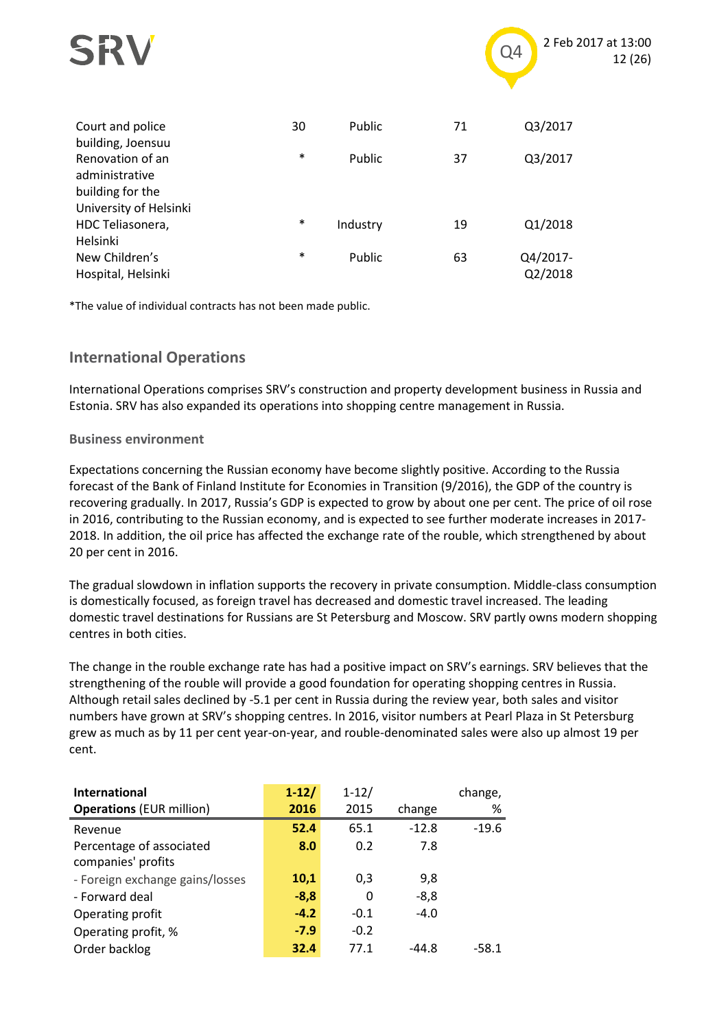

\*The value of individual contracts has not been made public.

### **International Operations**

International Operations comprises SRV's construction and property development business in Russia and Estonia. SRV has also expanded its operations into shopping centre management in Russia.

Q2/2018

#### **Business environment**

Hospital, Helsinki

Expectations concerning the Russian economy have become slightly positive. According to the Russia forecast of the Bank of Finland Institute for Economies in Transition (9/2016), the GDP of the country is recovering gradually. In 2017, Russia's GDP is expected to grow by about one per cent. The price of oil rose in 2016, contributing to the Russian economy, and is expected to see further moderate increases in 2017- 2018. In addition, the oil price has affected the exchange rate of the rouble, which strengthened by about 20 per cent in 2016.

The gradual slowdown in inflation supports the recovery in private consumption. Middle-class consumption is domestically focused, as foreign travel has decreased and domestic travel increased. The leading domestic travel destinations for Russians are St Petersburg and Moscow. SRV partly owns modern shopping centres in both cities.

The change in the rouble exchange rate has had a positive impact on SRV's earnings. SRV believes that the strengthening of the rouble will provide a good foundation for operating shopping centres in Russia. Although retail sales declined by -5.1 per cent in Russia during the review year, both sales and visitor numbers have grown at SRV's shopping centres. In 2016, visitor numbers at Pearl Plaza in St Petersburg grew as much as by 11 per cent year-on-year, and rouble-denominated sales were also up almost 19 per cent.

| <b>International</b>            | $1 - 12/$ | $1 - 12/$ |         | change, |
|---------------------------------|-----------|-----------|---------|---------|
| <b>Operations (EUR million)</b> | 2016      | 2015      | change  | %       |
| Revenue                         | 52.4      | 65.1      | $-12.8$ | $-19.6$ |
| Percentage of associated        | 8.0       | 0.2       | 7.8     |         |
| companies' profits              |           |           |         |         |
| - Foreign exchange gains/losses | 10,1      | 0,3       | 9,8     |         |
| - Forward deal                  | $-8,8$    | 0         | $-8,8$  |         |
| Operating profit                | $-4.2$    | $-0.1$    | $-4.0$  |         |
| Operating profit, %             | $-7.9$    | $-0.2$    |         |         |
| Order backlog                   | 32.4      | 77.1      | -44.8   | $-58.1$ |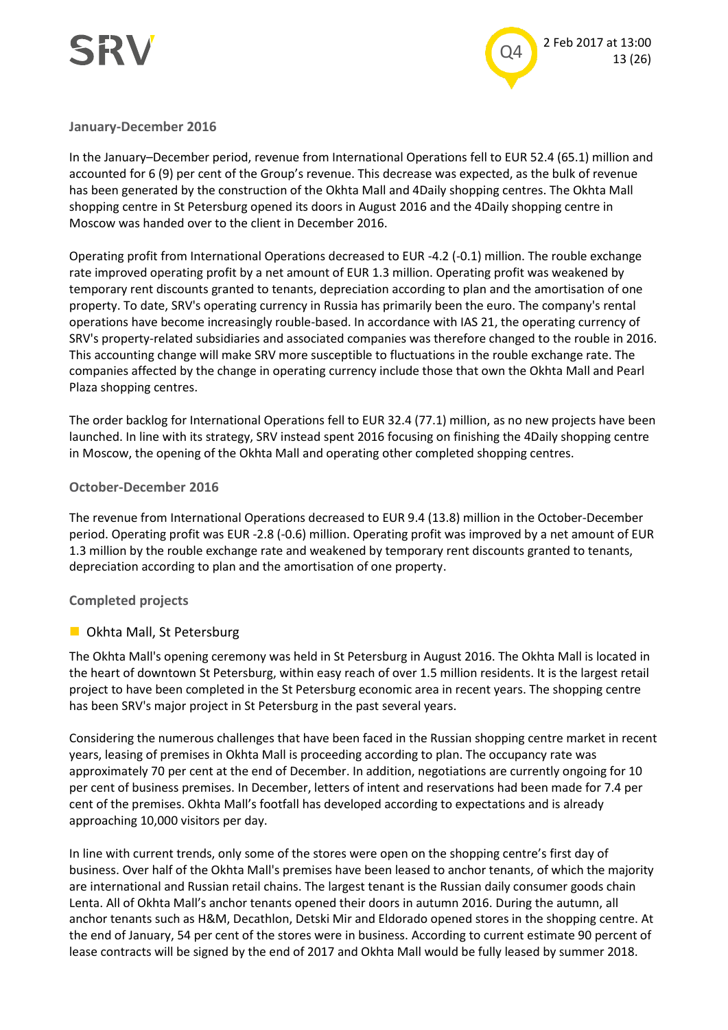



#### **January-December 2016**

In the January–December period, revenue from International Operations fell to EUR 52.4 (65.1) million and accounted for 6 (9) per cent of the Group's revenue. This decrease was expected, as the bulk of revenue has been generated by the construction of the Okhta Mall and 4Daily shopping centres. The Okhta Mall shopping centre in St Petersburg opened its doors in August 2016 and the 4Daily shopping centre in Moscow was handed over to the client in December 2016.

Operating profit from International Operations decreased to EUR -4.2 (-0.1) million. The rouble exchange rate improved operating profit by a net amount of EUR 1.3 million. Operating profit was weakened by temporary rent discounts granted to tenants, depreciation according to plan and the amortisation of one property. To date, SRV's operating currency in Russia has primarily been the euro. The company's rental operations have become increasingly rouble-based. In accordance with IAS 21, the operating currency of SRV's property-related subsidiaries and associated companies was therefore changed to the rouble in 2016. This accounting change will make SRV more susceptible to fluctuations in the rouble exchange rate. The companies affected by the change in operating currency include those that own the Okhta Mall and Pearl Plaza shopping centres.

The order backlog for International Operations fell to EUR 32.4 (77.1) million, as no new projects have been launched. In line with its strategy, SRV instead spent 2016 focusing on finishing the 4Daily shopping centre in Moscow, the opening of the Okhta Mall and operating other completed shopping centres.

#### **October-December 2016**

The revenue from International Operations decreased to EUR 9.4 (13.8) million in the October-December period. Operating profit was EUR -2.8 (-0.6) million. Operating profit was improved by a net amount of EUR 1.3 million by the rouble exchange rate and weakened by temporary rent discounts granted to tenants, depreciation according to plan and the amortisation of one property.

#### **Completed projects**

#### **D** Okhta Mall, St Petersburg

The Okhta Mall's opening ceremony was held in St Petersburg in August 2016. The Okhta Mall is located in the heart of downtown St Petersburg, within easy reach of over 1.5 million residents. It is the largest retail project to have been completed in the St Petersburg economic area in recent years. The shopping centre has been SRV's major project in St Petersburg in the past several years.

Considering the numerous challenges that have been faced in the Russian shopping centre market in recent years, leasing of premises in Okhta Mall is proceeding according to plan. The occupancy rate was approximately 70 per cent at the end of December. In addition, negotiations are currently ongoing for 10 per cent of business premises. In December, letters of intent and reservations had been made for 7.4 per cent of the premises. Okhta Mall's footfall has developed according to expectations and is already approaching 10,000 visitors per day.

In line with current trends, only some of the stores were open on the shopping centre's first day of business. Over half of the Okhta Mall's premises have been leased to anchor tenants, of which the majority are international and Russian retail chains. The largest tenant is the Russian daily consumer goods chain Lenta. All of Okhta Mall's anchor tenants opened their doors in autumn 2016. During the autumn, all anchor tenants such as H&M, Decathlon, Detski Mir and Eldorado opened stores in the shopping centre. At the end of January, 54 per cent of the stores were in business. According to current estimate 90 percent of lease contracts will be signed by the end of 2017 and Okhta Mall would be fully leased by summer 2018.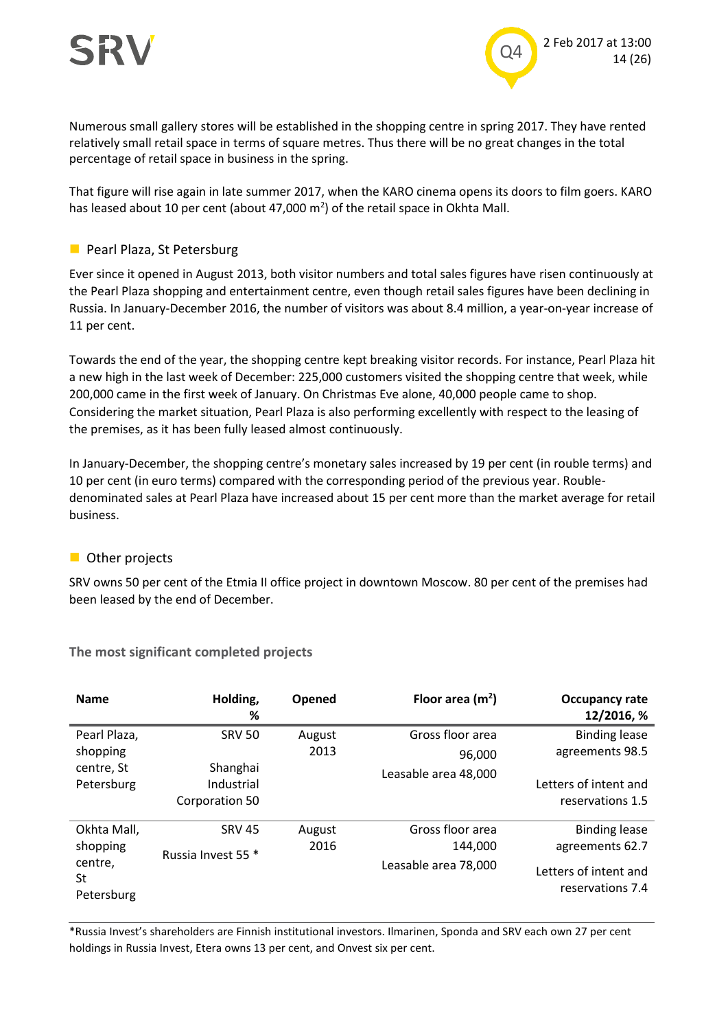

Numerous small gallery stores will be established in the shopping centre in spring 2017. They have rented relatively small retail space in terms of square metres. Thus there will be no great changes in the total percentage of retail space in business in the spring.

That figure will rise again in late summer 2017, when the KARO cinema opens its doors to film goers. KARO has leased about 10 per cent (about 47,000  $m<sup>2</sup>$ ) of the retail space in Okhta Mall.

#### **Pearl Plaza, St Petersburg**

Ever since it opened in August 2013, both visitor numbers and total sales figures have risen continuously at the Pearl Plaza shopping and entertainment centre, even though retail sales figures have been declining in Russia. In January-December 2016, the number of visitors was about 8.4 million, a year-on-year increase of 11 per cent.

Towards the end of the year, the shopping centre kept breaking visitor records. For instance, Pearl Plaza hit a new high in the last week of December: 225,000 customers visited the shopping centre that week, while 200,000 came in the first week of January. On Christmas Eve alone, 40,000 people came to shop. Considering the market situation, Pearl Plaza is also performing excellently with respect to the leasing of the premises, as it has been fully leased almost continuously.

In January-December, the shopping centre's monetary sales increased by 19 per cent (in rouble terms) and 10 per cent (in euro terms) compared with the corresponding period of the previous year. Roubledenominated sales at Pearl Plaza have increased about 15 per cent more than the market average for retail business.

#### **Other projects**

SRV owns 50 per cent of the Etmia II office project in downtown Moscow. 80 per cent of the premises had been leased by the end of December.

| <b>Name</b>                 | Holding,<br>%                            | Opened               | Floor area $(m2)$    | Occupancy rate<br>12/2016, %              |
|-----------------------------|------------------------------------------|----------------------|----------------------|-------------------------------------------|
| Pearl Plaza,                | <b>SRV 50</b>                            | August               | Gross floor area     | <b>Binding lease</b>                      |
| shopping                    |                                          | 2013                 | 96,000               | agreements 98.5                           |
| centre, St<br>Petersburg    | Shanghai<br>Industrial<br>Corporation 50 |                      | Leasable area 48,000 | Letters of intent and<br>reservations 1.5 |
| Okhta Mall,                 | <b>SRV 45</b>                            | August               | Gross floor area     | <b>Binding lease</b>                      |
| shopping                    | Russia Invest 55 *                       | 2016                 | 144.000              | agreements 62.7                           |
| centre,<br>St<br>Petersburg |                                          | Leasable area 78,000 |                      | Letters of intent and<br>reservations 7.4 |

**The most significant completed projects**

\*Russia Invest's shareholders are Finnish institutional investors. Ilmarinen, Sponda and SRV each own 27 per cent holdings in Russia Invest, Etera owns 13 per cent, and Onvest six per cent.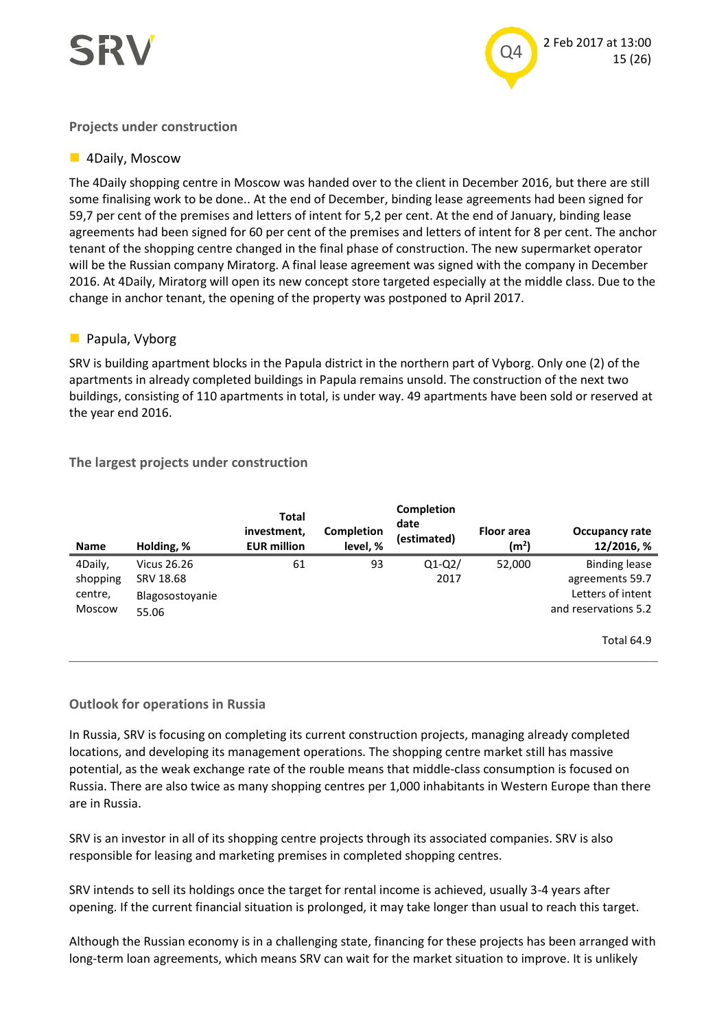

#### **Projects under construction**

#### **4Daily, Moscow**

The 4Daily shopping centre in Moscow was handed over to the client in December 2016, but there are still some finalising work to be done.. At the end of December, binding lease agreements had been signed for 59,7 per cent of the premises and letters of intent for 5,2 per cent. At the end of January, binding lease agreements had been signed for 60 per cent of the premises and letters of intent for 8 per cent. The anchor tenant of the shopping centre changed in the final phase of construction. The new supermarket operator will be the Russian company Miratorg. A final lease agreement was signed with the company in December 2016. At 4Daily, Miratorg will open its new concept store targeted especially at the middle class. Due to the change in anchor tenant, the opening of the property was postponed to April 2017.

#### **Papula, Vyborg**

SRV is building apartment blocks in the Papula district in the northern part of Vyborg. Only one (2) of the apartments in already completed buildings in Papula remains unsold. The construction of the next two buildings, consisting of 110 apartments in total, is under way. 49 apartments have been sold or reserved at the year end 2016.

#### **The largest projects under construction**

| <b>Name</b> | Holding, %         | <b>Total</b><br>investment,<br><b>EUR million</b> | Completion<br>level, % | Completion<br>date<br>(estimated) | <b>Floor</b> area<br>(m <sup>2</sup> ) | Occupancy rate<br>12/2016, % |
|-------------|--------------------|---------------------------------------------------|------------------------|-----------------------------------|----------------------------------------|------------------------------|
| 4Daily,     | <b>Vicus 26.26</b> | 61                                                | 93                     | $Q1-Q2/$                          | 52,000                                 | <b>Binding lease</b>         |
| shopping    | SRV 18.68          |                                                   |                        | 2017                              |                                        | agreements 59.7              |
| centre,     | Blagosostoyanie    |                                                   |                        |                                   |                                        | Letters of intent            |
| Moscow      | 55.06              |                                                   |                        |                                   |                                        | and reservations 5.2         |
|             |                    |                                                   |                        |                                   |                                        | <b>Total 64.9</b>            |

#### **Outlook for operations in Russia**

In Russia, SRV is focusing on completing its current construction projects, managing already completed locations, and developing its management operations. The shopping centre market still has massive potential, as the weak exchange rate of the rouble means that middle-class consumption is focused on Russia. There are also twice as many shopping centres per 1,000 inhabitants in Western Europe than there are in Russia.

SRV is an investor in all of its shopping centre projects through its associated companies. SRV is also responsible for leasing and marketing premises in completed shopping centres.

SRV intends to sell its holdings once the target for rental income is achieved, usually 3-4 years after opening. If the current financial situation is prolonged, it may take longer than usual to reach this target.

Although the Russian economy is in a challenging state, financing for these projects has been arranged with long-term loan agreements, which means SRV can wait for the market situation to improve. It is unlikely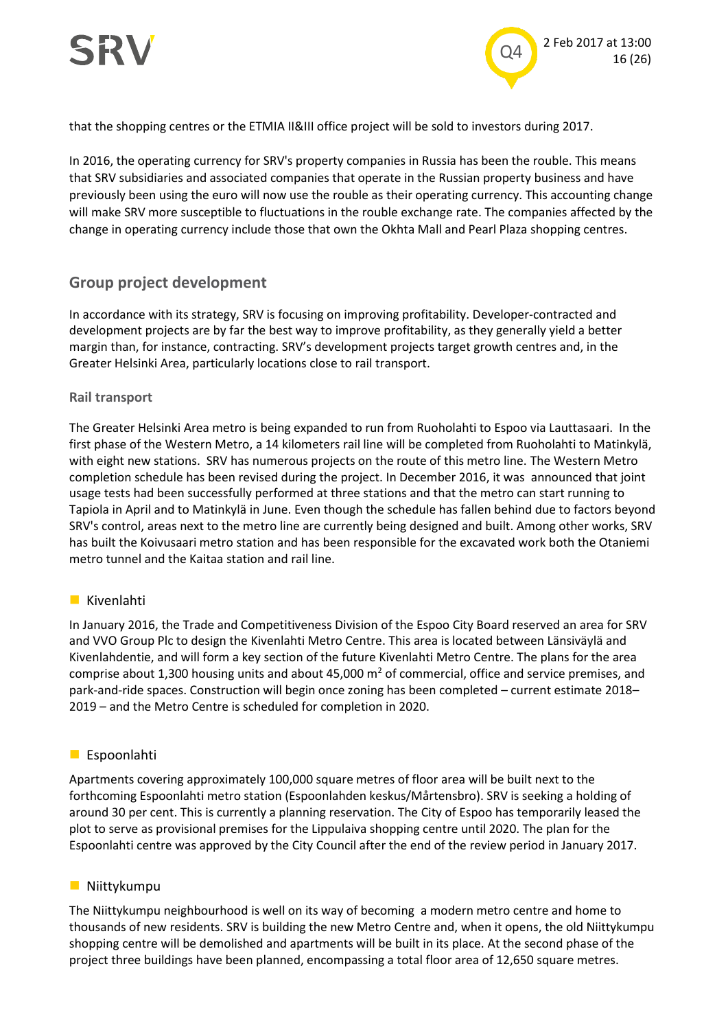

that the shopping centres or the ETMIA II&III office project will be sold to investors during 2017.

In 2016, the operating currency for SRV's property companies in Russia has been the rouble. This means that SRV subsidiaries and associated companies that operate in the Russian property business and have previously been using the euro will now use the rouble as their operating currency. This accounting change will make SRV more susceptible to fluctuations in the rouble exchange rate. The companies affected by the change in operating currency include those that own the Okhta Mall and Pearl Plaza shopping centres.

### **Group project development**

In accordance with its strategy, SRV is focusing on improving profitability. Developer-contracted and development projects are by far the best way to improve profitability, as they generally yield a better margin than, for instance, contracting. SRV's development projects target growth centres and, in the Greater Helsinki Area, particularly locations close to rail transport.

#### **Rail transport**

The Greater Helsinki Area metro is being expanded to run from Ruoholahti to Espoo via Lauttasaari. In the first phase of the Western Metro, a 14 kilometers rail line will be completed from Ruoholahti to Matinkylä, with eight new stations. SRV has numerous projects on the route of this metro line. The Western Metro completion schedule has been revised during the project. In December 2016, it was announced that joint usage tests had been successfully performed at three stations and that the metro can start running to Tapiola in April and to Matinkylä in June. Even though the schedule has fallen behind due to factors beyond SRV's control, areas next to the metro line are currently being designed and built. Among other works, SRV has built the Koivusaari metro station and has been responsible for the excavated work both the Otaniemi metro tunnel and the Kaitaa station and rail line.

#### **Kivenlahti**

In January 2016, the Trade and Competitiveness Division of the Espoo City Board reserved an area for SRV and VVO Group Plc to design the Kivenlahti Metro Centre. This area is located between Länsiväylä and Kivenlahdentie, and will form a key section of the future Kivenlahti Metro Centre. The plans for the area comprise about 1,300 housing units and about 45,000 m<sup>2</sup> of commercial, office and service premises, and park-and-ride spaces. Construction will begin once zoning has been completed – current estimate 2018– 2019 – and the Metro Centre is scheduled for completion in 2020.

#### **Espoonlahti**

Apartments covering approximately 100,000 square metres of floor area will be built next to the forthcoming Espoonlahti metro station (Espoonlahden keskus/Mårtensbro). SRV is seeking a holding of around 30 per cent. This is currently a planning reservation. The City of Espoo has temporarily leased the plot to serve as provisional premises for the Lippulaiva shopping centre until 2020. The plan for the Espoonlahti centre was approved by the City Council after the end of the review period in January 2017.

#### **Niittykumpu**

The Niittykumpu neighbourhood is well on its way of becoming a modern metro centre and home to thousands of new residents. SRV is building the new Metro Centre and, when it opens, the old Niittykumpu shopping centre will be demolished and apartments will be built in its place. At the second phase of the project three buildings have been planned, encompassing a total floor area of 12,650 square metres.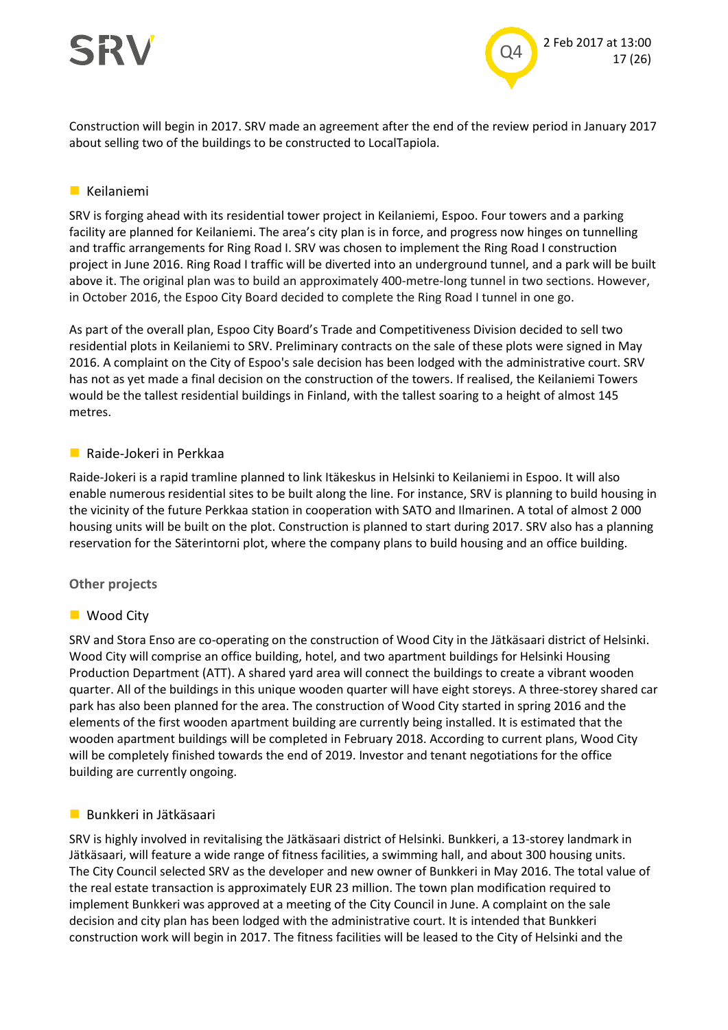

Construction will begin in 2017. SRV made an agreement after the end of the review period in January 2017 about selling two of the buildings to be constructed to LocalTapiola.

#### **Keilaniemi**

SRV is forging ahead with its residential tower project in Keilaniemi, Espoo. Four towers and a parking facility are planned for Keilaniemi. The area's city plan is in force, and progress now hinges on tunnelling and traffic arrangements for Ring Road I. SRV was chosen to implement the Ring Road I construction project in June 2016. Ring Road I traffic will be diverted into an underground tunnel, and a park will be built above it. The original plan was to build an approximately 400-metre-long tunnel in two sections. However, in October 2016, the Espoo City Board decided to complete the Ring Road I tunnel in one go.

As part of the overall plan, Espoo City Board's Trade and Competitiveness Division decided to sell two residential plots in Keilaniemi to SRV. Preliminary contracts on the sale of these plots were signed in May 2016. A complaint on the City of Espoo's sale decision has been lodged with the administrative court. SRV has not as yet made a final decision on the construction of the towers. If realised, the Keilaniemi Towers would be the tallest residential buildings in Finland, with the tallest soaring to a height of almost 145 metres.

#### Raide-Jokeri in Perkkaa

Raide-Jokeri is a rapid tramline planned to link Itäkeskus in Helsinki to Keilaniemi in Espoo. It will also enable numerous residential sites to be built along the line. For instance, SRV is planning to build housing in the vicinity of the future Perkkaa station in cooperation with SATO and Ilmarinen. A total of almost 2 000 housing units will be built on the plot. Construction is planned to start during 2017. SRV also has a planning reservation for the Säterintorni plot, where the company plans to build housing and an office building.

#### **Other projects**

#### ■ Wood City

SRV and Stora Enso are co-operating on the construction of Wood City in the Jätkäsaari district of Helsinki. Wood City will comprise an office building, hotel, and two apartment buildings for Helsinki Housing Production Department (ATT). A shared yard area will connect the buildings to create a vibrant wooden quarter. All of the buildings in this unique wooden quarter will have eight storeys. A three-storey shared car park has also been planned for the area. The construction of Wood City started in spring 2016 and the elements of the first wooden apartment building are currently being installed. It is estimated that the wooden apartment buildings will be completed in February 2018. According to current plans, Wood City will be completely finished towards the end of 2019. Investor and tenant negotiations for the office building are currently ongoing.

#### **Bunkkeri in Jätkäsaari**

SRV is highly involved in revitalising the Jätkäsaari district of Helsinki. Bunkkeri, a 13-storey landmark in Jätkäsaari, will feature a wide range of fitness facilities, a swimming hall, and about 300 housing units. The City Council selected SRV as the developer and new owner of Bunkkeri in May 2016. The total value of the real estate transaction is approximately EUR 23 million. The town plan modification required to implement Bunkkeri was approved at a meeting of the City Council in June. A complaint on the sale decision and city plan has been lodged with the administrative court. It is intended that Bunkkeri construction work will begin in 2017. The fitness facilities will be leased to the City of Helsinki and the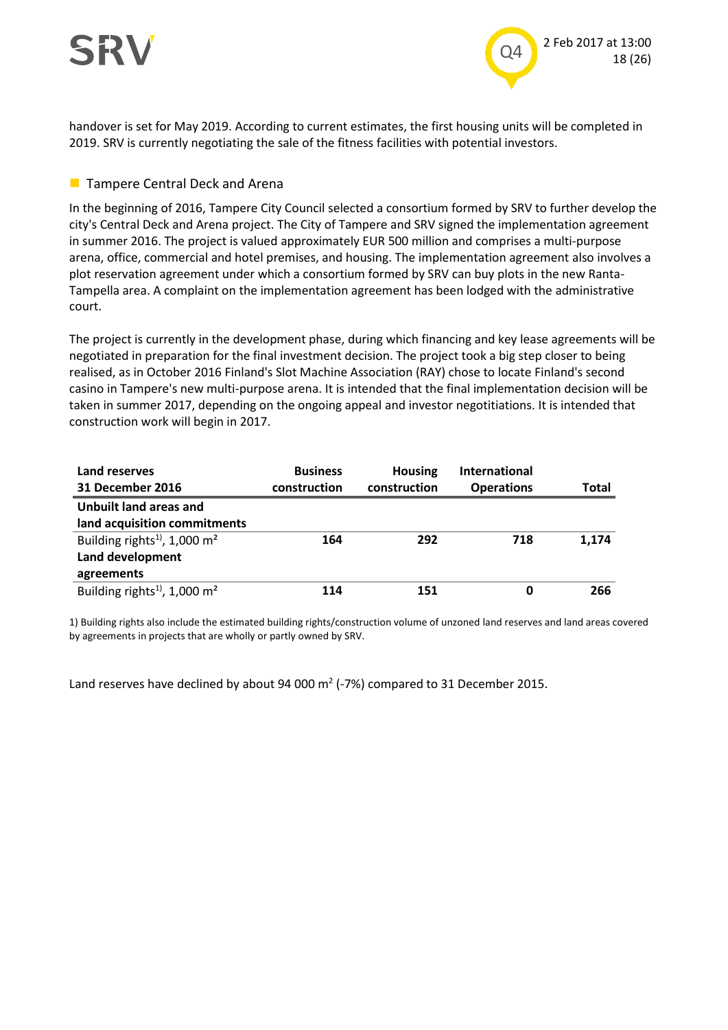# SRV



handover is set for May 2019. According to current estimates, the first housing units will be completed in 2019. SRV is currently negotiating the sale of the fitness facilities with potential investors.

#### **Tampere Central Deck and Arena**

In the beginning of 2016, Tampere City Council selected a consortium formed by SRV to further develop the city's Central Deck and Arena project. The City of Tampere and SRV signed the implementation agreement in summer 2016. The project is valued approximately EUR 500 million and comprises a multi-purpose arena, office, commercial and hotel premises, and housing. The implementation agreement also involves a plot reservation agreement under which a consortium formed by SRV can buy plots in the new Ranta-Tampella area. A complaint on the implementation agreement has been lodged with the administrative court.

The project is currently in the development phase, during which financing and key lease agreements will be negotiated in preparation for the final investment decision. The project took a big step closer to being realised, as in October 2016 Finland's Slot Machine Association (RAY) chose to locate Finland's second casino in Tampere's new multi-purpose arena. It is intended that the final implementation decision will be taken in summer 2017, depending on the ongoing appeal and investor negotitiations. It is intended that construction work will begin in 2017.

| Land reserves                                        | <b>Business</b> | <b>Housing</b> | <b>International</b> |       |
|------------------------------------------------------|-----------------|----------------|----------------------|-------|
| 31 December 2016                                     | construction    | construction   | <b>Operations</b>    | Total |
| Unbuilt land areas and                               |                 |                |                      |       |
| land acquisition commitments                         |                 |                |                      |       |
| Building rights <sup>1)</sup> , 1,000 m <sup>2</sup> | 164             | 292            | 718                  | 1,174 |
| Land development                                     |                 |                |                      |       |
| agreements                                           |                 |                |                      |       |
| Building rights <sup>1)</sup> , 1,000 m <sup>2</sup> | 114             | 151            | 0                    | 266   |

1) Building rights also include the estimated building rights/construction volume of unzoned land reserves and land areas covered by agreements in projects that are wholly or partly owned by SRV.

Land reserves have declined by about 94 000  $m^2$  (-7%) compared to 31 December 2015.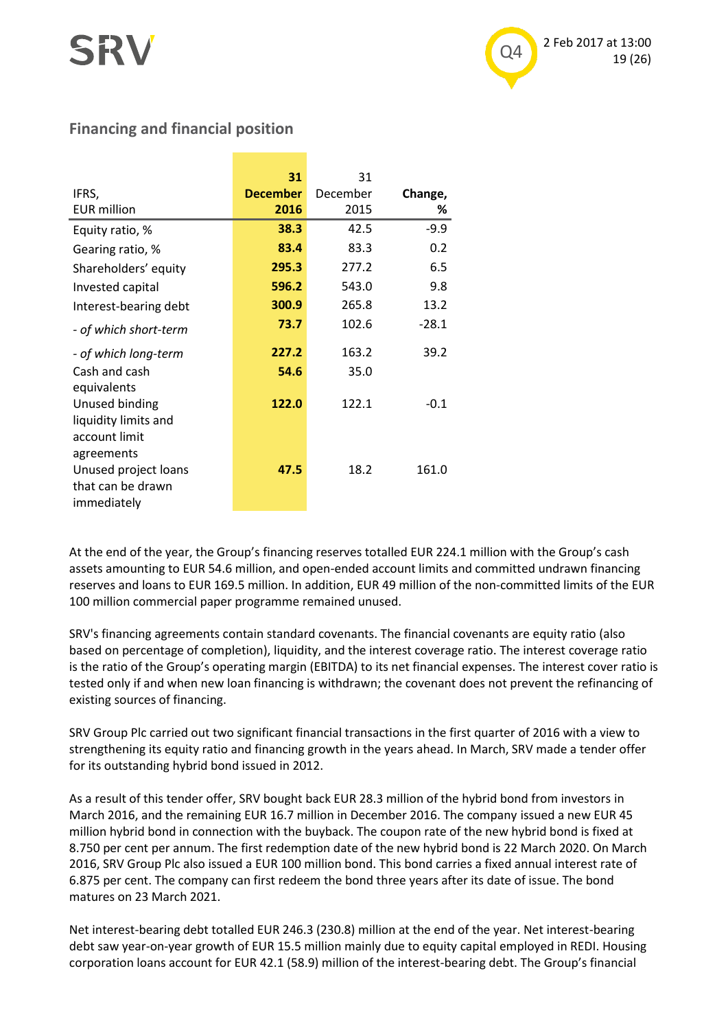### **Financing and financial position**

| IFRS,<br><b>EUR</b> million                                           | 31<br><b>December</b><br>2016 | 31<br>December<br>2015 | Change,<br>% |
|-----------------------------------------------------------------------|-------------------------------|------------------------|--------------|
| Equity ratio, %                                                       | 38.3                          | 42.5                   | $-9.9$       |
| Gearing ratio, %                                                      | 83.4                          | 83.3                   | 0.2          |
| Shareholders' equity                                                  | 295.3                         | 277.2                  | 6.5          |
| Invested capital                                                      | 596.2                         | 543.0                  | 9.8          |
| Interest-bearing debt                                                 | 300.9                         | 265.8                  | 13.2         |
| - of which short-term                                                 | 73.7                          | 102.6                  | $-28.1$      |
| - of which long-term                                                  | 227.2                         | 163.2                  | 39.2         |
| Cash and cash<br>equivalents                                          | 54.6                          | 35.0                   |              |
| Unused binding<br>liquidity limits and<br>account limit<br>agreements | 122.0                         | 122.1                  | $-0.1$       |
| Unused project loans<br>that can be drawn<br>immediately              | 47.5                          | 18.2                   | 161.0        |

At the end of the year, the Group's financing reserves totalled EUR 224.1 million with the Group's cash assets amounting to EUR 54.6 million, and open-ended account limits and committed undrawn financing reserves and loans to EUR 169.5 million. In addition, EUR 49 million of the non-committed limits of the EUR 100 million commercial paper programme remained unused.

SRV's financing agreements contain standard covenants. The financial covenants are equity ratio (also based on percentage of completion), liquidity, and the interest coverage ratio. The interest coverage ratio is the ratio of the Group's operating margin (EBITDA) to its net financial expenses. The interest cover ratio is tested only if and when new loan financing is withdrawn; the covenant does not prevent the refinancing of existing sources of financing.

SRV Group Plc carried out two significant financial transactions in the first quarter of 2016 with a view to strengthening its equity ratio and financing growth in the years ahead. In March, SRV made a tender offer for its outstanding hybrid bond issued in 2012.

As a result of this tender offer, SRV bought back EUR 28.3 million of the hybrid bond from investors in March 2016, and the remaining EUR 16.7 million in December 2016. The company issued a new EUR 45 million hybrid bond in connection with the buyback. The coupon rate of the new hybrid bond is fixed at 8.750 per cent per annum. The first redemption date of the new hybrid bond is 22 March 2020. On March 2016, SRV Group Plc also issued a EUR 100 million bond. This bond carries a fixed annual interest rate of 6.875 per cent. The company can first redeem the bond three years after its date of issue. The bond matures on 23 March 2021.

Net interest-bearing debt totalled EUR 246.3 (230.8) million at the end of the year. Net interest-bearing debt saw year-on-year growth of EUR 15.5 million mainly due to equity capital employed in REDI. Housing corporation loans account for EUR 42.1 (58.9) million of the interest-bearing debt. The Group's financial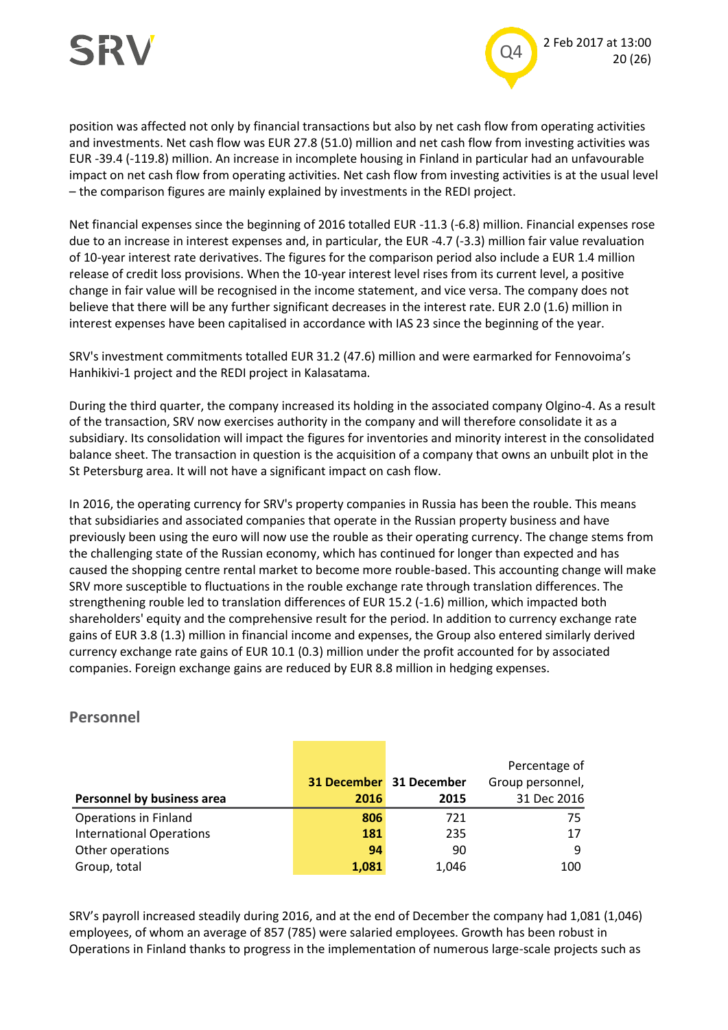# SRV



position was affected not only by financial transactions but also by net cash flow from operating activities and investments. Net cash flow was EUR 27.8 (51.0) million and net cash flow from investing activities was EUR -39.4 (-119.8) million. An increase in incomplete housing in Finland in particular had an unfavourable impact on net cash flow from operating activities. Net cash flow from investing activities is at the usual level – the comparison figures are mainly explained by investments in the REDI project.

Net financial expenses since the beginning of 2016 totalled EUR -11.3 (-6.8) million. Financial expenses rose due to an increase in interest expenses and, in particular, the EUR -4.7 (-3.3) million fair value revaluation of 10-year interest rate derivatives. The figures for the comparison period also include a EUR 1.4 million release of credit loss provisions. When the 10-year interest level rises from its current level, a positive change in fair value will be recognised in the income statement, and vice versa. The company does not believe that there will be any further significant decreases in the interest rate. EUR 2.0 (1.6) million in interest expenses have been capitalised in accordance with IAS 23 since the beginning of the year.

SRV's investment commitments totalled EUR 31.2 (47.6) million and were earmarked for Fennovoima's Hanhikivi-1 project and the REDI project in Kalasatama.

During the third quarter, the company increased its holding in the associated company Olgino-4. As a result of the transaction, SRV now exercises authority in the company and will therefore consolidate it as a subsidiary. Its consolidation will impact the figures for inventories and minority interest in the consolidated balance sheet. The transaction in question is the acquisition of a company that owns an unbuilt plot in the St Petersburg area. It will not have a significant impact on cash flow.

In 2016, the operating currency for SRV's property companies in Russia has been the rouble. This means that subsidiaries and associated companies that operate in the Russian property business and have previously been using the euro will now use the rouble as their operating currency. The change stems from the challenging state of the Russian economy, which has continued for longer than expected and has caused the shopping centre rental market to become more rouble-based. This accounting change will make SRV more susceptible to fluctuations in the rouble exchange rate through translation differences. The strengthening rouble led to translation differences of EUR 15.2 (-1.6) million, which impacted both shareholders' equity and the comprehensive result for the period. In addition to currency exchange rate gains of EUR 3.8 (1.3) million in financial income and expenses, the Group also entered similarly derived currency exchange rate gains of EUR 10.1 (0.3) million under the profit accounted for by associated companies. Foreign exchange gains are reduced by EUR 8.8 million in hedging expenses.

|                                 |       |                                | Percentage of    |
|---------------------------------|-------|--------------------------------|------------------|
|                                 |       | <b>31 December</b> 31 December | Group personnel, |
| Personnel by business area      | 2016  | 2015                           | 31 Dec 2016      |
| <b>Operations in Finland</b>    | 806   | 721                            | 75               |
| <b>International Operations</b> | 181   | 235                            | 17               |
| Other operations                | 94    | 90                             | 9                |
| Group, total                    | 1,081 | 1,046                          | 100              |

#### **Personnel**

SRV's payroll increased steadily during 2016, and at the end of December the company had 1,081 (1,046) employees, of whom an average of 857 (785) were salaried employees. Growth has been robust in Operations in Finland thanks to progress in the implementation of numerous large-scale projects such as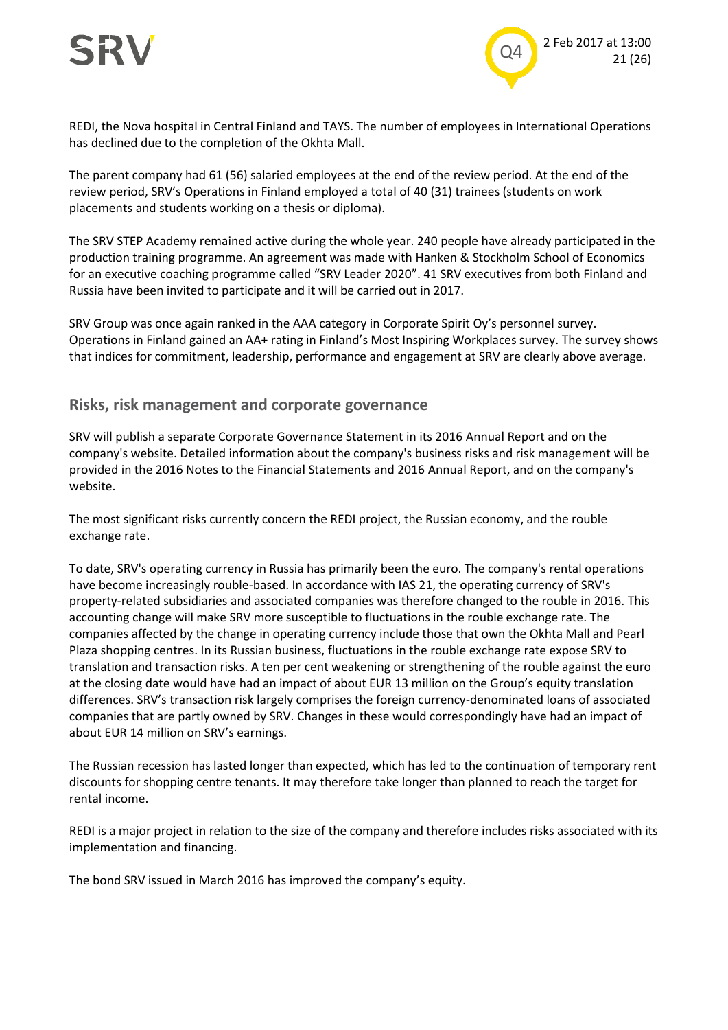

REDI, the Nova hospital in Central Finland and TAYS. The number of employees in International Operations has declined due to the completion of the Okhta Mall.

The parent company had 61 (56) salaried employees at the end of the review period. At the end of the review period, SRV's Operations in Finland employed a total of 40 (31) trainees (students on work placements and students working on a thesis or diploma).

The SRV STEP Academy remained active during the whole year. 240 people have already participated in the production training programme. An agreement was made with Hanken & [Stockholm School of Economics](https://www.hhs.se/) for an executive coaching programme called "SRV Leader 2020". 41 SRV executives from both Finland and Russia have been invited to participate and it will be carried out in 2017.

SRV Group was once again ranked in the AAA category in Corporate Spirit Oy's personnel survey. Operations in Finland gained an AA+ rating in Finland's Most Inspiring Workplaces survey. The survey shows that indices for commitment, leadership, performance and engagement at SRV are clearly above average.

#### **Risks, risk management and corporate governance**

SRV will publish a separate Corporate Governance Statement in its 2016 Annual Report and on the company's website. Detailed information about the company's business risks and risk management will be provided in the 2016 Notes to the Financial Statements and 2016 Annual Report, and on the company's website.

The most significant risks currently concern the REDI project, the Russian economy, and the rouble exchange rate.

To date, SRV's operating currency in Russia has primarily been the euro. The company's rental operations have become increasingly rouble-based. In accordance with IAS 21, the operating currency of SRV's property-related subsidiaries and associated companies was therefore changed to the rouble in 2016. This accounting change will make SRV more susceptible to fluctuations in the rouble exchange rate. The companies affected by the change in operating currency include those that own the Okhta Mall and Pearl Plaza shopping centres. In its Russian business, fluctuations in the rouble exchange rate expose SRV to translation and transaction risks. A ten per cent weakening or strengthening of the rouble against the euro at the closing date would have had an impact of about EUR 13 million on the Group's equity translation differences. SRV's transaction risk largely comprises the foreign currency-denominated loans of associated companies that are partly owned by SRV. Changes in these would correspondingly have had an impact of about EUR 14 million on SRV's earnings.

The Russian recession has lasted longer than expected, which has led to the continuation of temporary rent discounts for shopping centre tenants. It may therefore take longer than planned to reach the target for rental income.

REDI is a major project in relation to the size of the company and therefore includes risks associated with its implementation and financing.

The bond SRV issued in March 2016 has improved the company's equity.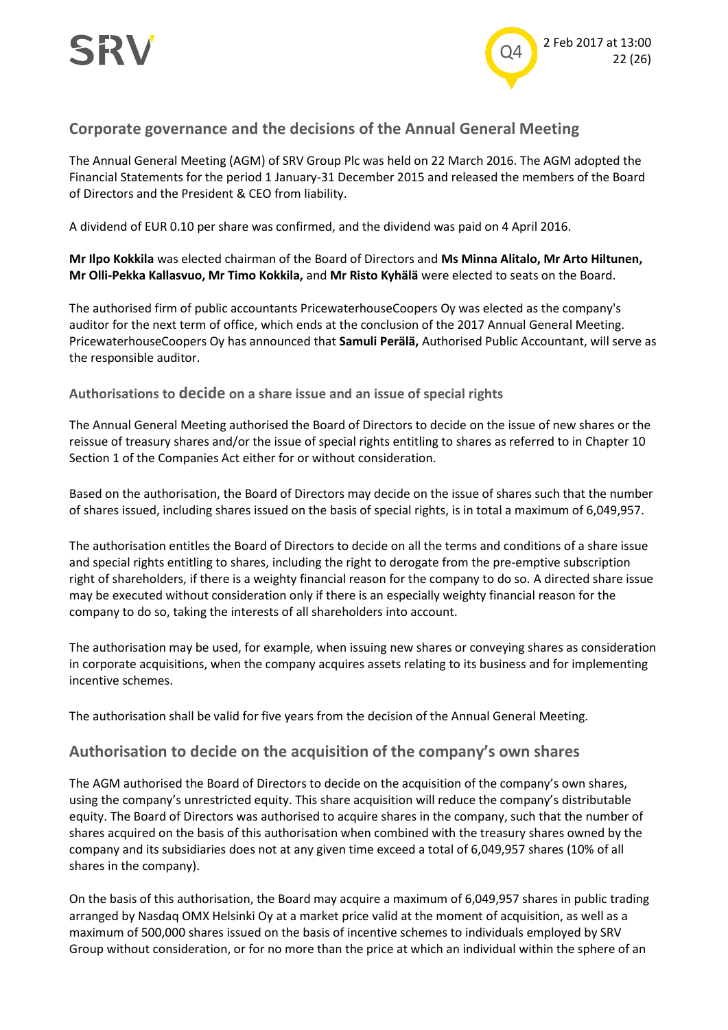

### **Corporate governance and the decisions of the Annual General Meeting**

The Annual General Meeting (AGM) of SRV Group Plc was held on 22 March 2016. The AGM adopted the Financial Statements for the period 1 January-31 December 2015 and released the members of the Board of Directors and the President & CEO from liability.

A dividend of EUR 0.10 per share was confirmed, and the dividend was paid on 4 April 2016.

**Mr Ilpo Kokkila** was elected chairman of the Board of Directors and **Ms Minna Alitalo, Mr Arto Hiltunen, Mr Olli-Pekka Kallasvuo, Mr Timo Kokkila,** and **Mr Risto Kyhälä** were elected to seats on the Board.

The authorised firm of public accountants PricewaterhouseCoopers Oy was elected as the company's auditor for the next term of office, which ends at the conclusion of the 2017 Annual General Meeting. PricewaterhouseCoopers Oy has announced that **Samuli Perälä,** Authorised Public Accountant, will serve as the responsible auditor.

**Authorisations to decide on a share issue and an issue of special rights**

The Annual General Meeting authorised the Board of Directors to decide on the issue of new shares or the reissue of treasury shares and/or the issue of special rights entitling to shares as referred to in Chapter 10 Section 1 of the Companies Act either for or without consideration.

Based on the authorisation, the Board of Directors may decide on the issue of shares such that the number of shares issued, including shares issued on the basis of special rights, is in total a maximum of 6,049,957.

The authorisation entitles the Board of Directors to decide on all the terms and conditions of a share issue and special rights entitling to shares, including the right to derogate from the pre-emptive subscription right of shareholders, if there is a weighty financial reason for the company to do so. A directed share issue may be executed without consideration only if there is an especially weighty financial reason for the company to do so, taking the interests of all shareholders into account.

The authorisation may be used, for example, when issuing new shares or conveying shares as consideration in corporate acquisitions, when the company acquires assets relating to its business and for implementing incentive schemes.

The authorisation shall be valid for five years from the decision of the Annual General Meeting.

#### **Authorisation to decide on the acquisition of the company's own shares**

The AGM authorised the Board of Directors to decide on the acquisition of the company's own shares, using the company's unrestricted equity. This share acquisition will reduce the company's distributable equity. The Board of Directors was authorised to acquire shares in the company, such that the number of shares acquired on the basis of this authorisation when combined with the treasury shares owned by the company and its subsidiaries does not at any given time exceed a total of 6,049,957 shares (10% of all shares in the company).

On the basis of this authorisation, the Board may acquire a maximum of 6,049,957 shares in public trading arranged by Nasdaq OMX Helsinki Oy at a market price valid at the moment of acquisition, as well as a maximum of 500,000 shares issued on the basis of incentive schemes to individuals employed by SRV Group without consideration, or for no more than the price at which an individual within the sphere of an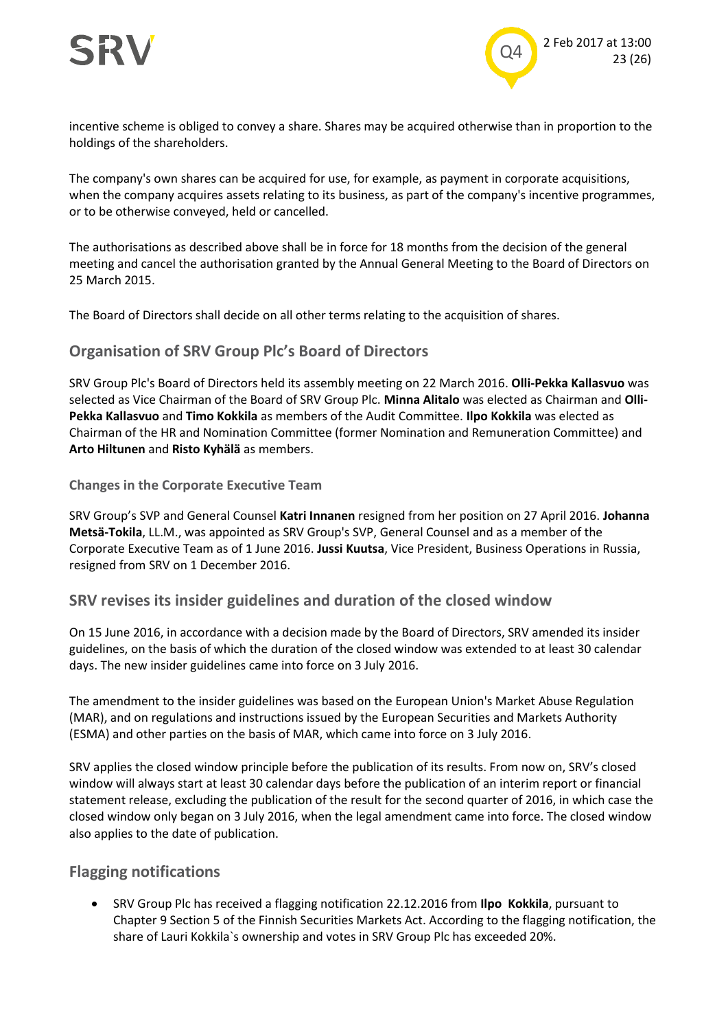

incentive scheme is obliged to convey a share. Shares may be acquired otherwise than in proportion to the holdings of the shareholders.

The company's own shares can be acquired for use, for example, as payment in corporate acquisitions, when the company acquires assets relating to its business, as part of the company's incentive programmes, or to be otherwise conveyed, held or cancelled.

The authorisations as described above shall be in force for 18 months from the decision of the general meeting and cancel the authorisation granted by the Annual General Meeting to the Board of Directors on 25 March 2015.

The Board of Directors shall decide on all other terms relating to the acquisition of shares.

### **Organisation of SRV Group Plc's Board of Directors**

SRV Group Plc's Board of Directors held its assembly meeting on 22 March 2016. **Olli-Pekka Kallasvuo** was selected as Vice Chairman of the Board of SRV Group Plc. **Minna Alitalo** was elected as Chairman and **Olli-Pekka Kallasvuo** and **Timo Kokkila** as members of the Audit Committee. **Ilpo Kokkila** was elected as Chairman of the HR and Nomination Committee (former Nomination and Remuneration Committee) and **Arto Hiltunen** and **Risto Kyhälä** as members.

#### **Changes in the Corporate Executive Team**

SRV Group's SVP and General Counsel **Katri Innanen** resigned from her position on 27 April 2016. **Johanna Metsä-Tokila**, LL.M., was appointed as SRV Group's SVP, General Counsel and as a member of the Corporate Executive Team as of 1 June 2016. **Jussi Kuutsa**, Vice President, Business Operations in Russia, resigned from SRV on 1 December 2016.

#### **SRV revises its insider guidelines and duration of the closed window**

On 15 June 2016, in accordance with a decision made by the Board of Directors, SRV amended its insider guidelines, on the basis of which the duration of the closed window was extended to at least 30 calendar days. The new insider guidelines came into force on 3 July 2016.

The amendment to the insider guidelines was based on the European Union's Market Abuse Regulation (MAR), and on regulations and instructions issued by the European Securities and Markets Authority (ESMA) and other parties on the basis of MAR, which came into force on 3 July 2016.

SRV applies the closed window principle before the publication of its results. From now on, SRV's closed window will always start at least 30 calendar days before the publication of an interim report or financial statement release, excluding the publication of the result for the second quarter of 2016, in which case the closed window only began on 3 July 2016, when the legal amendment came into force. The closed window also applies to the date of publication.

#### **Flagging notifications**

 SRV Group Plc has received a flagging notification 22.12.2016 from **Ilpo Kokkila**, pursuant to Chapter 9 Section 5 of the Finnish Securities Markets Act. According to the flagging notification, the share of Lauri Kokkila`s ownership and votes in SRV Group Plc has exceeded 20%.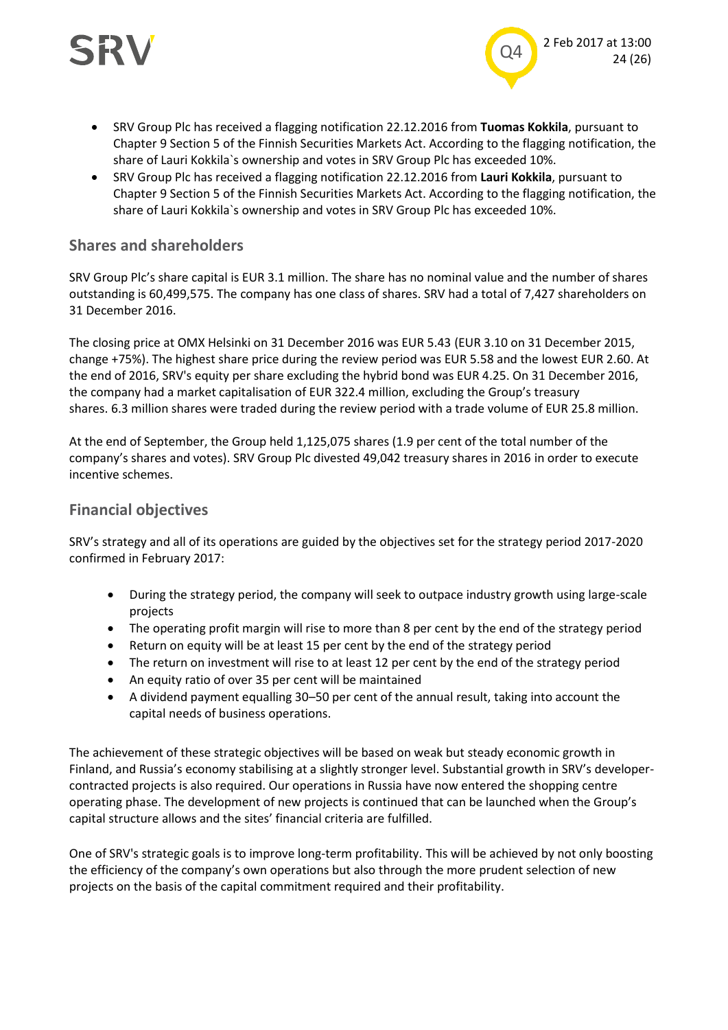



- SRV Group Plc has received a flagging notification 22.12.2016 from **Tuomas Kokkila**, pursuant to Chapter 9 Section 5 of the Finnish Securities Markets Act. According to the flagging notification, the share of Lauri Kokkila`s ownership and votes in SRV Group Plc has exceeded 10%.
- SRV Group Plc has received a flagging notification 22.12.2016 from **Lauri Kokkila**, pursuant to Chapter 9 Section 5 of the Finnish Securities Markets Act. According to the flagging notification, the share of Lauri Kokkila`s ownership and votes in SRV Group Plc has exceeded 10%.

#### **Shares and shareholders**

SRV Group Plc's share capital is EUR 3.1 million. The share has no nominal value and the number of shares outstanding is 60,499,575. The company has one class of shares. SRV had a total of 7,427 shareholders on 31 December 2016.

The closing price at OMX Helsinki on 31 December 2016 was EUR 5.43 (EUR 3.10 on 31 December 2015, change +75%). The highest share price during the review period was EUR 5.58 and the lowest EUR 2.60. At the end of 2016, SRV's equity per share excluding the hybrid bond was EUR 4.25. On 31 December 2016, the company had a market capitalisation of EUR 322.4 million, excluding the Group's treasury shares. 6.3 million shares were traded during the review period with a trade volume of EUR 25.8 million.

At the end of September, the Group held 1,125,075 shares (1.9 per cent of the total number of the company's shares and votes). SRV Group Plc divested 49,042 treasury shares in 2016 in order to execute incentive schemes.

#### **Financial objectives**

SRV's strategy and all of its operations are guided by the objectives set for the strategy period 2017-2020 confirmed in February 2017:

- During the strategy period, the company will seek to outpace industry growth using large-scale projects
- The operating profit margin will rise to more than 8 per cent by the end of the strategy period
- Return on equity will be at least 15 per cent by the end of the strategy period
- The return on investment will rise to at least 12 per cent by the end of the strategy period
- An equity ratio of over 35 per cent will be maintained
- A dividend payment equalling 30–50 per cent of the annual result, taking into account the capital needs of business operations.

The achievement of these strategic objectives will be based on weak but steady economic growth in Finland, and Russia's economy stabilising at a slightly stronger level. Substantial growth in SRV's developercontracted projects is also required. Our operations in Russia have now entered the shopping centre operating phase. The development of new projects is continued that can be launched when the Group's capital structure allows and the sites' financial criteria are fulfilled.

One of SRV's strategic goals is to improve long-term profitability. This will be achieved by not only boosting the efficiency of the company's own operations but also through the more prudent selection of new projects on the basis of the capital commitment required and their profitability.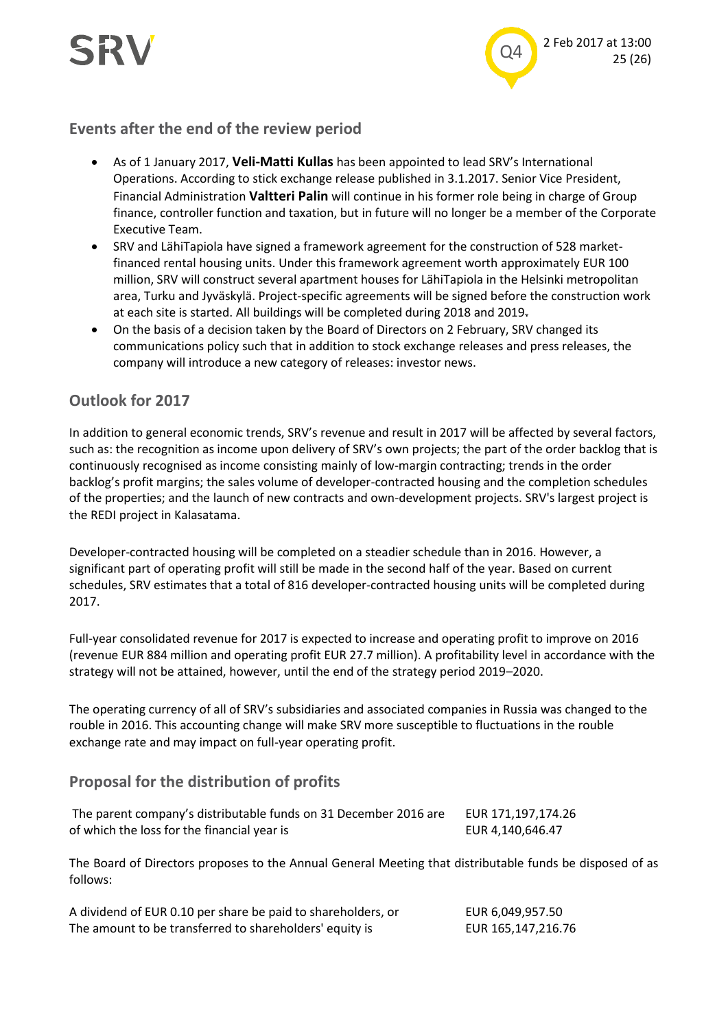



#### **Events after the end of the review period**

- As of 1 January 2017, **Veli-Matti Kullas** has been appointed to lead SRV's International Operations. According to stick exchange release published in 3.1.2017. Senior Vice President, Financial Administration **Valtteri Palin** will continue in his former role being in charge of Group finance, controller function and taxation, but in future will no longer be a member of the Corporate Executive Team.
- SRV and LähiTapiola have signed a framework agreement for the construction of 528 marketfinanced rental housing units. Under this framework agreement worth approximately EUR 100 million, SRV will construct several apartment houses for LähiTapiola in the Helsinki metropolitan area, Turku and Jyväskylä. Project-specific agreements will be signed before the construction work at each site is started. All buildings will be completed during 2018 and 2019.
- On the basis of a decision taken by the Board of Directors on 2 February, SRV changed its communications policy such that in addition to stock exchange releases and press releases, the company will introduce a new category of releases: investor news.

#### **Outlook for 2017**

In addition to general economic trends, SRV's revenue and result in 2017 will be affected by several factors, such as: the recognition as income upon delivery of SRV's own projects; the part of the order backlog that is continuously recognised as income consisting mainly of low-margin contracting; trends in the order backlog's profit margins; the sales volume of developer-contracted housing and the completion schedules of the properties; and the launch of new contracts and own-development projects. SRV's largest project is the REDI project in Kalasatama.

Developer-contracted housing will be completed on a steadier schedule than in 2016. However, a significant part of operating profit will still be made in the second half of the year. Based on current schedules, SRV estimates that a total of 816 developer-contracted housing units will be completed during 2017.

Full-year consolidated revenue for 2017 is expected to increase and operating profit to improve on 2016 (revenue EUR 884 million and operating profit EUR 27.7 million). A profitability level in accordance with the strategy will not be attained, however, until the end of the strategy period 2019–2020.

The operating currency of all of SRV's subsidiaries and associated companies in Russia was changed to the rouble in 2016. This accounting change will make SRV more susceptible to fluctuations in the rouble exchange rate and may impact on full-year operating profit.

#### **Proposal for the distribution of profits**

| The parent company's distributable funds on 31 December 2016 are | EUR 171,197,174.26 |
|------------------------------------------------------------------|--------------------|
| of which the loss for the financial year is                      | EUR 4,140,646.47   |

The Board of Directors proposes to the Annual General Meeting that distributable funds be disposed of as follows:

A dividend of EUR 0.10 per share be paid to shareholders, or EUR 6,049,957.50 The amount to be transferred to shareholders' equity is EUR 165,147,216.76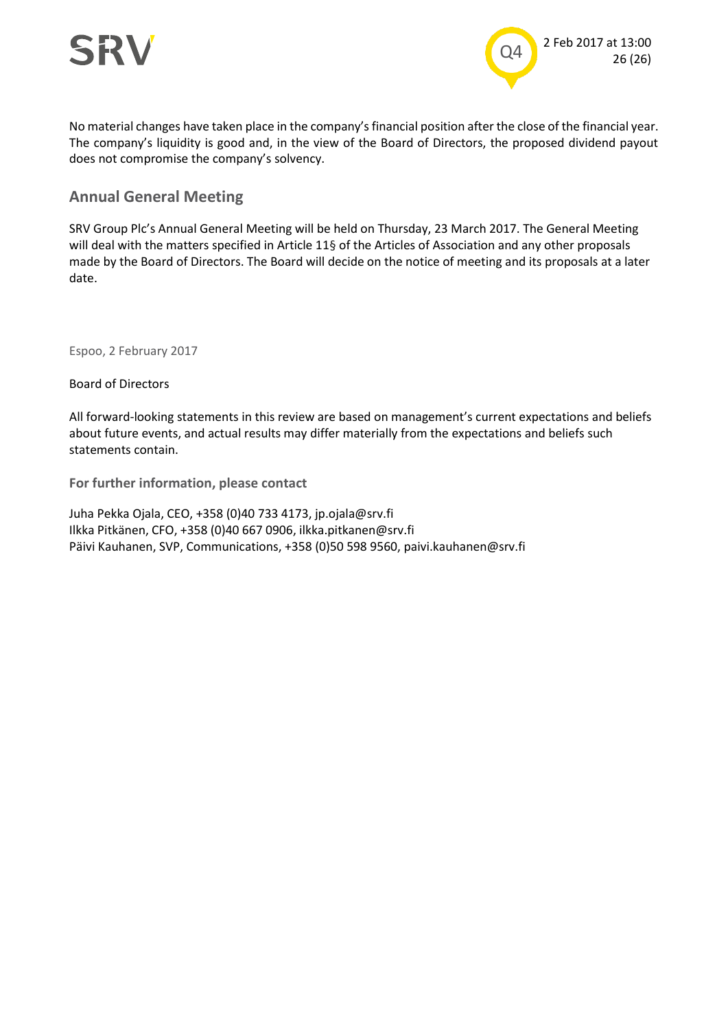



No material changes have taken place in the company's financial position after the close of the financial year. The company's liquidity is good and, in the view of the Board of Directors, the proposed dividend payout does not compromise the company's solvency.

#### **Annual General Meeting**

SRV Group Plc's Annual General Meeting will be held on Thursday, 23 March 2017. The General Meeting will deal with the matters specified in Article 11§ of the Articles of Association and any other proposals made by the Board of Directors. The Board will decide on the notice of meeting and its proposals at a later date.

Espoo, 2 February 2017

Board of Directors

All forward-looking statements in this review are based on management's current expectations and beliefs about future events, and actual results may differ materially from the expectations and beliefs such statements contain.

**For further information, please contact**

Juha Pekka Ojala, CEO, +358 (0)40 733 4173, jp.ojala@srv.fi Ilkka Pitkänen, CFO, +358 (0)40 667 0906, ilkka.pitkanen@srv.fi Päivi Kauhanen, SVP, Communications, +358 (0)50 598 9560, paivi.kauhanen@srv.fi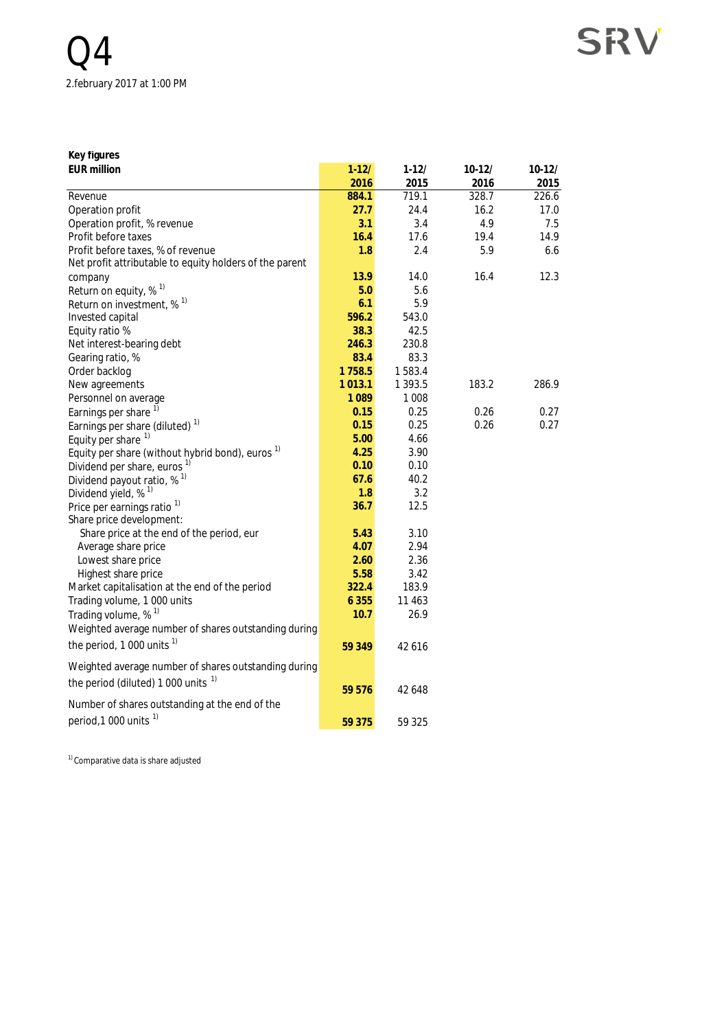**Key figures**

| <b>EUR million</b>                                          | $1 - 12/$ | $1 - 12/$ | $10-12/$ | $10-12/$ |
|-------------------------------------------------------------|-----------|-----------|----------|----------|
|                                                             | 2016      | 2015      | 2016     | 2015     |
| Revenue                                                     | 884.1     | 719.1     | 328.7    | 226.6    |
| Operation profit                                            | 27.7      | 24.4      | 16.2     | 17.0     |
| Operation profit, % revenue                                 | 3.1       | 3.4       | 4.9      | 7.5      |
| Profit before taxes                                         | 16.4      | 17.6      | 19.4     | 14.9     |
| Profit before taxes, % of revenue                           | 1.8       | 2.4       | 5.9      | 6.6      |
| Net profit attributable to equity holders of the parent     |           |           |          |          |
| company                                                     | 13.9      | 14.0      | 16.4     | 12.3     |
| Return on equity, % <sup>1)</sup>                           | 5.0       | 5.6       |          |          |
| Return on investment, % <sup>1)</sup>                       | 6.1       | 5.9       |          |          |
| Invested capital                                            | 596.2     | 543.0     |          |          |
| Equity ratio %                                              | 38.3      | 42.5      |          |          |
| Net interest-bearing debt                                   | 246.3     | 230.8     |          |          |
| Gearing ratio, %                                            | 83.4      | 83.3      |          |          |
| Order backlog                                               | 1758.5    | 1583.4    |          |          |
| New agreements                                              | 1013.1    | 1 3 9 3.5 | 183.2    | 286.9    |
| Personnel on average                                        | 1089      | 1 0 0 8   |          |          |
| Earnings per share 1)                                       | 0.15      | 0.25      | 0.26     | 0.27     |
| Earnings per share (diluted) <sup>1)</sup>                  | 0.15      | 0.25      | 0.26     | 0.27     |
| Equity per share 1)                                         | 5.00      | 4.66      |          |          |
| Equity per share (without hybrid bond), euros <sup>1)</sup> | 4.25      | 3.90      |          |          |
| Dividend per share, euros <sup>1)</sup>                     | 0.10      | 0.10      |          |          |
| Dividend payout ratio, $%$ <sup>1)</sup>                    | 67.6      | 40.2      |          |          |
| Dividend yield, % <sup>1)</sup>                             | 1.8       | 3.2       |          |          |
| Price per earnings ratio <sup>1)</sup>                      | 36.7      | 12.5      |          |          |
| Share price development:                                    |           |           |          |          |
| Share price at the end of the period, eur                   | 5.43      | 3.10      |          |          |
| Average share price                                         | 4.07      | 2.94      |          |          |
| Lowest share price                                          | 2.60      | 2.36      |          |          |
| Highest share price                                         | 5.58      | 3.42      |          |          |
| Market capitalisation at the end of the period              | 322.4     | 183.9     |          |          |
| Trading volume, 1 000 units                                 | 6 3 5 5   | 11 4 63   |          |          |
| Trading volume, % <sup>1)</sup>                             | 10.7      | 26.9      |          |          |
| Weighted average number of shares outstanding during        |           |           |          |          |
| the period, 1 000 units <sup>1)</sup>                       | 59 349    | 42 6 16   |          |          |
|                                                             |           |           |          |          |
| Weighted average number of shares outstanding during        |           |           |          |          |
| the period (diluted) 1 000 units <sup>1)</sup>              |           |           |          |          |
|                                                             | 59 576    | 42 648    |          |          |
| Number of shares outstanding at the end of the              |           |           |          |          |
| period, 1 000 units <sup>1)</sup>                           | 59 375    | 59 325    |          |          |

1) Comparative data is share adjusted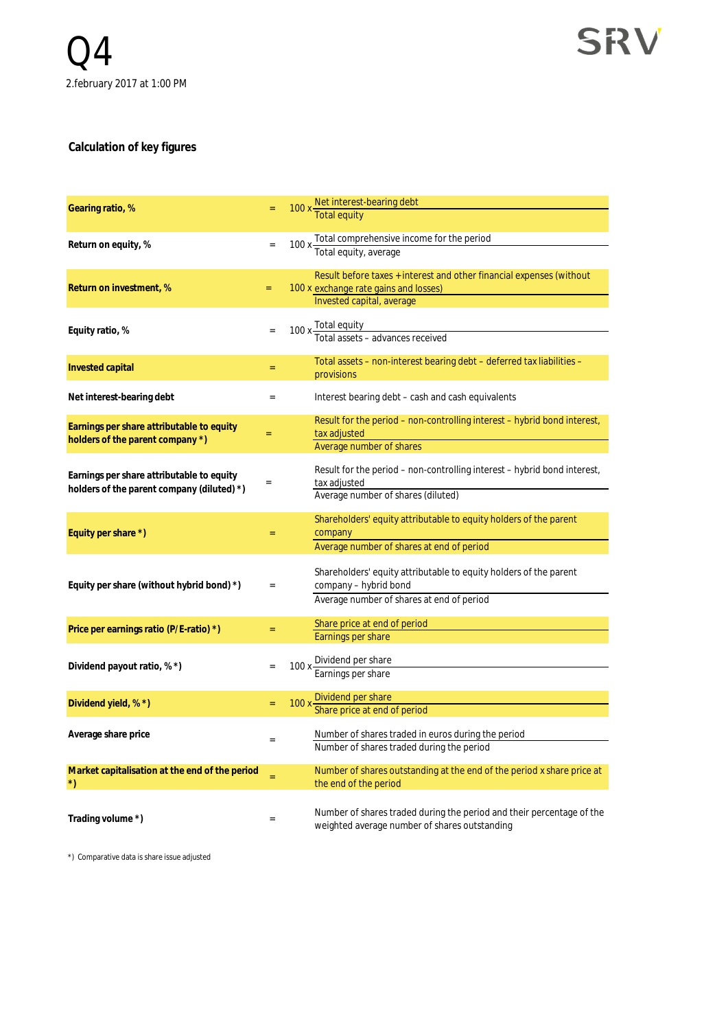#### **Calculation of key figures**

| Gearing ratio, %                                                                        |     | 100 x Net interest-bearing debt                                                                                                            |
|-----------------------------------------------------------------------------------------|-----|--------------------------------------------------------------------------------------------------------------------------------------------|
| Return on equity, %                                                                     | $=$ | 100 x Total comprehensive income for the period<br>Total equity, average                                                                   |
| Return on investment, %                                                                 | $=$ | Result before taxes + interest and other financial expenses (without<br>100 x exchange rate gains and losses)<br>Invested capital, average |
| Equity ratio, %                                                                         |     | 100 x Total equity<br>Total assets – advances received                                                                                     |
| Invested capital                                                                        | $=$ | Total assets – non-interest bearing debt – deferred tax liabilities –<br>provisions                                                        |
| Net interest-bearing debt                                                               | $=$ | Interest bearing debt – cash and cash equivalents                                                                                          |
| Earnings per share attributable to equity<br>holders of the parent company *)           | $=$ | Result for the period – non-controlling interest – hybrid bond interest,<br>tax adjusted<br>Average number of shares                       |
| Earnings per share attributable to equity<br>holders of the parent company (diluted) *) | $=$ | Result for the period – non-controlling interest – hybrid bond interest,<br>tax adjusted<br>Average number of shares (diluted)             |
| Equity per share *)                                                                     | $=$ | Shareholders' equity attributable to equity holders of the parent<br>company<br>Average number of shares at end of period                  |
| Equity per share (without hybrid bond) *)                                               | $=$ | Shareholders' equity attributable to equity holders of the parent<br>company - hybrid bond<br>Average number of shares at end of period    |
| Price per earnings ratio (P/E-ratio) *)                                                 | $=$ | Share price at end of period<br>Earnings per share                                                                                         |
| Dividend payout ratio, % *)                                                             |     | 100 x Dividend per share<br>Earnings per share                                                                                             |
| Dividend yield, % *)                                                                    |     | 100 x Dividend per share<br>Share price at end of period                                                                                   |
| Average share price                                                                     |     | Number of shares traded in euros during the period<br>Number of shares traded during the period                                            |
| Market capitalisation at the end of the period<br>$^{\star})$                           | Ξ   | Number of shares outstanding at the end of the period x share price at<br>the end of the period                                            |
| Trading volume *)                                                                       | $=$ | Number of shares traded during the period and their percentage of the<br>weighted average number of shares outstanding                     |

\*) Comparative data is share issue adjusted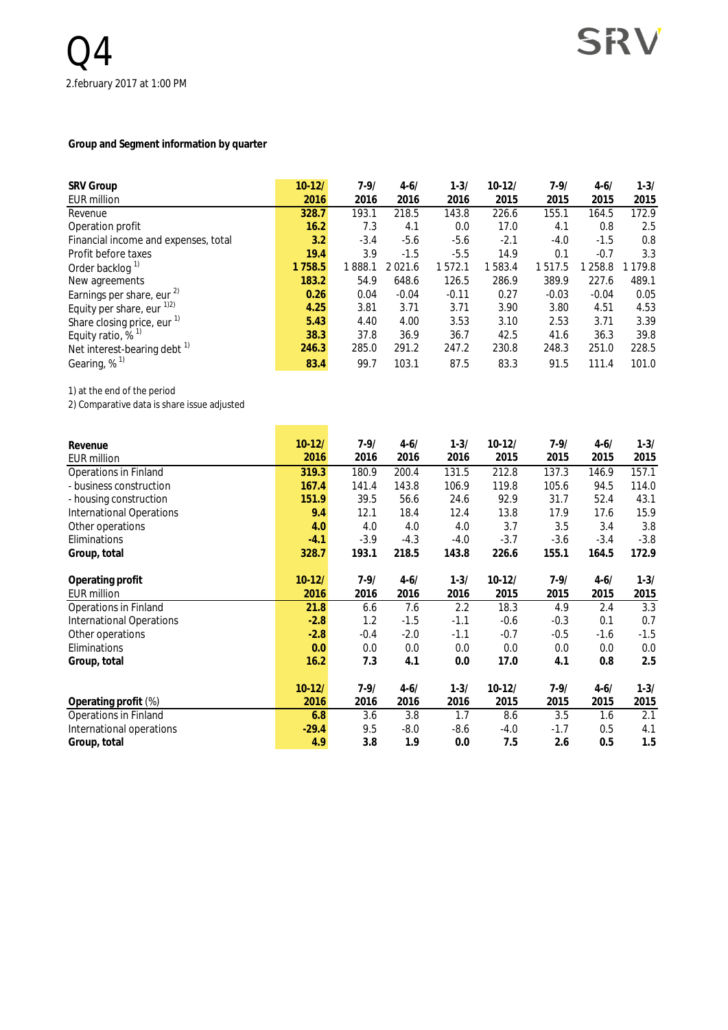#### **Group and Segment information by quarter**

| <b>SRV Group</b>                        | $10-12/$ | $7 - 9/$ | $4 - 6/$ | $1 - 3/$ | $10 - 12/$ | $7 - 9/$ | $4 - 6/$ | $1 - 3/$    |
|-----------------------------------------|----------|----------|----------|----------|------------|----------|----------|-------------|
| EUR million                             | 2016     | 2016     | 2016     | 2016     | 2015       | 2015     | 2015     | 2015        |
| Revenue                                 | 328.7    | 193.1    | 218.5    | 143.8    | 226.6      | 155.1    | 164.5    | 172.9       |
| Operation profit                        | 16.2     | 7.3      | 4.1      | 0.0      | 17.0       | 4.1      | 0.8      | 2.5         |
| Financial income and expenses, total    | 3.2      | $-3.4$   | $-5.6$   | $-5.6$   | $-2.1$     | $-4.0$   | $-1.5$   | 0.8         |
| Profit before taxes                     | 19.4     | 3.9      | $-1.5$   | $-5.5$   | 14.9       | 0.1      | $-0.7$   | 3.3         |
| Order backlog <sup>1)</sup>             | 1758.5   | 1888.1   | 2021.6   | 1572.1   | 1583.4     | 1517.5   | 258.8    | 1 1 7 9 . 8 |
| New agreements                          | 183.2    | 54.9     | 648.6    | 126.5    | 286.9      | 389.9    | 227.6    | 489.1       |
| Earnings per share, eur <sup>2)</sup>   | 0.26     | 0.04     | $-0.04$  | $-0.11$  | 0.27       | $-0.03$  | $-0.04$  | 0.05        |
| Equity per share, eur $^{1/2}$          | 4.25     | 3.81     | 3.71     | 3.71     | 3.90       | 3.80     | 4.51     | 4.53        |
| Share closing price, eur $1$            | 5.43     | 4.40     | 4.00     | 3.53     | 3.10       | 2.53     | 3.71     | 3.39        |
| Equity ratio, $%$ <sup>1)</sup>         | 38.3     | 37.8     | 36.9     | 36.7     | 42.5       | 41.6     | 36.3     | 39.8        |
| Net interest-bearing debt $\frac{1}{1}$ | 246.3    | 285.0    | 291.2    | 247.2    | 230.8      | 248.3    | 251.0    | 228.5       |
| Gearing, $%$ <sup>1)</sup>              | 83.4     | 99.7     | 103.1    | 87.5     | 83.3       | 91.5     | 111.4    | 101.0       |

٠

÷

1) at the end of the period

2) Comparative data is share issue adjusted

| Revenue<br><b>EUR million</b>   | $10-12/$<br>2016 | $7-9/$<br>2016 | $4 - 6/$<br>2016 | $1 - 3/$<br>2016 | $10-12/$<br>2015 | $7 - 9/$<br>2015 | $4 - 6/$<br>2015 | $1 - 3/$<br>2015 |
|---------------------------------|------------------|----------------|------------------|------------------|------------------|------------------|------------------|------------------|
| Operations in Finland           | 319.3            | 180.9          | 200.4            | 131.5            | 212.8            | 137.3            | 146.9            | 157.1            |
| - business construction         | 167.4            | 141.4          | 143.8            | 106.9            | 119.8            | 105.6            | 94.5             | 114.0            |
| - housing construction          | 151.9            | 39.5           | 56.6             | 24.6             | 92.9             | 31.7             | 52.4             | 43.1             |
| <b>International Operations</b> | 9.4              | 12.1           | 18.4             | 12.4             | 13.8             | 17.9             | 17.6             | 15.9             |
| Other operations                | 4.0              | 4.0            | 4.0              | 4.0              | 3.7              | 3.5              | 3.4              | 3.8              |
| Eliminations                    | $-4.1$           | $-3.9$         | $-4.3$           | $-4.0$           | $-3.7$           | $-3.6$           | $-3.4$           | $-3.8$           |
| Group, total                    | 328.7            | 193.1          | 218.5            | 143.8            | 226.6            | 155.1            | 164.5            | 172.9            |
| Operating profit                | $10-12/$         | $7-9/$         | $4 - 6/$         | $1 - 3/$         | $10-12/$         | $7 - 9/$         | $4 - 6/$         | $1 - 3/$         |
| <b>EUR million</b>              | 2016             | 2016           | 2016             | 2016             | 2015             | 2015             | 2015             | 2015             |
| Operations in Finland           | 21.8             | 6.6            | 7.6              | 2.2              | 18.3             | 4.9              | 2.4              | 3.3              |
| <b>International Operations</b> | $-2.8$           | 1.2            | $-1.5$           | $-1.1$           | $-0.6$           | $-0.3$           | 0.1              | 0.7              |
| Other operations                | $-2.8$           | $-0.4$         | $-2.0$           | $-1.1$           | $-0.7$           | $-0.5$           | $-1.6$           | $-1.5$           |
| Eliminations                    | 0.0              | 0.0            | 0.0              | 0.0              | 0.0              | 0.0              | 0.0              | 0.0              |
| Group, total                    | 16.2             | 7.3            | 4.1              | 0.0              | 17.0             | 4.1              | 0.8              | 2.5              |
|                                 | $10-12/$         | $7 - 9/$       | $4 - 6/$         | $1 - 3/$         | $10-12/$         | $7 - 9/$         | $4 - 6/$         | $1 - 3/$         |
| Operating profit (%)            | 2016             | 2016           | 2016             | 2016             | 2015             | 2015             | 2015             | 2015             |
| Operations in Finland           | 6.8              | 3.6            | 3.8              | 1.7              | 8.6              | 3.5              | 1.6              | 2.1              |
| International operations        | $-29.4$          | 9.5            | $-8.0$           | $-8.6$           | $-4.0$           | $-1.7$           | 0.5              | 4.1              |
| Group, total                    | 4.9              | 3.8            | 1.9              | 0.0              | 7.5              | 2.6              | 0.5              | 1.5              |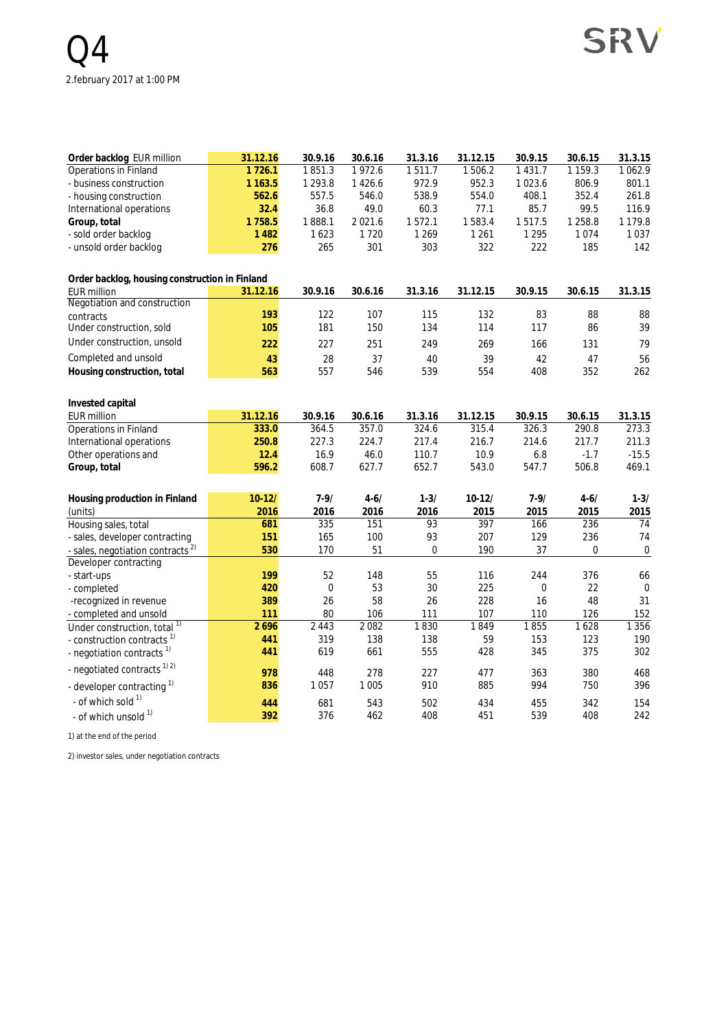| Order backlog EUR million                      | 31.12.16    | 30.9.16     | 30.6.16     | 31.3.16     | 31.12.15 | 30.9.15          | 30.6.15     | 31.3.15          |
|------------------------------------------------|-------------|-------------|-------------|-------------|----------|------------------|-------------|------------------|
| Operations in Finland                          | 1726.1      | 1851.3      | 1972.6      | 1511.7      | 1506.2   | 1 4 3 1 . 7      | 1 1 5 9 . 3 | 1062.9           |
| - business construction                        | 1 1 6 3 . 5 | 1 2 9 3 . 8 | 1426.6      | 972.9       | 952.3    | 1023.6           | 806.9       | 801.1            |
| - housing construction                         | 562.6       | 557.5       | 546.0       | 538.9       | 554.0    | 408.1            | 352.4       | 261.8            |
| International operations                       | 32.4        | 36.8        | 49.0        | 60.3        | 77.1     | 85.7             | 99.5        | 116.9            |
| Group, total                                   | 1758.5      | 1888.1      | 2 0 2 1 . 6 | 1572.1      | 1583.4   | 1517.5           | 1 2 5 8.8   | 1 1 7 9 . 8      |
| - sold order backlog                           | 1 4 8 2     | 1623        | 1720        | 1 2 6 9     | 1 2 6 1  | 1 2 9 5          | 1074        | 1037             |
| - unsold order backlog                         | 276         | 265         | 301         | 303         | 322      | 222              | 185         | 142              |
| Order backlog, housing construction in Finland |             |             |             |             |          |                  |             |                  |
| <b>EUR million</b>                             | 31.12.16    | 30.9.16     | 30.6.16     | 31.3.16     | 31.12.15 | 30.9.15          | 30.6.15     | 31.3.15          |
| Negotiation and construction                   |             |             |             |             |          |                  |             |                  |
| contracts                                      | 193         | 122         | 107         | 115         | 132      | 83               | 88          | 88               |
| Under construction, sold                       | 105         | 181         | 150         | 134         | 114      | 117              | 86          | 39               |
| Under construction, unsold                     | 222         | 227         | 251         | 249         | 269      | 166              | 131         | 79               |
| Completed and unsold                           | 43          | 28          | 37          | 40          | 39       | 42               | 47          | 56               |
| Housing construction, total                    | 563         | 557         | 546         | 539         | 554      | 408              | 352         | 262              |
| Invested capital                               |             |             |             |             |          |                  |             |                  |
| <b>EUR million</b>                             | 31.12.16    | 30.9.16     | 30.6.16     | 31.3.16     | 31.12.15 | 30.9.15          | 30.6.15     | 31.3.15          |
| <b>Operations in Finland</b>                   | 333.0       | 364.5       | 357.0       | 324.6       | 315.4    | 326.3            | 290.8       | 273.3            |
| International operations                       | 250.8       | 227.3       | 224.7       | 217.4       | 216.7    | 214.6            | 217.7       | 211.3            |
| Other operations and                           | 12.4        | 16.9        | 46.0        | 110.7       | 10.9     | 6.8              | $-1.7$      | $-15.5$          |
| Group, total                                   | 596.2       | 608.7       | 627.7       | 652.7       | 543.0    | 547.7            | 506.8       | 469.1            |
| Housing production in Finland                  | $10 - 12/$  | $7 - 9/$    | $4 - 6/$    | $1 - 3/$    | $10-12/$ | $7 - 9/$         | $4 - 6/$    | $1 - 3/$         |
| (units)                                        | 2016        | 2016        | 2016        | 2016        | 2015     | 2015             | 2015        | 2015             |
| Housing sales, total                           | 681         | 335         | 151         | 93          | 397      | 166              | 236         | $\overline{74}$  |
| - sales, developer contracting                 | 151         | 165         | 100         | 93          | 207      | 129              | 236         | 74               |
| - sales, negotiation contracts <sup>2)</sup>   | 530         | 170         | 51          | $\mathbf 0$ | 190      | 37               | $\mathbf 0$ | $\boldsymbol{0}$ |
| Developer contracting                          |             |             |             |             |          |                  |             |                  |
| - start-ups                                    | 199         | 52          | 148         | 55          | 116      | 244              | 376         | 66               |
| - completed                                    | 420         | $\mathbf 0$ | 53          | 30          | 225      | $\boldsymbol{0}$ | 22          | $\mathbf 0$      |
| -recognized in revenue                         | 389         | 26          | 58          | 26          | 228      | 16               | 48          | 31               |
| - completed and unsold                         | 111         | 80          | 106         | 111         | 107      | 110              | 126         | 152              |
| Under construction, total <sup>1)</sup>        | 2696        | 2 4 4 3     | 2082        | 1830        | 1849     | 1855             | 1628        | 1 3 5 6          |
| - construction contracts <sup>1)</sup>         | 441         | 319         | 138         | 138         | 59       | 153              | 123         | 190              |
| - negotiation contracts <sup>1)</sup>          | 441         | 619         | 661         | 555         | 428      | 345              | 375         | 302              |
| - negotiated contracts <sup>1) 2)</sup>        | 978         | 448         | 278         | 227         | 477      | 363              | 380         | 468              |
| - developer contracting 1)                     | 836         | 1057        | 1 0 0 5     | 910         | 885      | 994              | 750         | 396              |
| - of which sold 1)                             | 444         | 681         | 543         | 502         | 434      | 455              | 342         | 154              |
| - of which unsold 1)                           | 392         | 376         | 462         | 408         | 451      | 539              | 408         | 242              |

1) at the end of the period

2) investor sales, under negotiation contracts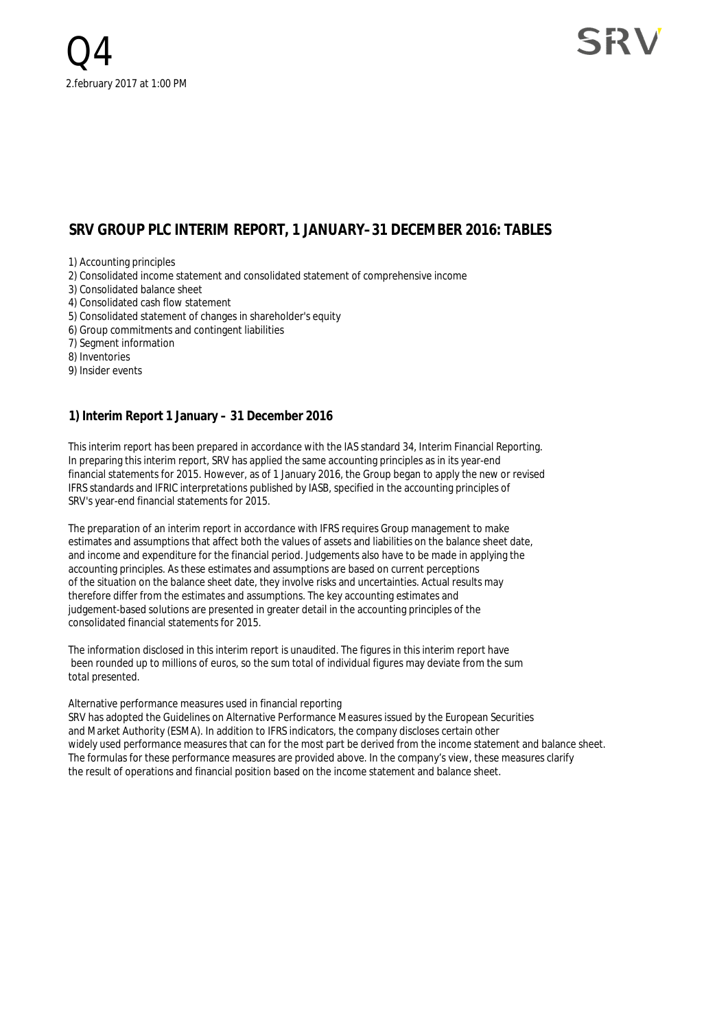#### **SRV GROUP PLC INTERIM REPORT, 1 JANUARY–31 DECEMBER 2016: TABLES**

1) Accounting principles

2) Consolidated income statement and consolidated statement of comprehensive income

- 3) Consolidated balance sheet
- 4) Consolidated cash flow statement
- 5) Consolidated statement of changes in shareholder's equity
- 6) Group commitments and contingent liabilities
- 7) Segment information

8) Inventories

9) Insider events

#### **1) Interim Report 1 January – 31 December 2016**

This interim report has been prepared in accordance with the IAS standard 34, Interim Financial Reporting. In preparing this interim report, SRV has applied the same accounting principles as in its year-end financial statements for 2015. However, as of 1 January 2016, the Group began to apply the new or revised IFRS standards and IFRIC interpretations published by IASB, specified in the accounting principles of SRV's year-end financial statements for 2015.

The preparation of an interim report in accordance with IFRS requires Group management to make estimates and assumptions that affect both the values of assets and liabilities on the balance sheet date, and income and expenditure for the financial period. Judgements also have to be made in applying the accounting principles. As these estimates and assumptions are based on current perceptions of the situation on the balance sheet date, they involve risks and uncertainties. Actual results may therefore differ from the estimates and assumptions. The key accounting estimates and judgement-based solutions are presented in greater detail in the accounting principles of the consolidated financial statements for 2015.

The information disclosed in this interim report is unaudited. The figures in this interim report have been rounded up to millions of euros, so the sum total of individual figures may deviate from the sum total presented.

#### Alternative performance measures used in financial reporting

SRV has adopted the Guidelines on Alternative Performance Measures issued by the European Securities and Market Authority (ESMA). In addition to IFRS indicators, the company discloses certain other widely used performance measures that can for the most part be derived from the income statement and balance sheet. The formulas for these performance measures are provided above. In the company's view, these measures clarify the result of operations and financial position based on the income statement and balance sheet.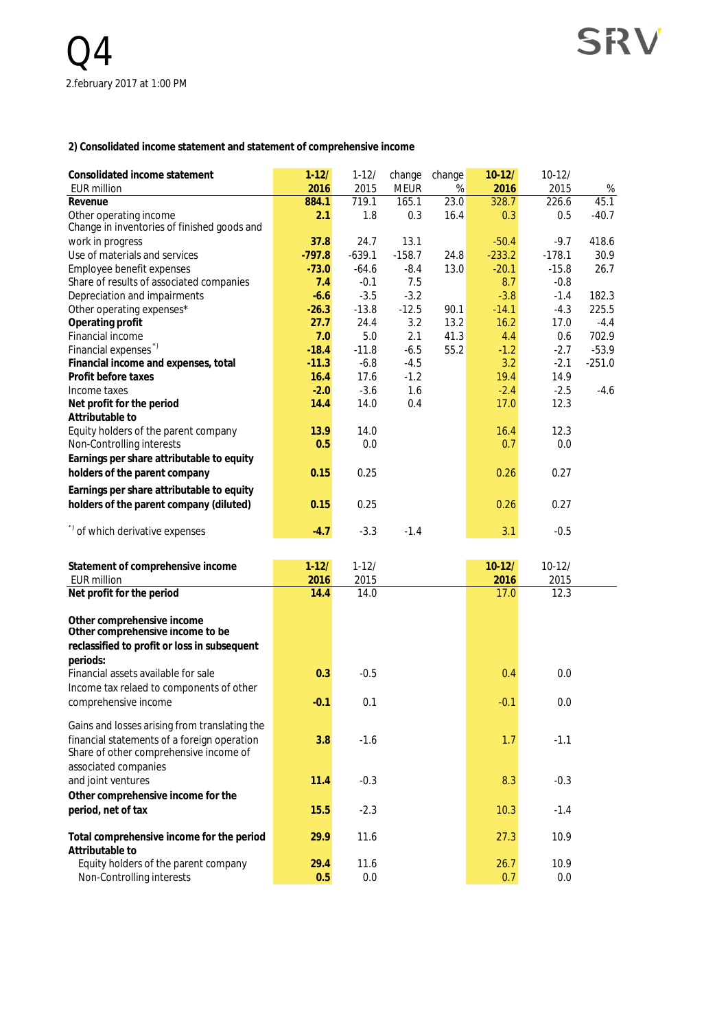**2) Consolidated income statement and statement of comprehensive income**

| Consolidated income statement<br><b>EUR million</b>                   | $1-12/$       | $1 - 12/$     | change               | change       | $10-12/$      | $10-12/$      |           |
|-----------------------------------------------------------------------|---------------|---------------|----------------------|--------------|---------------|---------------|-----------|
| Revenue                                                               | 2016<br>884.1 | 2015<br>719.1 | <b>MEUR</b><br>165.1 | $\%$<br>23.0 | 2016<br>328.7 | 2015<br>226.6 | %<br>45.1 |
| Other operating income<br>Change in inventories of finished goods and | 2.1           | 1.8           | 0.3                  | 16.4         | 0.3           | 0.5           | $-40.7$   |
|                                                                       | 37.8          | 24.7          | 13.1                 |              | $-50.4$       | $-9.7$        | 418.6     |
| work in progress<br>Use of materials and services                     | $-797.8$      | $-639.1$      | $-158.7$             | 24.8         | $-233.2$      | $-178.1$      | 30.9      |
| Employee benefit expenses                                             | $-73.0$       | $-64.6$       | $-8.4$               | 13.0         | $-20.1$       | $-15.8$       | 26.7      |
| Share of results of associated companies                              | 7.4           | $-0.1$        | 7.5                  |              | 8.7           | $-0.8$        |           |
| Depreciation and impairments                                          | $-6.6$        | $-3.5$        | $-3.2$               |              | $-3.8$        | $-1.4$        | 182.3     |
| Other operating expenses*                                             | $-26.3$       | $-13.8$       | $-12.5$              | 90.1         | $-14.1$       | $-4.3$        | 225.5     |
| Operating profit                                                      | 27.7          | 24.4          | 3.2                  | 13.2         | 16.2          | 17.0          | $-4.4$    |
| Financial income                                                      | 7.0           | 5.0           | 2.1                  | 41.3         | 4.4           | 0.6           | 702.9     |
| Financial expenses"                                                   | $-18.4$       | $-11.8$       | $-6.5$               | 55.2         | $-1.2$        | $-2.7$        | $-53.9$   |
| Financial income and expenses, total                                  | $-11.3$       | $-6.8$        | $-4.5$               |              | 3.2           | $-2.1$        | $-251.0$  |
| Profit before taxes                                                   | 16.4          | 17.6          | $-1.2$               |              | 19.4          | 14.9          |           |
| Income taxes                                                          | $-2.0$        | $-3.6$        | 1.6                  |              | $-2.4$        | $-2.5$        | $-4.6$    |
| Net profit for the period                                             | 14.4          | 14.0          | 0.4                  |              | 17.0          | 12.3          |           |
| Attributable to                                                       |               |               |                      |              |               |               |           |
| Equity holders of the parent company                                  | 13.9          | 14.0          |                      |              | 16.4          | 12.3          |           |
| Non-Controlling interests                                             | 0.5           | 0.0           |                      |              | 0.7           | 0.0           |           |
| Earnings per share attributable to equity                             |               |               |                      |              |               |               |           |
|                                                                       |               |               |                      |              |               |               |           |
| holders of the parent company                                         | 0.15          | 0.25          |                      |              | 0.26          | 0.27          |           |
| Earnings per share attributable to equity                             |               |               |                      |              |               |               |           |
| holders of the parent company (diluted)                               | 0.15          | 0.25          |                      |              | 0.26          | 0.27          |           |
| *) of which derivative expenses                                       | $-4.7$        | $-3.3$        | $-1.4$               |              | 3.1           | $-0.5$        |           |
| Statement of comprehensive income                                     | $1-12/$       | $1 - 12/$     |                      |              | $10-12/$      | $10-12/$      |           |
| <b>EUR million</b>                                                    | 2016          | 2015          |                      |              | 2016          | 2015          |           |
| Net profit for the period                                             | 14.4          | 14.0          |                      |              | 17.0          | 12.3          |           |
| Other comprehensive income<br>Other comprehensive income to be        |               |               |                      |              |               |               |           |
| reclassified to profit or loss in subsequent                          |               |               |                      |              |               |               |           |
| periods:                                                              |               |               |                      |              |               |               |           |
| Financial assets available for sale                                   | 0.3           | $-0.5$        |                      |              | 0.4           | 0.0           |           |
|                                                                       |               |               |                      |              |               |               |           |
| Income tax relaed to components of other<br>comprehensive income      |               | 0.1           |                      |              |               |               |           |
|                                                                       | $-0.1$        |               |                      |              | $-0.1$        | 0.0           |           |
| Gains and losses arising from translating the                         |               |               |                      |              |               |               |           |
| financial statements of a foreign operation                           | 3.8           | $-1.6$        |                      |              | 1.7           | $-1.1$        |           |
| Share of other comprehensive income of                                |               |               |                      |              |               |               |           |
| associated companies                                                  |               |               |                      |              |               |               |           |
| and joint ventures                                                    | 11.4          | $-0.3$        |                      |              | 8.3           | $-0.3$        |           |
| Other comprehensive income for the                                    |               |               |                      |              |               |               |           |
| period, net of tax                                                    | 15.5          | $-2.3$        |                      |              | 10.3          | $-1.4$        |           |
|                                                                       |               |               |                      |              |               |               |           |
| Total comprehensive income for the period                             | 29.9          | 11.6          |                      |              | 27.3          | 10.9          |           |
| Attributable to                                                       |               |               |                      |              |               |               |           |
| Equity holders of the parent company<br>Non-Controlling interests     | 29.4<br>0.5   | 11.6<br>0.0   |                      |              | 26.7<br>0.7   | 10.9<br>0.0   |           |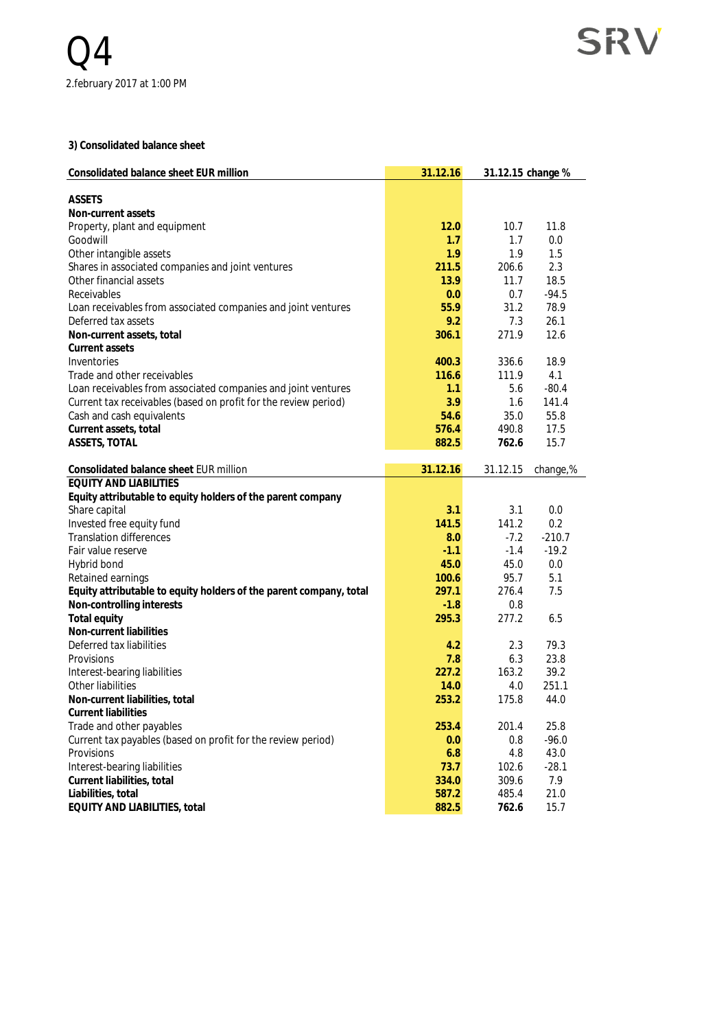**3) Consolidated balance sheet**

| ASSETS<br>Non-current assets<br>11.8<br>12.0<br>10.7<br>Property, plant and equipment<br>Goodwill<br>1.7<br>1.7<br>0.0<br>1.9<br>1.9<br>1.5<br>Other intangible assets<br>2.3<br>Shares in associated companies and joint ventures<br>211.5<br>206.6<br>18.5<br>13.9<br>11.7<br>0.0<br>0.7<br>$-94.5$<br>Receivables<br>55.9<br>31.2<br>78.9<br>Loan receivables from associated companies and joint ventures<br>9.2<br>7.3<br>26.1<br>Deferred tax assets<br>306.1<br>271.9<br>12.6<br>Current assets<br>Inventories<br>400.3<br>336.6<br>18.9<br>111.9<br>116.6<br>4.1<br>1.1<br>5.6<br>$-80.4$<br>3.9<br>141.4<br>1.6<br>54.6<br>35.0<br>55.8<br>576.4<br>490.8<br>17.5<br>15.7<br>882.5<br>762.6<br>31.12.16<br>31.12.15<br>change,%<br>3.1<br>3.1<br>0.0<br>Invested free equity fund<br>141.5<br>0.2<br>141.2<br><b>Translation differences</b><br>$-210.7$<br>8.0<br>$-7.2$<br>$-1.1$<br>$-1.4$<br>$-19.2$<br>45.0<br>45.0<br>0.0<br>Hybrid bond<br>100.6<br>95.7<br>5.1<br>Equity attributable to equity holders of the parent company, total<br>297.1<br>7.5<br>276.4<br>Non-controlling interests<br>$-1.8$<br>0.8<br>295.3<br>277.2<br>Total equity<br>6.5<br>Non-current liabilities<br>Deferred tax liabilities<br>4.2<br>79.3<br>2.3<br>7.8<br>23.8<br>Provisions<br>6.3<br>227.2<br>163.2<br>39.2<br>Interest-bearing liabilities<br>251.1<br>Other liabilities<br>14.0<br>4.0<br>253.2<br>175.8<br>Non-current liabilities, total<br>44.0<br>Current liabilities<br>Trade and other payables<br>253.4<br>25.8<br>201.4<br>Current tax payables (based on profit for the review period)<br>$-96.0$<br>0.0<br>0.8<br>6.8<br>4.8<br>43.0<br>Provisions<br>Interest-bearing liabilities<br>102.6<br>$-28.1$<br>73.7<br>309.6<br>7.9<br>Current liabilities, total<br>334.0 | Consolidated balance sheet EUR million                          | 31.12.16 | 31.12.15 change % |  |
|----------------------------------------------------------------------------------------------------------------------------------------------------------------------------------------------------------------------------------------------------------------------------------------------------------------------------------------------------------------------------------------------------------------------------------------------------------------------------------------------------------------------------------------------------------------------------------------------------------------------------------------------------------------------------------------------------------------------------------------------------------------------------------------------------------------------------------------------------------------------------------------------------------------------------------------------------------------------------------------------------------------------------------------------------------------------------------------------------------------------------------------------------------------------------------------------------------------------------------------------------------------------------------------------------------------------------------------------------------------------------------------------------------------------------------------------------------------------------------------------------------------------------------------------------------------------------------------------------------------------------------------------------------------------------------------------------------------------------------------------------------------------------------------|-----------------------------------------------------------------|----------|-------------------|--|
|                                                                                                                                                                                                                                                                                                                                                                                                                                                                                                                                                                                                                                                                                                                                                                                                                                                                                                                                                                                                                                                                                                                                                                                                                                                                                                                                                                                                                                                                                                                                                                                                                                                                                                                                                                                        |                                                                 |          |                   |  |
|                                                                                                                                                                                                                                                                                                                                                                                                                                                                                                                                                                                                                                                                                                                                                                                                                                                                                                                                                                                                                                                                                                                                                                                                                                                                                                                                                                                                                                                                                                                                                                                                                                                                                                                                                                                        |                                                                 |          |                   |  |
|                                                                                                                                                                                                                                                                                                                                                                                                                                                                                                                                                                                                                                                                                                                                                                                                                                                                                                                                                                                                                                                                                                                                                                                                                                                                                                                                                                                                                                                                                                                                                                                                                                                                                                                                                                                        |                                                                 |          |                   |  |
|                                                                                                                                                                                                                                                                                                                                                                                                                                                                                                                                                                                                                                                                                                                                                                                                                                                                                                                                                                                                                                                                                                                                                                                                                                                                                                                                                                                                                                                                                                                                                                                                                                                                                                                                                                                        |                                                                 |          |                   |  |
|                                                                                                                                                                                                                                                                                                                                                                                                                                                                                                                                                                                                                                                                                                                                                                                                                                                                                                                                                                                                                                                                                                                                                                                                                                                                                                                                                                                                                                                                                                                                                                                                                                                                                                                                                                                        |                                                                 |          |                   |  |
|                                                                                                                                                                                                                                                                                                                                                                                                                                                                                                                                                                                                                                                                                                                                                                                                                                                                                                                                                                                                                                                                                                                                                                                                                                                                                                                                                                                                                                                                                                                                                                                                                                                                                                                                                                                        |                                                                 |          |                   |  |
|                                                                                                                                                                                                                                                                                                                                                                                                                                                                                                                                                                                                                                                                                                                                                                                                                                                                                                                                                                                                                                                                                                                                                                                                                                                                                                                                                                                                                                                                                                                                                                                                                                                                                                                                                                                        | Other financial assets                                          |          |                   |  |
|                                                                                                                                                                                                                                                                                                                                                                                                                                                                                                                                                                                                                                                                                                                                                                                                                                                                                                                                                                                                                                                                                                                                                                                                                                                                                                                                                                                                                                                                                                                                                                                                                                                                                                                                                                                        |                                                                 |          |                   |  |
|                                                                                                                                                                                                                                                                                                                                                                                                                                                                                                                                                                                                                                                                                                                                                                                                                                                                                                                                                                                                                                                                                                                                                                                                                                                                                                                                                                                                                                                                                                                                                                                                                                                                                                                                                                                        |                                                                 |          |                   |  |
|                                                                                                                                                                                                                                                                                                                                                                                                                                                                                                                                                                                                                                                                                                                                                                                                                                                                                                                                                                                                                                                                                                                                                                                                                                                                                                                                                                                                                                                                                                                                                                                                                                                                                                                                                                                        |                                                                 |          |                   |  |
|                                                                                                                                                                                                                                                                                                                                                                                                                                                                                                                                                                                                                                                                                                                                                                                                                                                                                                                                                                                                                                                                                                                                                                                                                                                                                                                                                                                                                                                                                                                                                                                                                                                                                                                                                                                        | Non-current assets, total                                       |          |                   |  |
|                                                                                                                                                                                                                                                                                                                                                                                                                                                                                                                                                                                                                                                                                                                                                                                                                                                                                                                                                                                                                                                                                                                                                                                                                                                                                                                                                                                                                                                                                                                                                                                                                                                                                                                                                                                        |                                                                 |          |                   |  |
|                                                                                                                                                                                                                                                                                                                                                                                                                                                                                                                                                                                                                                                                                                                                                                                                                                                                                                                                                                                                                                                                                                                                                                                                                                                                                                                                                                                                                                                                                                                                                                                                                                                                                                                                                                                        |                                                                 |          |                   |  |
|                                                                                                                                                                                                                                                                                                                                                                                                                                                                                                                                                                                                                                                                                                                                                                                                                                                                                                                                                                                                                                                                                                                                                                                                                                                                                                                                                                                                                                                                                                                                                                                                                                                                                                                                                                                        | Trade and other receivables                                     |          |                   |  |
|                                                                                                                                                                                                                                                                                                                                                                                                                                                                                                                                                                                                                                                                                                                                                                                                                                                                                                                                                                                                                                                                                                                                                                                                                                                                                                                                                                                                                                                                                                                                                                                                                                                                                                                                                                                        | Loan receivables from associated companies and joint ventures   |          |                   |  |
|                                                                                                                                                                                                                                                                                                                                                                                                                                                                                                                                                                                                                                                                                                                                                                                                                                                                                                                                                                                                                                                                                                                                                                                                                                                                                                                                                                                                                                                                                                                                                                                                                                                                                                                                                                                        | Current tax receivables (based on profit for the review period) |          |                   |  |
|                                                                                                                                                                                                                                                                                                                                                                                                                                                                                                                                                                                                                                                                                                                                                                                                                                                                                                                                                                                                                                                                                                                                                                                                                                                                                                                                                                                                                                                                                                                                                                                                                                                                                                                                                                                        | Cash and cash equivalents                                       |          |                   |  |
|                                                                                                                                                                                                                                                                                                                                                                                                                                                                                                                                                                                                                                                                                                                                                                                                                                                                                                                                                                                                                                                                                                                                                                                                                                                                                                                                                                                                                                                                                                                                                                                                                                                                                                                                                                                        | Current assets, total                                           |          |                   |  |
|                                                                                                                                                                                                                                                                                                                                                                                                                                                                                                                                                                                                                                                                                                                                                                                                                                                                                                                                                                                                                                                                                                                                                                                                                                                                                                                                                                                                                                                                                                                                                                                                                                                                                                                                                                                        | ASSETS, TOTAL                                                   |          |                   |  |
|                                                                                                                                                                                                                                                                                                                                                                                                                                                                                                                                                                                                                                                                                                                                                                                                                                                                                                                                                                                                                                                                                                                                                                                                                                                                                                                                                                                                                                                                                                                                                                                                                                                                                                                                                                                        | Consolidated balance sheet EUR million                          |          |                   |  |
|                                                                                                                                                                                                                                                                                                                                                                                                                                                                                                                                                                                                                                                                                                                                                                                                                                                                                                                                                                                                                                                                                                                                                                                                                                                                                                                                                                                                                                                                                                                                                                                                                                                                                                                                                                                        | <b>EQUITY AND LIABILITIES</b>                                   |          |                   |  |
|                                                                                                                                                                                                                                                                                                                                                                                                                                                                                                                                                                                                                                                                                                                                                                                                                                                                                                                                                                                                                                                                                                                                                                                                                                                                                                                                                                                                                                                                                                                                                                                                                                                                                                                                                                                        | Equity attributable to equity holders of the parent company     |          |                   |  |
|                                                                                                                                                                                                                                                                                                                                                                                                                                                                                                                                                                                                                                                                                                                                                                                                                                                                                                                                                                                                                                                                                                                                                                                                                                                                                                                                                                                                                                                                                                                                                                                                                                                                                                                                                                                        | Share capital                                                   |          |                   |  |
|                                                                                                                                                                                                                                                                                                                                                                                                                                                                                                                                                                                                                                                                                                                                                                                                                                                                                                                                                                                                                                                                                                                                                                                                                                                                                                                                                                                                                                                                                                                                                                                                                                                                                                                                                                                        |                                                                 |          |                   |  |
|                                                                                                                                                                                                                                                                                                                                                                                                                                                                                                                                                                                                                                                                                                                                                                                                                                                                                                                                                                                                                                                                                                                                                                                                                                                                                                                                                                                                                                                                                                                                                                                                                                                                                                                                                                                        |                                                                 |          |                   |  |
|                                                                                                                                                                                                                                                                                                                                                                                                                                                                                                                                                                                                                                                                                                                                                                                                                                                                                                                                                                                                                                                                                                                                                                                                                                                                                                                                                                                                                                                                                                                                                                                                                                                                                                                                                                                        | Fair value reserve                                              |          |                   |  |
|                                                                                                                                                                                                                                                                                                                                                                                                                                                                                                                                                                                                                                                                                                                                                                                                                                                                                                                                                                                                                                                                                                                                                                                                                                                                                                                                                                                                                                                                                                                                                                                                                                                                                                                                                                                        |                                                                 |          |                   |  |
|                                                                                                                                                                                                                                                                                                                                                                                                                                                                                                                                                                                                                                                                                                                                                                                                                                                                                                                                                                                                                                                                                                                                                                                                                                                                                                                                                                                                                                                                                                                                                                                                                                                                                                                                                                                        | Retained earnings                                               |          |                   |  |
|                                                                                                                                                                                                                                                                                                                                                                                                                                                                                                                                                                                                                                                                                                                                                                                                                                                                                                                                                                                                                                                                                                                                                                                                                                                                                                                                                                                                                                                                                                                                                                                                                                                                                                                                                                                        |                                                                 |          |                   |  |
|                                                                                                                                                                                                                                                                                                                                                                                                                                                                                                                                                                                                                                                                                                                                                                                                                                                                                                                                                                                                                                                                                                                                                                                                                                                                                                                                                                                                                                                                                                                                                                                                                                                                                                                                                                                        |                                                                 |          |                   |  |
|                                                                                                                                                                                                                                                                                                                                                                                                                                                                                                                                                                                                                                                                                                                                                                                                                                                                                                                                                                                                                                                                                                                                                                                                                                                                                                                                                                                                                                                                                                                                                                                                                                                                                                                                                                                        |                                                                 |          |                   |  |
|                                                                                                                                                                                                                                                                                                                                                                                                                                                                                                                                                                                                                                                                                                                                                                                                                                                                                                                                                                                                                                                                                                                                                                                                                                                                                                                                                                                                                                                                                                                                                                                                                                                                                                                                                                                        |                                                                 |          |                   |  |
|                                                                                                                                                                                                                                                                                                                                                                                                                                                                                                                                                                                                                                                                                                                                                                                                                                                                                                                                                                                                                                                                                                                                                                                                                                                                                                                                                                                                                                                                                                                                                                                                                                                                                                                                                                                        |                                                                 |          |                   |  |
|                                                                                                                                                                                                                                                                                                                                                                                                                                                                                                                                                                                                                                                                                                                                                                                                                                                                                                                                                                                                                                                                                                                                                                                                                                                                                                                                                                                                                                                                                                                                                                                                                                                                                                                                                                                        |                                                                 |          |                   |  |
|                                                                                                                                                                                                                                                                                                                                                                                                                                                                                                                                                                                                                                                                                                                                                                                                                                                                                                                                                                                                                                                                                                                                                                                                                                                                                                                                                                                                                                                                                                                                                                                                                                                                                                                                                                                        |                                                                 |          |                   |  |
|                                                                                                                                                                                                                                                                                                                                                                                                                                                                                                                                                                                                                                                                                                                                                                                                                                                                                                                                                                                                                                                                                                                                                                                                                                                                                                                                                                                                                                                                                                                                                                                                                                                                                                                                                                                        |                                                                 |          |                   |  |
|                                                                                                                                                                                                                                                                                                                                                                                                                                                                                                                                                                                                                                                                                                                                                                                                                                                                                                                                                                                                                                                                                                                                                                                                                                                                                                                                                                                                                                                                                                                                                                                                                                                                                                                                                                                        |                                                                 |          |                   |  |
|                                                                                                                                                                                                                                                                                                                                                                                                                                                                                                                                                                                                                                                                                                                                                                                                                                                                                                                                                                                                                                                                                                                                                                                                                                                                                                                                                                                                                                                                                                                                                                                                                                                                                                                                                                                        |                                                                 |          |                   |  |
|                                                                                                                                                                                                                                                                                                                                                                                                                                                                                                                                                                                                                                                                                                                                                                                                                                                                                                                                                                                                                                                                                                                                                                                                                                                                                                                                                                                                                                                                                                                                                                                                                                                                                                                                                                                        |                                                                 |          |                   |  |
|                                                                                                                                                                                                                                                                                                                                                                                                                                                                                                                                                                                                                                                                                                                                                                                                                                                                                                                                                                                                                                                                                                                                                                                                                                                                                                                                                                                                                                                                                                                                                                                                                                                                                                                                                                                        |                                                                 |          |                   |  |
|                                                                                                                                                                                                                                                                                                                                                                                                                                                                                                                                                                                                                                                                                                                                                                                                                                                                                                                                                                                                                                                                                                                                                                                                                                                                                                                                                                                                                                                                                                                                                                                                                                                                                                                                                                                        |                                                                 |          |                   |  |
|                                                                                                                                                                                                                                                                                                                                                                                                                                                                                                                                                                                                                                                                                                                                                                                                                                                                                                                                                                                                                                                                                                                                                                                                                                                                                                                                                                                                                                                                                                                                                                                                                                                                                                                                                                                        |                                                                 |          |                   |  |
|                                                                                                                                                                                                                                                                                                                                                                                                                                                                                                                                                                                                                                                                                                                                                                                                                                                                                                                                                                                                                                                                                                                                                                                                                                                                                                                                                                                                                                                                                                                                                                                                                                                                                                                                                                                        |                                                                 |          |                   |  |
| 587.2<br>21.0<br>485.4<br>882.5<br>762.6<br>15.7                                                                                                                                                                                                                                                                                                                                                                                                                                                                                                                                                                                                                                                                                                                                                                                                                                                                                                                                                                                                                                                                                                                                                                                                                                                                                                                                                                                                                                                                                                                                                                                                                                                                                                                                       | Liabilities, total<br>EQUITY AND LIABILITIES, total             |          |                   |  |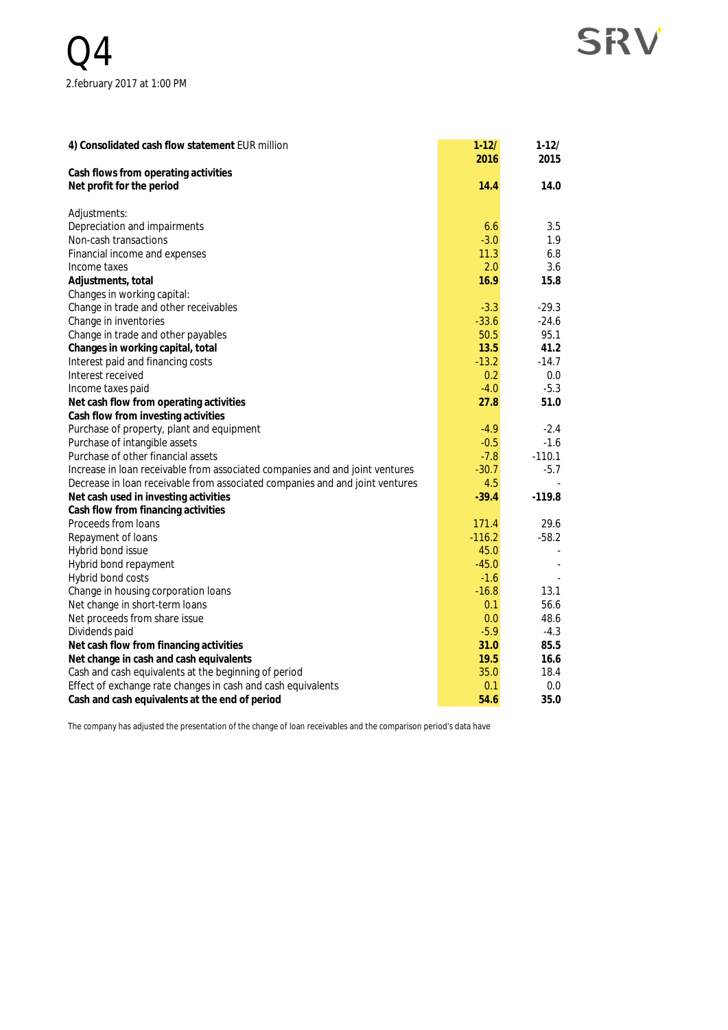## **SRV**

| 4) Consolidated cash flow statement EUR million                              | $1 - 12/$<br>2016 | $1 - 12/$<br>2015 |
|------------------------------------------------------------------------------|-------------------|-------------------|
| Cash flows from operating activities                                         |                   |                   |
| Net profit for the period                                                    | 14.4              | 14.0              |
| Adjustments:                                                                 |                   |                   |
| Depreciation and impairments                                                 | 6.6               | 3.5               |
| Non-cash transactions                                                        | $-3.0$            | 1.9               |
| Financial income and expenses                                                | 11.3              | 6.8               |
| Income taxes                                                                 | 2.0               | 3.6               |
| Adjustments, total                                                           | 16.9              | 15.8              |
| Changes in working capital:                                                  |                   |                   |
| Change in trade and other receivables                                        | $-3.3$            | $-29.3$           |
| Change in inventories                                                        | $-33.6$           | $-24.6$           |
| Change in trade and other payables                                           | 50.5              | 95.1              |
| Changes in working capital, total                                            | 13.5              | 41.2              |
| Interest paid and financing costs                                            | $-13.2$           | $-14.7$           |
| Interest received                                                            | 0.2               | 0.0               |
| Income taxes paid                                                            | $-4.0$            | $-5.3$            |
| Net cash flow from operating activities                                      | 27.8              | 51.0              |
| Cash flow from investing activities                                          |                   |                   |
| Purchase of property, plant and equipment                                    | $-4.9$            | $-2.4$            |
| Purchase of intangible assets                                                | $-0.5$            | $-1.6$            |
| Purchase of other financial assets                                           | $-7.8$            | $-110.1$          |
| Increase in loan receivable from associated companies and and joint ventures | $-30.7$           | $-5.7$            |
| Decrease in loan receivable from associated companies and and joint ventures | 4.5               |                   |
| Net cash used in investing activities                                        | $-39.4$           | $-119.8$          |
| Cash flow from financing activities                                          |                   |                   |
| Proceeds from loans                                                          | 171.4             | 29.6              |
| Repayment of loans                                                           | $-116.2$          | $-58.2$           |
| Hybrid bond issue                                                            | 45.0              |                   |
| Hybrid bond repayment                                                        | $-45.0$           |                   |
| Hybrid bond costs                                                            | $-1.6$            |                   |
| Change in housing corporation loans                                          | $-16.8$           | 13.1              |
| Net change in short-term loans                                               | 0.1               | 56.6              |
| Net proceeds from share issue                                                | 0.0               | 48.6              |
| Dividends paid                                                               | $-5.9$            | $-4.3$            |
| Net cash flow from financing activities                                      | 31.0              | 85.5              |
| Net change in cash and cash equivalents                                      | 19.5              | 16.6              |
| Cash and cash equivalents at the beginning of period                         | 35.0              | 18.4              |
| Effect of exchange rate changes in cash and cash equivalents                 | 0.1               | 0.0               |
| Cash and cash equivalents at the end of period                               | 54.6              | 35.0              |

The company has adjusted the presentation of the change of loan receivables and the comparison period's data have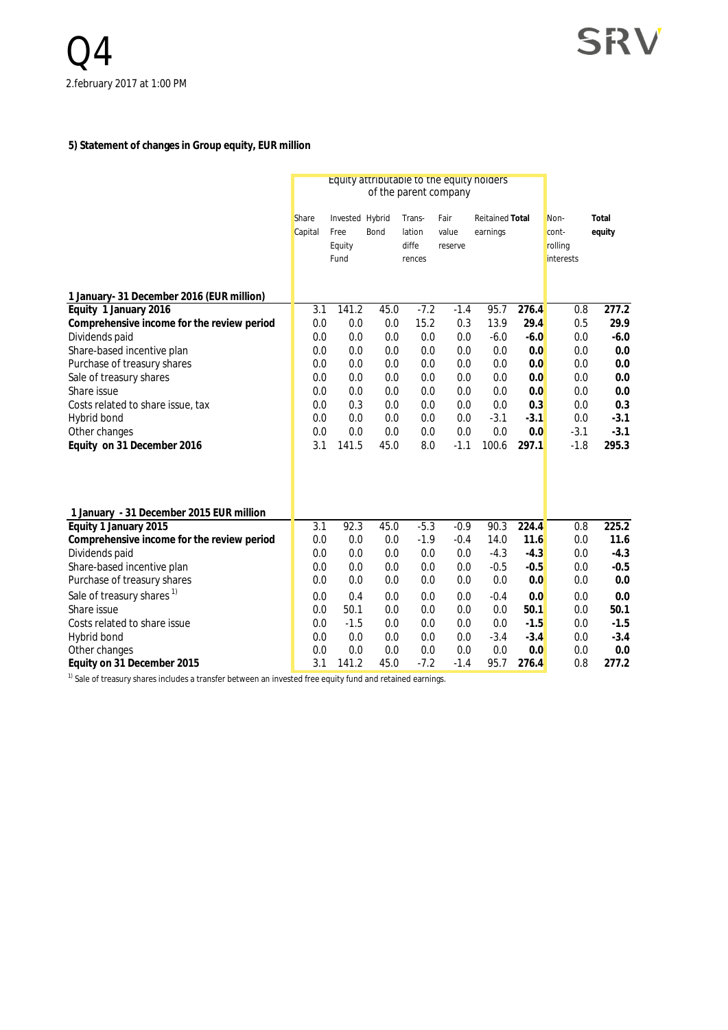#### **5) Statement of changes in Group equity, EUR million**

|                                             | Equity attributable to the equity holders<br>of the parent company |                                           |             |                                     |                          |                                    |              |                                              |                 |
|---------------------------------------------|--------------------------------------------------------------------|-------------------------------------------|-------------|-------------------------------------|--------------------------|------------------------------------|--------------|----------------------------------------------|-----------------|
|                                             | Share<br>Capital                                                   | Invested Hybrid<br>Free<br>Equity<br>Fund | Bond        | Trans-<br>lation<br>diffe<br>rences | Fair<br>value<br>reserve | <b>Reitained Total</b><br>earnings |              | Non-<br>cont-<br>rolling<br><i>interests</i> | Total<br>equity |
| 1 January- 31 December 2016 (EUR million)   |                                                                    |                                           |             |                                     |                          |                                    |              |                                              |                 |
| Equity 1 January 2016                       | 3.1                                                                | 141.2                                     | 45.0        | $-7.2$                              | $-1.4$                   | $95.\overline{7}$                  | 276.4        | 0.8                                          | 277.2           |
| Comprehensive income for the review period  | 0.0                                                                | 0.0                                       | 0.0         | 15.2                                | 0.3                      | 13.9                               | 29.4         | 0.5                                          | 29.9            |
| Dividends paid                              | 0.0                                                                | 0.0                                       | 0.0         | 0.0                                 | 0.0                      | $-6.0$                             | $-6.0$       | 0.0                                          | $-6.0$          |
| Share-based incentive plan                  | 0.0                                                                | 0.0                                       | 0.0         | 0.0                                 | 0.0                      | 0.0                                | 0.0          | 0.0                                          | 0.0             |
| Purchase of treasury shares                 | 0.0                                                                | 0.0                                       | 0.0         | 0.0                                 | 0.0                      | 0.0                                | 0.0          | 0.0                                          | 0.0             |
| Sale of treasury shares                     | 0.0                                                                | 0.0                                       | 0.0         | 0.0                                 | 0.0                      | 0.0                                | 0.0          | 0.0                                          | 0.0             |
| Share issue                                 | 0.0                                                                | 0.0                                       | 0.0         | 0.0                                 | 0.0                      | 0.0                                | 0.0          | 0.0                                          | 0.0             |
| Costs related to share issue, tax           | 0.0                                                                | 0.3                                       | 0.0         | 0.0                                 | 0.0                      | 0.0                                | 0.3          | 0.0                                          | 0.3             |
| Hybrid bond                                 | 0.0                                                                | 0.0                                       | 0.0         | 0.0                                 | 0.0                      | $-3.1$                             | $-3.1$       | 0.0                                          | $-3.1$          |
| Other changes<br>Equity on 31 December 2016 | 0.0<br>3.1                                                         | 0.0<br>141.5                              | 0.0<br>45.0 | 0.0<br>8.0                          | 0.0<br>$-1.1$            | 0.0<br>100.6                       | 0.0<br>297.1 | $-3.1$<br>$-1.8$                             | $-3.1$<br>295.3 |
| 1 January - 31 December 2015 EUR million    |                                                                    |                                           |             |                                     |                          |                                    |              |                                              |                 |
| Equity 1 January 2015                       | 3.1                                                                | 92.3                                      | 45.0        | $-5.3$                              | $-0.9$                   | 90.3                               | 224.4        | 0.8                                          | 225.2           |
| Comprehensive income for the review period  | 0.0                                                                | 0.0                                       | 0.0         | $-1.9$                              | $-0.4$                   | 14.0                               | 11.6         | 0.0                                          | 11.6            |
| Dividends paid                              | 0.0                                                                | 0.0                                       | 0.0         | 0.0                                 | 0.0                      | $-4.3$                             | $-4.3$       | 0.0                                          | $-4.3$          |
| Share-based incentive plan                  | 0.0                                                                | 0.0                                       | 0.0         | 0.0                                 | 0.0                      | $-0.5$                             | $-0.5$       | 0.0                                          | $-0.5$          |
| Purchase of treasury shares                 | 0.0                                                                | 0.0                                       | 0.0         | 0.0                                 | 0.0                      | 0.0                                | 0.0          | 0.0                                          | 0.0             |
| Sale of treasury shares <sup>1)</sup>       | 0.0                                                                | 0.4                                       | 0.0         | 0.0                                 | 0.0                      | $-0.4$                             | 0.0          | 0.0                                          | 0.0             |
| Share issue                                 | 0.0                                                                | 50.1                                      | 0.0         | 0.0                                 | 0.0                      | 0.0                                | 50.1         | 0.0                                          | 50.1            |
| Costs related to share issue                | 0.0                                                                | $-1.5$                                    | 0.0         | 0.0                                 | 0.0                      | 0.0                                | $-1.5$       | 0.0                                          | $-1.5$          |
| Hybrid bond                                 | 0.0                                                                | 0.0                                       | 0.0         | 0.0                                 | 0.0                      | $-3.4$                             | $-3.4$       | 0.0                                          | $-3.4$          |
| Other changes                               | 0.0                                                                | 0.0                                       | 0.0         | 0.0                                 | 0.0                      | 0.0                                | 0.0          | 0.0                                          | 0.0             |
| Equity on 31 December 2015                  | 3.1                                                                | 141.2                                     | 45.0        | $-7.2$                              | $-1.4$                   | 95.7                               | 276.4        | 0.8                                          | 277.2           |

<sup>1)</sup> Sale of treasury shares includes a transfer between an invested free equity fund and retained earnings.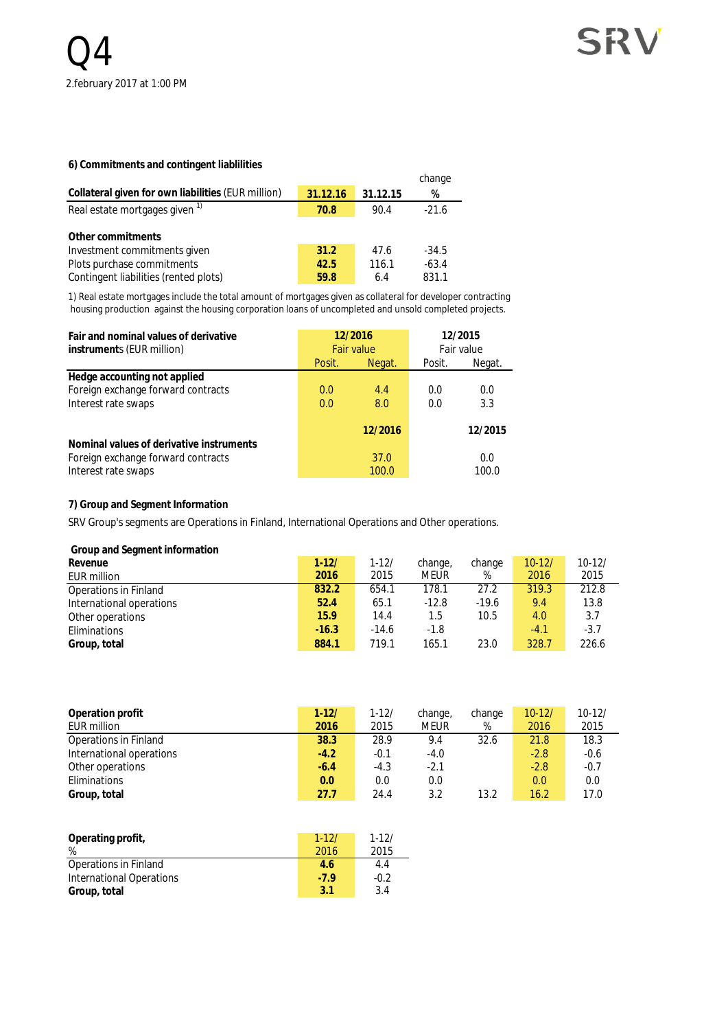#### **6) Commitments and contingent liablilities**

|                                                    |          |          | change  |
|----------------------------------------------------|----------|----------|---------|
| Collateral given for own liabilities (EUR million) | 31.12.16 | 31.12.15 | %       |
| Real estate mortgages given <sup>1)</sup>          | 70.8     | 90.4     | $-21.6$ |
|                                                    |          |          |         |
| Other commitments                                  |          |          |         |
| Investment commitments given                       | 31.2     | 47.6     | $-34.5$ |
| Plots purchase commitments                         | 42.5     | 116.1    | $-63.4$ |
| Contingent liabilities (rented plots)              | 59.8     | 6.4      | 831.1   |

1) Real estate mortgages include the total amount of mortgages given as collateral for developer contracting housing production against the housing corporation loans of uncompleted and unsold completed projects.

| Fair and nominal values of derivative<br>instruments (EUR million)                        | 12/2016<br>Fair value |               | 12/2015<br>Fair value |              |
|-------------------------------------------------------------------------------------------|-----------------------|---------------|-----------------------|--------------|
|                                                                                           | Posit.                | Negat.        | Posit.                | Negat.       |
| Hedge accounting not applied<br>Foreign exchange forward contracts<br>Interest rate swaps | 0.0<br>0.0            | 4.4<br>8.0    | 0.0<br>0.0            | 0.0<br>3.3   |
| Nominal values of derivative instruments                                                  |                       | 12/2016       |                       | 12/2015      |
| Foreign exchange forward contracts<br>Interest rate swaps                                 |                       | 37.0<br>100.0 |                       | 0.0<br>100.0 |

#### **7) Group and Segment Information**

SRV Group's segments are Operations in Finland, International Operations and Other operations.

 **Group and Segment information**

| Revenue                      | $1 - 12/$ | $1 - 12/$ | change, | change  | $10 - 12/$ | $10 - 12/$ |
|------------------------------|-----------|-----------|---------|---------|------------|------------|
| EUR million                  | 2016      | 2015      | Meur    | %       | 2016       | 2015       |
| <b>Operations in Finland</b> | 832.2     | 654.1     | 178.1   | 27.2    | 319.3      | 212.8      |
| International operations     | 52.4      | 65.1      | $-12.8$ | $-19.6$ | 9.4        | 13.8       |
| Other operations             | 15.9      | 14.4      | 1.5     | 10.5    | 4.0        | 3.7        |
| Eliminations                 | $-16.3$   | $-14.6$   | $-1.8$  |         | $-4.1$     | $-3.7$     |
| Group, total                 | 884.1     | 719.1     | 165.1   | 23.0    | 328.7      | 226.6      |
|                              |           |           |         |         |            |            |

| Operation profit         | $1 - 12/$ | $1 - 12/$ | change, | change | $10 - 12/$ | $10 - 12/$ |
|--------------------------|-----------|-----------|---------|--------|------------|------------|
| EUR million              | 2016      | 2015      | meur    | %      | 2016       | 2015       |
| Operations in Finland    | 38.3      | 28.9      | 9.4     | 32.6   | 21.8       | 18.3       |
| International operations | $-4.2$    | $-0.1$    | $-4.0$  |        | $-2.8$     | $-0.6$     |
| Other operations         | $-6.4$    | $-4.3$    | $-2.1$  |        | $-2.8$     | $-0.7$     |
| Eliminations             | 0.0       | 0.0       | 0.0     |        | 0.0        | 0.0        |
| Group, total             | 27.7      | 24.4      | 3.2     | 13.2   | 16.2       | 17.0       |

| Operating profit,<br>%   | $1 - 12/$<br>2016 | $1 - 12/$<br>2015 |
|--------------------------|-------------------|-------------------|
| Operations in Finland    | 4.6               | 4.4               |
| International Operations | $-7.9$            | $-0.2$            |
| Group, total             | 3 1               | 3.4               |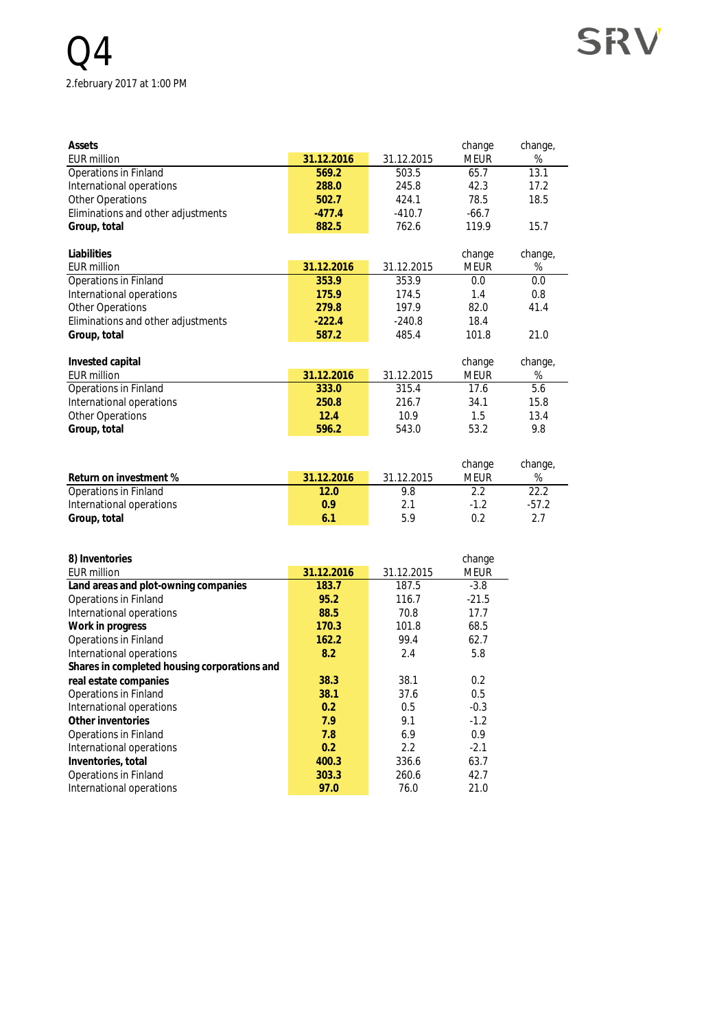## $\overline{4}$ 2.february 2017 at 1:00 PM

| Assets                             |            |            | change      | change, |
|------------------------------------|------------|------------|-------------|---------|
| <b>EUR million</b>                 | 31.12.2016 | 31.12.2015 | <b>MEUR</b> | %       |
| Operations in Finland              | 569.2      | 503.5      | 65.7        | 13.1    |
| International operations           | 288.0      | 245.8      | 42.3        | 17.2    |
| <b>Other Operations</b>            | 502.7      | 424.1      | 78.5        | 18.5    |
| Eliminations and other adjustments | $-477.4$   | $-410.7$   | $-66.7$     |         |
| Group, total                       | 882.5      | 762.6      | 119.9       | 15.7    |
|                                    |            |            |             |         |
| Liabilities                        |            |            | change      | change, |
| <b>EUR million</b>                 | 31.12.2016 | 31.12.2015 | <b>MEUR</b> | %       |
| Operations in Finland              | 353.9      | 353.9      | 0.0         | 0.0     |
| International operations           | 175.9      | 174.5      | 1.4         | 0.8     |
| <b>Other Operations</b>            | 279.8      | 197.9      | 82.0        | 41.4    |
| Eliminations and other adjustments | $-222.4$   | $-240.8$   | 18.4        |         |
| Group, total                       | 587.2      | 485.4      | 101.8       | 21.0    |
|                                    |            |            |             |         |
| Invested capital                   |            |            | change      | change, |
| <b>EUR million</b>                 | 31.12.2016 | 31.12.2015 | <b>MEUR</b> | %       |
| Operations in Finland              | 333.0      | 315.4      | 17.6        | 5.6     |
| International operations           | 250.8      | 216.7      | 34.1        | 15.8    |
| <b>Other Operations</b>            | 12.4       | 10.9       | 1.5         | 13.4    |
| Group, total                       | 596.2      | 543.0      | 53.2        | 9.8     |

**SRV** 

|                          |            |            | change | change, |
|--------------------------|------------|------------|--------|---------|
| Return on investment %   | 31.12.2016 | 31.12.2015 | MFUR   | %       |
| Operations in Finland    | 12.0       | 9.8        |        | 22.2    |
| International operations | 0.9        | 2.1        | -12    | $-57.2$ |
| Group, total             | 6.1        | 5.9        | ሰ ን    | 2.7     |

| 8) Inventories                               |            |            | change  |
|----------------------------------------------|------------|------------|---------|
| EUR million                                  | 31.12.2016 | 31.12.2015 | MEUR    |
| Land areas and plot-owning companies         | 183.7      | 187.5      | $-3.8$  |
| Operations in Finland                        | 95.2       | 116.7      | $-21.5$ |
| International operations                     | 88.5       | 70.8       | 17.7    |
| Work in progress                             | 170.3      | 101.8      | 68.5    |
| Operations in Finland                        | 162.2      | 99.4       | 62.7    |
| International operations                     | 8.2        | 2.4        | 5.8     |
| Shares in completed housing corporations and |            |            |         |
| real estate companies                        | 38.3       | 38.1       | 0.2     |
| Operations in Finland                        | 38.1       | 37.6       | 0.5     |
| International operations                     | 0.2        | 0.5        | $-0.3$  |
| Other inventories                            | 7.9        | 9.1        | $-1.2$  |
| Operations in Finland                        | 7.8        | 6.9        | 0.9     |
| International operations                     | 0.2        | 2.2        | $-2.1$  |
| Inventories, total                           | 400.3      | 336.6      | 63.7    |
| Operations in Finland                        | 303.3      | 260.6      | 42.7    |
| International operations                     | 97.0       | 76.0       | 21.0    |